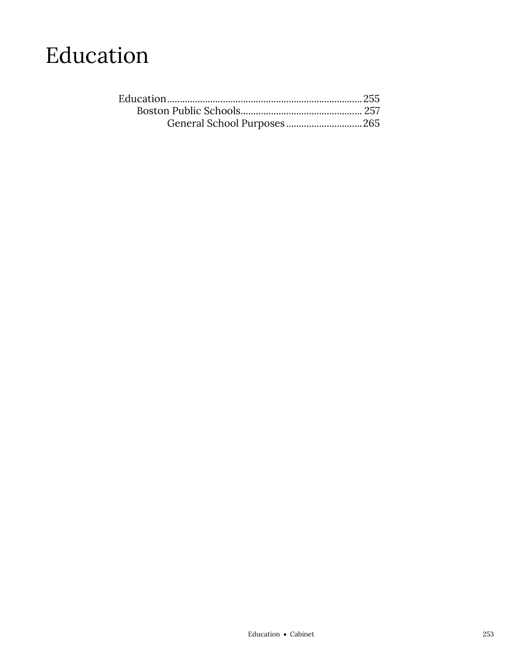## Education

| General School Purposes265 |  |
|----------------------------|--|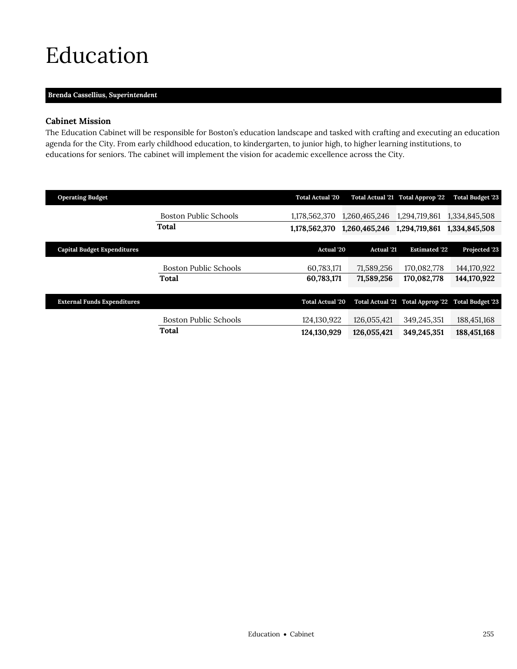## <span id="page-2-0"></span>Education

## **Brenda Cassellius,** *Superintendent*

## **Cabinet Mission**

The Education Cabinet will be responsible for Boston's education landscape and tasked with crafting and executing an education agenda for the City. From early childhood education, to kindergarten, to junior high, to higher learning institutions, to educations for seniors. The cabinet will implement the vision for academic excellence across the City.

| <b>Operating Budget</b>            |                              | <b>Total Actual '20</b> |                   | Total Actual '21 Total Approp '22 | <b>Total Budget '23</b>                            |
|------------------------------------|------------------------------|-------------------------|-------------------|-----------------------------------|----------------------------------------------------|
|                                    | <b>Boston Public Schools</b> | 1.178.562.370           | 1.260.465.246     | 1,294,719,861                     | 1,334,845,508                                      |
|                                    | <b>Total</b>                 | 1,178,562,370           | 1,260,465,246     | 1,294,719,861                     | 1,334,845,508                                      |
| <b>Capital Budget Expenditures</b> |                              | <b>Actual</b> '20       | <b>Actual</b> '21 | <b>Estimated '22</b>              | Projected '23                                      |
|                                    |                              |                         |                   |                                   |                                                    |
|                                    | <b>Boston Public Schools</b> | 60,783,171              | 71,589,256        | 170,082,778                       | 144,170,922                                        |
|                                    | Total                        | 60,783,171              | 71,589,256        | 170,082,778                       | 144,170,922                                        |
|                                    |                              |                         |                   |                                   |                                                    |
| <b>External Funds Expenditures</b> |                              | <b>Total Actual '20</b> |                   |                                   | Total Actual '21 Total Approp '22 Total Budget '23 |
|                                    | <b>Boston Public Schools</b> | 124,130,922             | 126,055,421       | 349,245,351                       | 188,451,168                                        |
|                                    | Total                        | 124,130,929             | 126,055,421       | 349,245,351                       | 188,451,168                                        |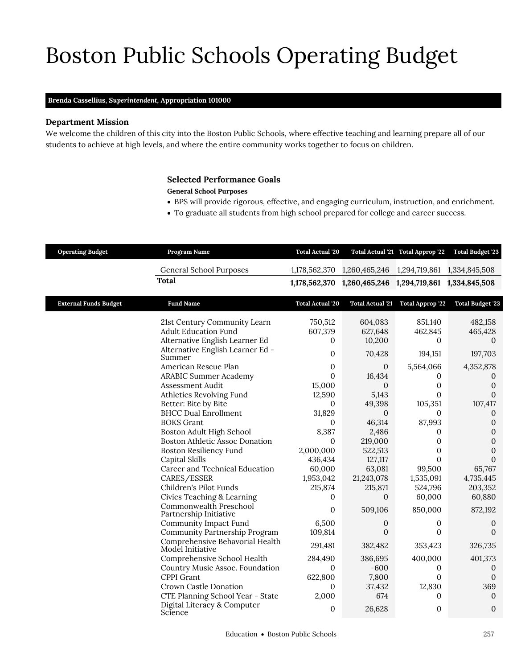# Boston Public Schools Operating Budget

## **Brenda Cassellius,** *Superintendent,* **Appropriation 101000**

## **Department Mission**

Boston Public Schools

We welcome the children of this city into the Boston Public Schools, where effective teaching and learning prepare all of our students to achieve at high levels, and where the entire community works together to focus on children.

## <span id="page-4-0"></span>**Selected Performance Goals**

**General School Purposes**

- BPS will provide rigorous, effective, and engaging curriculum, instruction, and enrichment.
- To graduate all students from high school prepared for college and career success.

| <b>Operating Budget</b>      | Program Name                                                                                                                                                                                                                                                                                                                                                                                                                                                                                                                                                                                                                                                                                                                                                                                                                                                                       | <b>Total Actual '20</b>                                                                                                                                                                                                                                                                 |                                                                                                                                                                                                                                                                                                              | Total Actual '21 Total Approp '22                                                                                                                                                                                                                                                         | <b>Total Budget '23</b>                                                                                                                                                                                                                                                                                                                                                                |
|------------------------------|------------------------------------------------------------------------------------------------------------------------------------------------------------------------------------------------------------------------------------------------------------------------------------------------------------------------------------------------------------------------------------------------------------------------------------------------------------------------------------------------------------------------------------------------------------------------------------------------------------------------------------------------------------------------------------------------------------------------------------------------------------------------------------------------------------------------------------------------------------------------------------|-----------------------------------------------------------------------------------------------------------------------------------------------------------------------------------------------------------------------------------------------------------------------------------------|--------------------------------------------------------------------------------------------------------------------------------------------------------------------------------------------------------------------------------------------------------------------------------------------------------------|-------------------------------------------------------------------------------------------------------------------------------------------------------------------------------------------------------------------------------------------------------------------------------------------|----------------------------------------------------------------------------------------------------------------------------------------------------------------------------------------------------------------------------------------------------------------------------------------------------------------------------------------------------------------------------------------|
|                              | <b>General School Purposes</b>                                                                                                                                                                                                                                                                                                                                                                                                                                                                                                                                                                                                                                                                                                                                                                                                                                                     | 1,178,562,370                                                                                                                                                                                                                                                                           | 1,260,465,246                                                                                                                                                                                                                                                                                                | 1,294,719,861                                                                                                                                                                                                                                                                             | 1,334,845,508                                                                                                                                                                                                                                                                                                                                                                          |
|                              | <b>Total</b>                                                                                                                                                                                                                                                                                                                                                                                                                                                                                                                                                                                                                                                                                                                                                                                                                                                                       | 1,178,562,370                                                                                                                                                                                                                                                                           | 1,260,465,246 1,294,719,861                                                                                                                                                                                                                                                                                  |                                                                                                                                                                                                                                                                                           | 1,334,845,508                                                                                                                                                                                                                                                                                                                                                                          |
| <b>External Funds Budget</b> | <b>Fund Name</b>                                                                                                                                                                                                                                                                                                                                                                                                                                                                                                                                                                                                                                                                                                                                                                                                                                                                   | <b>Total Actual '20</b>                                                                                                                                                                                                                                                                 |                                                                                                                                                                                                                                                                                                              | Total Actual '21 Total Approp '22                                                                                                                                                                                                                                                         | <b>Total Budget '23</b>                                                                                                                                                                                                                                                                                                                                                                |
|                              | 21st Century Community Learn<br><b>Adult Education Fund</b><br>Alternative English Learner Ed<br>Alternative English Learner Ed -<br>Summer<br>American Rescue Plan<br><b>ARABIC Summer Academy</b><br>Assessment Audit<br>Athletics Revolving Fund<br>Better: Bite by Bite<br><b>BHCC Dual Enrollment</b><br><b>BOKS</b> Grant<br>Boston Adult High School<br><b>Boston Athletic Assoc Donation</b><br><b>Boston Resiliency Fund</b><br>Capital Skills<br>Career and Technical Education<br>CARES/ESSER<br>Children's Pilot Funds<br>Civics Teaching & Learning<br>Commonwealth Preschool<br>Partnership Initiative<br>Community Impact Fund<br>Community Partnership Program<br>Comprehensive Behavorial Health<br>Model Initiative<br>Comprehensive School Health<br>Country Music Assoc. Foundation<br>CPPI Grant<br>Crown Castle Donation<br>CTE Planning School Year - State | 750,512<br>607,379<br>$\bf{0}$<br>0<br>0<br>$\Omega$<br>15,000<br>12,590<br>$\mathbf{0}$<br>31,829<br>0<br>8,387<br>$\mathbf{0}$<br>2,000,000<br>436,434<br>60,000<br>1,953,042<br>215,874<br>0<br>0<br>6,500<br>109,814<br>291,481<br>284,490<br>0<br>622,800<br>$\mathbf{0}$<br>2,000 | 604,083<br>627,648<br>10,200<br>70,428<br>$\mathbf{0}$<br>16,434<br>$\mathbf{0}$<br>5,143<br>49,398<br>$\mathbf{0}$<br>46,314<br>2,486<br>219,000<br>522,513<br>127,117<br>63,081<br>21,243,078<br>215,871<br>$\Omega$<br>509,106<br>0<br>$\Omega$<br>382,482<br>386,695<br>$-600$<br>7,800<br>37,432<br>674 | 851,140<br>462,845<br>$\Omega$<br>194,151<br>5,564,066<br>0<br>0<br>0<br>105,351<br>$\mathbf{0}$<br>87,993<br>0<br>$\mathbf{0}$<br>0<br>$\Omega$<br>99,500<br>1,535,091<br>524,796<br>60,000<br>850,000<br>0<br>$\Omega$<br>353,423<br>400,000<br>0<br>$\Omega$<br>12,830<br>$\mathbf{0}$ | 482,158<br>465,428<br>$\Omega$<br>197,703<br>4,352,878<br>$\mathbf{0}$<br>$\mathbf{0}$<br>$\mathbf{0}$<br>107,417<br>$\mathbf{0}$<br>$\boldsymbol{0}$<br>$\mathbf{0}$<br>$\boldsymbol{0}$<br>$\boldsymbol{0}$<br>$\boldsymbol{0}$<br>65,767<br>4,735,445<br>203,352<br>60,880<br>872,192<br>0<br>$\Omega$<br>326,735<br>401,373<br>$\mathbf{0}$<br>$\mathbf{0}$<br>369<br>$\mathbf{0}$ |
|                              | Digital Literacy & Computer<br>Science                                                                                                                                                                                                                                                                                                                                                                                                                                                                                                                                                                                                                                                                                                                                                                                                                                             | 0                                                                                                                                                                                                                                                                                       | 26,628                                                                                                                                                                                                                                                                                                       | $\mathbf{0}$                                                                                                                                                                                                                                                                              | $\mathbf{0}$                                                                                                                                                                                                                                                                                                                                                                           |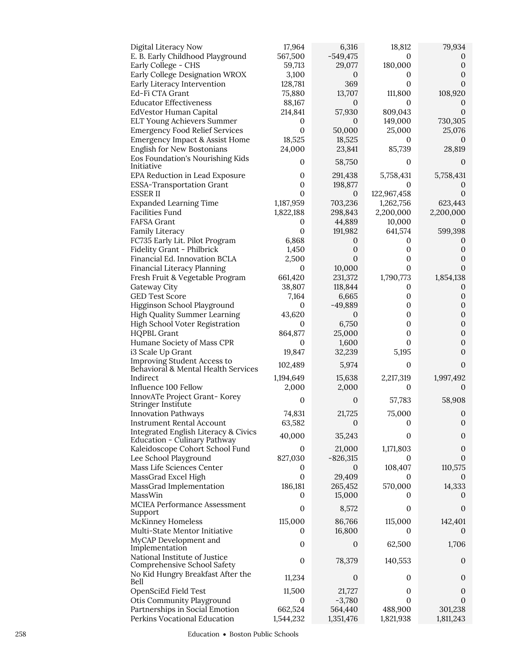| Digital Literacy Now                                                 | 17,964           | 6,316            | 18,812       | 79,934                       |
|----------------------------------------------------------------------|------------------|------------------|--------------|------------------------------|
| E. B. Early Childhood Playground                                     | 567,500          | $-549,475$       | 0            | $\theta$                     |
| Early College - CHS                                                  | 59,713           | 29,077           | 180,000      | 0                            |
| Early College Designation WROX                                       | 3,100            | $\boldsymbol{0}$ | 0            | $\mathbf{0}$                 |
| Early Literacy Intervention                                          | 128,781          | 369              | 0            | 0                            |
| Ed-Fi CTA Grant                                                      | 75,880           | 13,707           | 111,800      | 108,920                      |
| <b>Educator Effectiveness</b>                                        | 88,167           | $\mathbf{0}$     | 0            | $\theta$                     |
| EdVestor Human Capital                                               | 214,841          | 57,930           | 809,043      | $\Omega$                     |
| ELT Young Achievers Summer                                           | $\mathbf{0}$     | 0                | 149,000      | 730,305                      |
| <b>Emergency Food Relief Services</b>                                | $\boldsymbol{0}$ | 50,000           | 25,000       | 25,076                       |
| Emergency Impact & Assist Home                                       | 18,525           | 18,525           | 0            |                              |
| English for New Bostonians                                           | 24,000           | 23,841           | 85,739       | 28,819                       |
| Eos Foundation's Nourishing Kids<br>Initiative                       | 0                | 58,750           | 0            | 0                            |
| EPA Reduction in Lead Exposure                                       | 0                | 291,438          | 5,758,431    | 5,758,431                    |
| <b>ESSA-Transportation Grant</b>                                     | $\boldsymbol{0}$ | 198,877          | 0            | $\Omega$                     |
| <b>ESSERII</b>                                                       | $\boldsymbol{0}$ | $\mathbf{0}$     | 122,967,458  | $\mathbf{0}$                 |
| <b>Expanded Learning Time</b>                                        | 1,187,959        | 703,236          | 1,262,756    | 623,443                      |
| Facilities Fund                                                      | 1,822,188        | 298,843          | 2,200,000    | 2,200,000                    |
| <b>FAFSA Grant</b>                                                   | 0                | 44,889           | 10,000       | $\cup$                       |
| Family Literacy                                                      | $\boldsymbol{0}$ | 191,982          | 641,574      | 599,398                      |
| FC735 Early Lit. Pilot Program                                       | 6,868            | $\mathbf 0$      | 0            | $\mathbf 0$                  |
| Fidelity Grant - Philbrick                                           | 1,450            | $\boldsymbol{0}$ | 0            | $\mathbf{0}$                 |
| Financial Ed. Innovation BCLA                                        | 2,500            | $\mathbf{0}$     | 0            | $\mathbf{0}$                 |
| Financial Literacy Planning                                          | $\boldsymbol{0}$ | 10,000           | $\mathbf{0}$ | $\theta$                     |
| Fresh Fruit & Vegetable Program                                      | 661,420          | 231,372          | 1,790,773    | 1,854,138                    |
| Gateway City                                                         | 38,807           | 118,844          | 0            | $\cup$                       |
| <b>GED Test Score</b>                                                | 7,164            | 6,665            | 0            | $\mathbf 0$                  |
| Higginson School Playground                                          | $\mathbf{0}$     | $-49,889$        | 0            | $\boldsymbol{0}$             |
| <b>High Quality Summer Learning</b>                                  | 43,620           | 0                | 0            | $\boldsymbol{0}$             |
| High School Voter Registration                                       | $\mathbf{0}$     | 6,750            | 0<br>0       | $\mathbf{0}$<br>$\mathbf{0}$ |
| <b>HQPBL Grant</b><br>Humane Society of Mass CPR                     | 864,877<br>0     | 25,000<br>1,600  | 0            | $\mathbf{0}$                 |
| i3 Scale Up Grant                                                    | 19,847           | 32,239           | 5,195        | $\theta$                     |
| Improving Student Access to                                          |                  |                  |              |                              |
| Behavioral & Mental Health Services                                  | 102,489          | 5,974            | 0            | $\theta$                     |
| Indirect                                                             | 1,194,649        | 15,638           | 2,217,319    | 1,997,492                    |
| Influence 100 Fellow                                                 | 2,000            | 2,000            | 0            | $\Omega$                     |
| InnovATe Project Grant-Korey                                         | $\mathbf{0}$     | $\boldsymbol{0}$ | 57,783       | 58,908                       |
| Stringer Institute                                                   |                  |                  |              |                              |
| <b>Innovation Pathways</b>                                           | 74,831           | 21,725           | 75,000       | $\boldsymbol{0}$             |
| Instrument Rental Account                                            | 63,582           | $\theta$         | 0            | $\sigma$                     |
| Integrated English Literacy & Civics<br>Education - Culinary Pathway | 40,000           | 35,243           | 0            | $\mathbf 0$                  |
| Kaleidoscope Cohort School Fund                                      | 0                | 21,000           | 1,171,803    | $\mathbf 0$                  |
| Lee School Playground                                                | 827,030          | $-826,315$       | 0            | 0                            |
| Mass Life Sciences Center                                            | 0                | 0                | 108,407      | 110,575                      |
| MassGrad Excel High                                                  | $\boldsymbol{0}$ | 29,409           | 0            | $\Omega$                     |
| MassGrad Implementation                                              | 186,181          | 265,452          | 570,000      | 14,333                       |
| MassWin                                                              | 0                | 15,000           | 0            | $\theta$                     |
| MCIEA Performance Assessment                                         |                  |                  |              |                              |
| Support                                                              | $\boldsymbol{0}$ | 8,572            | 0            | 0                            |
| <b>McKinney Homeless</b>                                             | 115,000          | 86,766           | 115,000      | 142,401                      |
| Multi-State Mentor Initiative                                        | 0                | 16,800           | 0            | $\mathbf{0}$                 |
| MyCAP Development and                                                | 0                | 0                | 62,500       | 1,706                        |
| Implementation                                                       |                  |                  |              |                              |
| National Institute of Justice<br>Comprehensive School Safety         | $\mathbf{0}$     | 78,379           | 140,553      | $\theta$                     |
| No Kid Hungry Breakfast After the                                    |                  |                  |              |                              |
| Bell                                                                 | 11,234           | $\boldsymbol{0}$ | 0            | $\mathbf 0$                  |
| OpenSciEd Field Test                                                 | 11,500           | 21,727           | 0            | $\theta$                     |
| Otis Community Playground                                            | 0                | $-3,780$         | 0            | $\Omega$                     |
| Partnerships in Social Emotion                                       | 662,524          | 564,440          | 488,900      | 301,238                      |
| Perkins Vocational Education                                         | 1,544,232        | 1,351,476        | 1,821,938    | 1,811,243                    |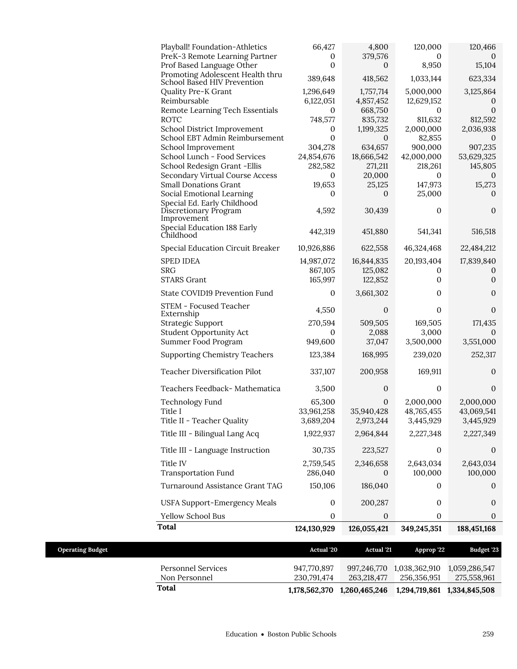| Playball! Foundation-Athletics<br>PreK-3 Remote Learning Partner                                                       | 66,427<br>0                            | 4,800<br>379,576                           | 120,000<br>0                                     | 120,466<br>$\Omega$                          |
|------------------------------------------------------------------------------------------------------------------------|----------------------------------------|--------------------------------------------|--------------------------------------------------|----------------------------------------------|
| Prof Based Language Other<br>Promoting Adolescent Health thru                                                          | $\mathbf{0}$                           | $\mathbf{0}$<br>418,562                    | 8,950                                            | 15,104                                       |
| School Based HIV Prevention<br>Quality Pre-K Grant<br>Reimbursable<br>Remote Learning Tech Essentials                  | 389,648<br>1,296,649<br>6,122,051<br>0 | 1,757,714<br>4,857,452<br>668,750          | 1,033,144<br>5,000,000<br>12,629,152<br>$\Omega$ | 623,334<br>3,125,864<br>0<br>$\mathbf{0}$    |
| ROTC<br>School District Improvement<br>School EBT Admin Reimbursement                                                  | 748,577<br>0<br>0                      | 835,732<br>1,199,325<br>0                  | 811,632<br>2,000,000<br>82,855                   | 812,592<br>2,036,938<br>0                    |
| School Improvement<br>School Lunch - Food Services<br>School Redesign Grant - Ellis<br>Secondary Virtual Course Access | 304,278<br>24,854,676<br>282,582<br>0  | 634,657<br>18,666,542<br>271,211<br>20,000 | 900,000<br>42,000,000<br>218,261<br>0            | 907,235<br>53,629,325<br>145,805<br>$\theta$ |
| <b>Small Donations Grant</b><br>Social Emotional Learning<br>Special Ed. Early Childhood                               | 19,653<br>0                            | 25,125<br>0                                | 147,973<br>25,000                                | 15,273<br>0                                  |
| Discretionary Program<br>Improvement<br>Special Education 188 Early                                                    | 4,592<br>442,319                       | 30,439<br>451,880                          | 0<br>541,341                                     | $\mathbf{0}$<br>516,518                      |
| Childhood<br>Special Education Circuit Breaker                                                                         | 10,926,886                             | 622,558                                    | 46,324,468                                       | 22,484,212                                   |
| <b>SPED IDEA</b><br><b>SRG</b><br><b>STARS Grant</b>                                                                   | 14,987,072<br>867,105<br>165,997       | 16,844,835<br>125,082<br>122,852           | 20,193,404<br>$\Omega$<br>0                      | 17,839,840<br>0<br>0                         |
| State COVID19 Prevention Fund                                                                                          | 0                                      | 3,661,302                                  | 0                                                | 0                                            |
| STEM - Focused Teacher<br>Externship<br><b>Strategic Support</b><br><b>Student Opportunity Act</b>                     | 4,550<br>270,594<br>0                  | $\mathbf{0}$<br>509,505<br>2,088<br>37,047 | $\mathbf{0}$<br>169,505<br>3,000                 | 0<br>171,435<br>0                            |
| Summer Food Program<br><b>Supporting Chemistry Teachers</b>                                                            | 949,600<br>123,384                     | 168,995                                    | 3,500,000<br>239,020                             | 3,551,000<br>252,317                         |
| Teacher Diversification Pilot                                                                                          | 337,107                                | 200,958                                    | 169,911                                          | 0                                            |
| Teachers Feedback- Mathematica                                                                                         | 3,500                                  | $\mathbf{0}$                               | $\mathbf{0}$                                     | $\mathbf{0}$                                 |
| <b>Technology Fund</b><br>Title I<br>Title II - Teacher Quality                                                        | 65,300<br>33,961,258<br>3,689,204      | $\mathbf{0}$<br>35,940,428<br>2,973,244    | 2,000,000<br>48,765,455<br>3,445,929             | 2,000,000<br>43,069,541<br>3,445,929         |
| Title III - Bilingual Lang Acq                                                                                         | 1,922,937                              | 2,964,844                                  | 2,227,348                                        | 2,227,349                                    |
| Title III - Language Instruction                                                                                       | 30,735                                 | 223,527                                    | $\mathbf{0}$                                     | $\mathbf{0}$                                 |
| Title IV<br><b>Transportation Fund</b>                                                                                 | 2,759,545<br>286,040                   | 2,346,658<br>0                             | 2,643,034<br>100,000                             | 2,643,034<br>100,000                         |
| Turnaround Assistance Grant TAG                                                                                        | 150,106                                | 186,040                                    | 0                                                | 0                                            |
| <b>USFA Support-Emergency Meals</b>                                                                                    | 0                                      | 200,287                                    | 0                                                | $\mathbf{0}$                                 |
| Yellow School Bus                                                                                                      | $\boldsymbol{0}$                       | $\mathbf{0}$                               | $\boldsymbol{0}$                                 | 0                                            |
| <b>Total</b>                                                                                                           | 124,130,929                            | 126,055,421                                | 349,245,351                                      | 188,451,168                                  |

| <b>Operating Budget</b> |                                     | <b>Actual</b> '20          | <b>Actual</b> '21           | Approp '22                   | Budget '23                   |
|-------------------------|-------------------------------------|----------------------------|-----------------------------|------------------------------|------------------------------|
|                         | Personnel Services<br>Non Personnel | 947.770.897<br>230.791.474 | 997.246.770<br>263.218.477  | 1.038.362.910<br>256.356.951 | 1.059.286.547<br>275,558,961 |
| Total                   |                                     |                            | 1,178,562,370 1,260,465,246 | 1,294,719,861 1,334,845,508  |                              |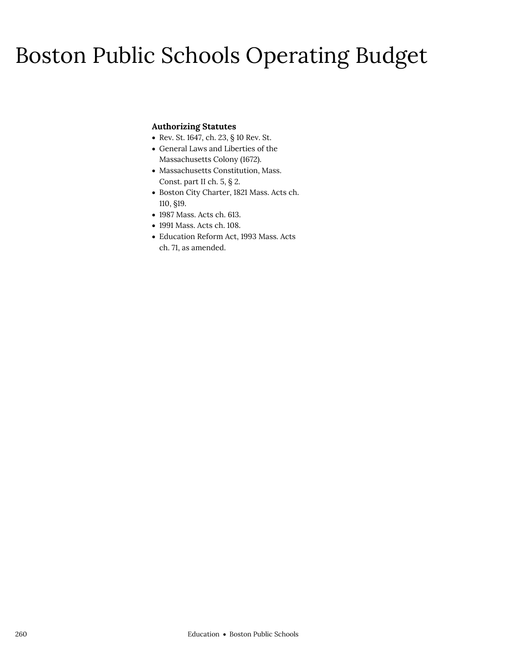## Boston Public Schools Operating Budget

## **Authorizing Statutes**

- Rev. St. 1647, ch. 23, § 10 Rev. St.
- General Laws and Liberties of the Massachusetts Colony (1672).
- Massachusetts Constitution, Mass. Const. part II ch. 5, § 2.
- Boston City Charter, 1821 Mass. Acts ch. 110, §19.
- 1987 Mass. Acts ch. 613.
- 1991 Mass. Acts ch. 108.
- Education Reform Act, 1993 Mass. Acts ch. 71, as amended.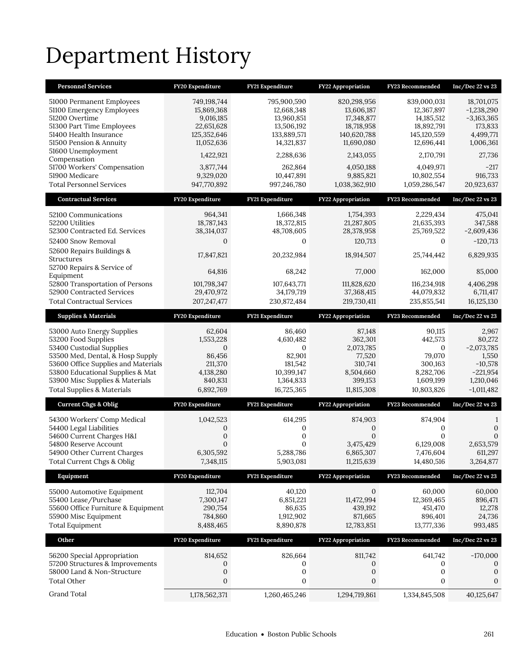# Department History

| <b>Personnel Services</b>                                                                                                                                                                                                                                                | FY20 Expenditure                                                                              | FY21 Expenditure                                                                                  | FY22 Appropriation                                                                        | FY23 Recommended                                                                               | Inc/Dec 22 vs 23                                                                                 |
|--------------------------------------------------------------------------------------------------------------------------------------------------------------------------------------------------------------------------------------------------------------------------|-----------------------------------------------------------------------------------------------|---------------------------------------------------------------------------------------------------|-------------------------------------------------------------------------------------------|------------------------------------------------------------------------------------------------|--------------------------------------------------------------------------------------------------|
| 51000 Permanent Employees<br>51100 Emergency Employees<br>51200 Overtime<br>51300 Part Time Employees<br>51400 Health Insurance<br>51500 Pension & Annuity                                                                                                               | 749,198,744<br>15,869,368<br>9,016,185<br>22,651,628<br>125,352,646<br>11,052,636             | 795,900,590<br>12,668,348<br>13,960,851<br>13,506,192<br>133,889,571<br>14,321,837                | 820,298,956<br>13,606,187<br>17,348,877<br>18,718,958<br>140,620,788<br>11,690,080        | 839,000,031<br>12,367,897<br>14,185,512<br>18,892,791<br>145,120,559<br>12,696,441             | 18,701,075<br>$-1,238,290$<br>$-3,163,365$<br>173,833<br>4,499,771<br>1,006,361                  |
| 51600 Unemployment<br>Compensation                                                                                                                                                                                                                                       | 1,422,921                                                                                     | 2,288,636                                                                                         | 2,143,055                                                                                 | 2,170,791                                                                                      | 27,736                                                                                           |
| 51700 Workers' Compensation<br>51900 Medicare<br><b>Total Personnel Services</b>                                                                                                                                                                                         | 3,877,744<br>9,329,020<br>947,770,892                                                         | 262.864<br>10,447,891<br>997,246,780                                                              | 4,050,188<br>9,885,821<br>1,038,362,910                                                   | 4,049,971<br>10,802,554<br>1,059,286,547                                                       | $-217$<br>916,733<br>20,923,637                                                                  |
|                                                                                                                                                                                                                                                                          |                                                                                               |                                                                                                   |                                                                                           |                                                                                                |                                                                                                  |
| <b>Contractual Services</b>                                                                                                                                                                                                                                              | FY20 Expenditure                                                                              | FY21 Expenditure                                                                                  | FY22 Appropriation                                                                        | FY23 Recommended                                                                               | Inc/Dec 22 vs 23                                                                                 |
| 52100 Communications<br>52200 Utilities<br>52300 Contracted Ed. Services<br>52400 Snow Removal                                                                                                                                                                           | 964,341<br>18,787,143<br>38,314,037<br>$\mathbf{0}$                                           | 1,666,348<br>18,372,815<br>48,708,605<br>$\mathbf{0}$                                             | 1,754,393<br>21,287,805<br>28,378,958<br>120,713                                          | 2,229,434<br>21,635,393<br>25,769,522<br>$\mathbf{0}$                                          | 475,041<br>347,588<br>$-2,609,436$<br>$-120,713$                                                 |
| 52600 Repairs Buildings &<br><b>Structures</b>                                                                                                                                                                                                                           | 17,847,821                                                                                    | 20,232,984                                                                                        | 18,914,507                                                                                | 25,744,442                                                                                     | 6,829,935                                                                                        |
| 52700 Repairs & Service of<br>Equipment                                                                                                                                                                                                                                  | 64,816                                                                                        | 68,242                                                                                            | 77,000                                                                                    | 162,000                                                                                        | 85,000                                                                                           |
| 52800 Transportation of Persons<br>52900 Contracted Services<br><b>Total Contractual Services</b>                                                                                                                                                                        | 101,798,347<br>29,470,972<br>207, 247, 477                                                    | 107,643,771<br>34,179,719<br>230,872,484                                                          | 111,828,620<br>37,368,415<br>219,730,411                                                  | 116,234,918<br>44,079,832<br>235,855,541                                                       | 4,406,298<br>6,711,417<br>16,125,130                                                             |
| <b>Supplies &amp; Materials</b>                                                                                                                                                                                                                                          | FY20 Expenditure                                                                              | FY21 Expenditure                                                                                  | <b>FY22 Appropriation</b>                                                                 | <b>FY23 Recommended</b>                                                                        | Inc/Dec 22 vs 23                                                                                 |
| 53000 Auto Energy Supplies<br>53200 Food Supplies<br>53400 Custodial Supplies<br>53500 Med, Dental, & Hosp Supply<br>53600 Office Supplies and Materials<br>53800 Educational Supplies & Mat<br>53900 Misc Supplies & Materials<br><b>Total Supplies &amp; Materials</b> | 62,604<br>1,553,228<br>$\mathbf{0}$<br>86,456<br>211,370<br>4,138,280<br>840,831<br>6,892,769 | 86,460<br>4,610,482<br>$\mathbf{0}$<br>82,901<br>181,542<br>10,399,147<br>1,364,833<br>16,725,365 | 87,148<br>362,301<br>2,073,785<br>77,520<br>310,741<br>8,504,660<br>399,153<br>11,815,308 | 90,115<br>442,573<br>$\mathbf{0}$<br>79,070<br>300,163<br>8,282,706<br>1,609,199<br>10,803,826 | 2,967<br>80,272<br>$-2,073,785$<br>1,550<br>$-10,578$<br>$-221,954$<br>1,210,046<br>$-1,011,482$ |
| <b>Current Chgs &amp; Oblig</b>                                                                                                                                                                                                                                          | FY20 Expenditure                                                                              | FY21 Expenditure                                                                                  | <b>FY22 Appropriation</b>                                                                 | FY23 Recommended                                                                               | Inc/Dec 22 vs 23                                                                                 |
| 54300 Workers' Comp Medical<br>54400 Legal Liabilities<br>54600 Current Charges H&I<br>54800 Reserve Account<br>54900 Other Current Charges<br>Total Current Chgs & Oblig                                                                                                | 1,042,523<br>0<br>$\mathbf{0}$<br>$\mathbf{0}$<br>6,305,592<br>7,348,115                      | 614,295<br>$\boldsymbol{0}$<br>$\mathbf{0}$<br>$\mathbf{0}$<br>5,288,786<br>5,903,081             | 874,903<br>$\mathbf{0}$<br>$\Omega$<br>3,475,429<br>6,865,307<br>11,215,639               | 874,904<br>0<br>$\mathbf{0}$<br>6,129,008<br>7,476,604<br>14,480,516                           | 1<br>$\mathbf{0}$<br>$\mathbf{0}$<br>2,653,579<br>611,297<br>3,264,877                           |
| Equipment                                                                                                                                                                                                                                                                | FY20 Expenditure                                                                              | FY21 Expenditure                                                                                  | FY22 Appropriation                                                                        | <b>FY23 Recommended</b>                                                                        | Inc/Dec 22 vs 23                                                                                 |
| 55000 Automotive Equipment<br>55400 Lease/Purchase<br>55600 Office Furniture & Equipment<br>55900 Misc Equipment<br><b>Total Equipment</b>                                                                                                                               | 112,704<br>7,300,147<br>290,754<br>784,860<br>8,488,465                                       | 40,120<br>6,851,221<br>86,635<br>1,912,902<br>8,890,878                                           | $\mathbf{0}$<br>11,472,994<br>439,192<br>871,665<br>12,783,851                            | 60,000<br>12,369,465<br>451,470<br>896,401<br>13,777,336                                       | 60,000<br>896,471<br>12,278<br>24,736<br>993,485                                                 |
| Other                                                                                                                                                                                                                                                                    | FY20 Expenditure                                                                              | FY21 Expenditure                                                                                  | <b>FY22 Appropriation</b>                                                                 | FY23 Recommended                                                                               | Inc/Dec 22 vs 23                                                                                 |
| 56200 Special Appropriation<br>57200 Structures & Improvements<br>58000 Land & Non-Structure<br>Total Other                                                                                                                                                              | 814,652<br>0<br>$\boldsymbol{0}$<br>$\boldsymbol{0}$                                          | 826,664<br>$\boldsymbol{0}$<br>$\boldsymbol{0}$<br>$\mathbf{0}$                                   | 811,742<br>0<br>$\mathbf{0}$<br>$\boldsymbol{0}$                                          | 641,742<br>0<br>0<br>0                                                                         | $-170,000$<br>0<br>$\mathbf 0$<br>$\boldsymbol{0}$                                               |
| Grand Total                                                                                                                                                                                                                                                              | 1,178,562,371                                                                                 | 1,260,465,246                                                                                     | 1,294,719,861                                                                             | 1,334,845,508                                                                                  | 40,125,647                                                                                       |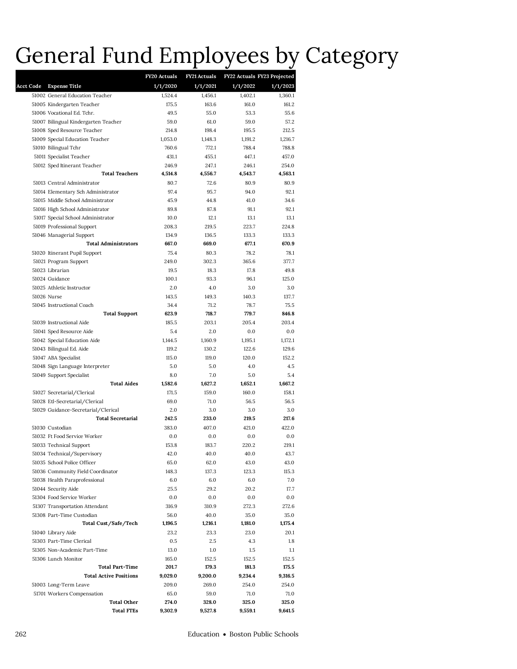## General Fund Employees by Category **Acct Code Expense Title**

|        |                                      | FY20 Actuals | <b>FY21 Actuals</b> |          | FY22 Actuals FY23 Projected |
|--------|--------------------------------------|--------------|---------------------|----------|-----------------------------|
| t Code | <b>Expense Title</b>                 | 1/1/2020     | 1/1/2021            | 1/1/2022 | 1/1/2023                    |
|        | 51002 General Education Teacher      | 1,524.4      | 1.456.1             | 1,402.1  | 1,360.1                     |
|        | 51005 Kindergarten Teacher           | 175.5        | 163.6               | 161.0    | 161.2                       |
|        | 51006 Vocational Ed. Tchr.           | 49.5         | 55.0                | 53.3     | 55.6                        |
|        | 51007 Bilingual Kindergarten Teacher | 59.0         | 61.0                | 59.0     | 57.2                        |
|        | 51008 Sped Resource Teacher          | 214.8        | 198.4               | 195.5    | 212.5                       |
|        | 51009 Special Education Teacher      | 1,053.0      | 1,148.3             | 1,191.2  | 1,216.7                     |
|        | 51010 Bilingual Tchr                 | 760.6        | 772.1               | 788.4    | 788.8                       |
|        | 51011 Specialist Teacher             | 431.1        | 455.1               | 447.1    | 457.0                       |
|        | 51012 Sped Itinerant Teacher         | 246.9        | 247.1               | 246.1    | 254.0                       |
|        | <b>Total Teachers</b>                | 4,514.8      | 4,556.7             | 4,543.7  | 4,563.1                     |
|        | 51013 Central Administrator          | 80.7         | 72.6                | 80.9     | 80.9                        |
|        | 51014 Elementary Sch Administrator   | 97.4         | 95.7                | 94.0     | 92.1                        |
|        | 51015 Middle School Administrator    | 45.9         | 44.8                | 41.0     | 34.6                        |
|        | 51016 High School Administrator      | 89.8         | 87.8                | 91.1     | 92.1                        |
|        | 51017 Special School Administrator   | 10.0         | 12.1                | 13.1     | 13.1                        |
|        | 51019 Professional Support           | 208.3        | 219.5               | 223.7    | 224.8                       |
|        | 51046 Managerial Support             | 134.9        | 136.5               | 133.3    | 133.3                       |
|        | <b>Total Administrators</b>          | 667.0        | 669.0               | 677.1    | 670.9                       |
|        | 51020 Itinerant Pupil Support        | 75.4         | 80.3                | 78.2     | 78.1                        |
|        | 51021 Program Support                | 249.0        | 302.3               | 365.6    | 377.7                       |
|        | 51023 Librarian                      | 19.5         | 18.3                | 17.8     | 49.8                        |
|        | 51024 Guidance                       | 100.1        | 93.3                | 96.1     | 125.0                       |
|        | 51025 Athletic Instructor            | 2.0          | 4.0                 | 3.0      | 3.0                         |
|        | 51026 Nurse                          | 143.5        | 149.3               | 140.3    | 137.7                       |
|        | 51045 Instructional Coach            | 34.4         | 71.2                | 78.7     | 75.5                        |
|        | <b>Total Support</b>                 | 623.9        | 718.7               | 779.7    | 846.8                       |
|        | 51039 Instructional Aide             | 185.5        | 203.1               | 205.4    | 203.4                       |
|        | 51041 Sped Resource Aide             | 5.4          | 2.0                 | 0.0      | 0.0                         |
|        | 51042 Special Education Aide         | 1,144.5      | 1,160.9             | 1,195.1  | 1,172.1                     |
|        | 51043 Bilingual Ed. Aide             | 119.2        | 130.2               | 122.6    | 129.6                       |
|        | 51047 ABA Specialist                 | 115.0        | 119.0               | 120.0    | 152.2                       |
|        | 51048 Sign Language Interpreter      | 5.0          | 5.0                 | 4.0      | 4.5                         |
|        | 51049 Support Specialist             | 8.0          | 7.0                 | 5.0      | 5.4                         |
|        | <b>Total Aides</b>                   | 1,582.6      | 1,627.2             | 1,652.1  | 1,667.2                     |
|        | 51027 Secretarial/Clerical           | 171.5        | 159.0               | 160.0    | 158.1                       |
|        | 51028 Etl-Secretarial/Clerical       | 69.0         | 71.0                | 56.5     | 56.5                        |
|        | 51029 Guidance-Secretarial/Clerical  | 2.0          | 3.0                 | 3.0      | 3.0                         |
|        | <b>Total Secretarial</b>             | 242.5        | 233.0               | 219.5    | 217.6                       |
|        | 51030 Custodian                      | 383.0        | 407.0               | 421.0    | 422.0                       |
|        | 51032 Ft Food Service Worker         | 0.0          | 0.0                 | 0.0      | 0.0                         |
|        | 51033 Technical Support              | 153.8        | 183.7               | 220.2    | 219.1                       |
|        | 51034 Technical/Supervisory          | 42.0         | 40.0                | 40.0     | 43.7                        |
|        | 51035 School Police Officer          | 65.0         | 62.0                | 43.0     | 43.0                        |
|        | 51036 Community Field Coordinator    | 148.3        | 137.3               | 123.3    | 115.3                       |
|        | 51038 Health Paraprofessional        | 6.0          | 6.0                 | 6.0      | 7.0                         |
|        | 51044 Security Aide                  | 25.5         | 29.2                | 20.2     | 17.7                        |
|        | 51304 Food Service Worker            | 0.0          | 0.0                 | 0.0      | 0.0                         |
|        | 51307 Transportation Attendant       | 316.9        | 310.9               | 272.3    | 272.6                       |
|        | 51308 Part-Time Custodian            | 56.0         | 40.0                | 35.0     | 35.0                        |
|        | Total Cust/Safe/Tech                 | 1,196.5      | 1,216.1             | 1,181.0  | 1,175.4                     |
|        | 51040 Library Aide                   | 23.2         | 23.3                | 23.0     | 20.1                        |
|        | 51303 Part-Time Clerical             | 0.5          | 2.5                 | 4.3      | 1.8                         |
|        | 51305 Non-Academic Part-Time         | 13.0         | 1.0                 | $1.5\,$  | $1.1\,$                     |
|        | 51306 Lunch Monitor                  | 165.0        | 152.5               | 152.5    | 152.5                       |
|        | <b>Total Part-Time</b>               | 201.7        | 179.3               | 181.3    | 175.5                       |
|        | <b>Total Active Positions</b>        | 9,029.0      | 9,200.0             | 9,234.4  | 9,316.5                     |
|        | 51003 Long-Term Leave                | 209.0        | 269.0               | 254.0    | 254.0                       |
|        | 51701 Workers Compensation           | 65.0         | 59.0                | 71.0     | 71.0                        |
|        | <b>Total Other</b>                   | 274.0        | 328.0               | 325.0    | 325.0                       |
|        | <b>Total FTEs</b>                    | 9,302.9      | 9,527.8             | 9,559.1  | 9,641.5                     |
|        |                                      |              |                     |          |                             |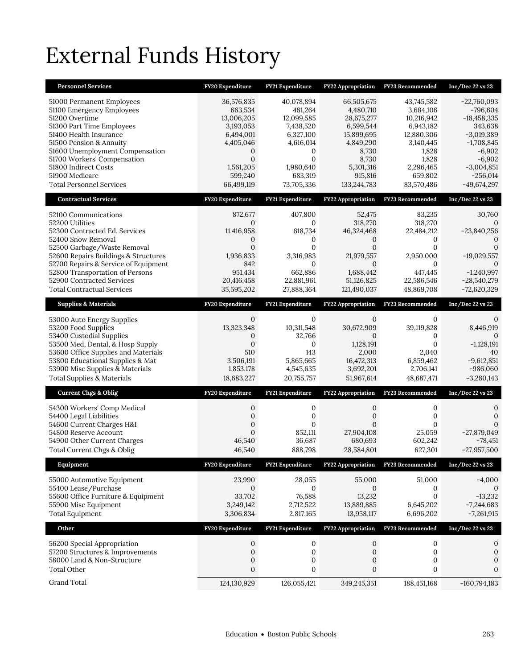# External Funds History

| <b>Personnel Services</b>                                                                                                                                                                                                                                                                                          | FY20 Expenditure                                                                                                                      | FY21 Expenditure                                                                                                                      | FY22 Appropriation                                                                                                                     | FY23 Recommended                                                                                                                      | Inc/Dec 22 vs 23                                                                                                                                               |
|--------------------------------------------------------------------------------------------------------------------------------------------------------------------------------------------------------------------------------------------------------------------------------------------------------------------|---------------------------------------------------------------------------------------------------------------------------------------|---------------------------------------------------------------------------------------------------------------------------------------|----------------------------------------------------------------------------------------------------------------------------------------|---------------------------------------------------------------------------------------------------------------------------------------|----------------------------------------------------------------------------------------------------------------------------------------------------------------|
| 51000 Permanent Employees<br>51100 Emergency Employees<br>51200 Overtime<br>51300 Part Time Employees<br>51400 Health Insurance<br>51500 Pension & Annuity<br>51600 Unemployment Compensation<br>51700 Workers' Compensation<br>51800 Indirect Costs<br>51900 Medicare<br><b>Total Personnel Services</b>          | 36,576,835<br>663,534<br>13,006,205<br>3,193,053<br>6,494,001<br>4,405,046<br>0<br>$\mathbf{0}$<br>1,561,205<br>599,240<br>66,499,119 | 40,078,894<br>481,264<br>12,099,585<br>7,438,520<br>6,327,100<br>4,616,014<br>0<br>$\mathbf{0}$<br>1,980,640<br>683,319<br>73,705,336 | 66,505,675<br>4,480,710<br>28,675,277<br>6,599,544<br>15,899,695<br>4,849,290<br>8,730<br>8,730<br>5,301,316<br>915,816<br>133,244,783 | 43,745,582<br>3,684,106<br>10,216,942<br>6,943,182<br>12,880,306<br>3,140,445<br>1,828<br>1,828<br>2,296,465<br>659,802<br>83,570,486 | $-22,760,093$<br>$-796,604$<br>$-18,458,335$<br>343,638<br>$-3,019,389$<br>$-1,708,845$<br>$-6,902$<br>$-6,902$<br>$-3,004,851$<br>$-256,014$<br>$-49,674,297$ |
| <b>Contractual Services</b>                                                                                                                                                                                                                                                                                        | FY20 Expenditure                                                                                                                      | FY21 Expenditure                                                                                                                      | <b>FY22 Appropriation</b>                                                                                                              | FY23 Recommended                                                                                                                      | $Inc/Dec$ 22 vs 23                                                                                                                                             |
| 52100 Communications<br>52200 Utilities<br>52300 Contracted Ed. Services<br>52400 Snow Removal<br>52500 Garbage/Waste Removal<br>52600 Repairs Buildings & Structures<br>52700 Repairs & Service of Equipment<br>52800 Transportation of Persons<br>52900 Contracted Services<br><b>Total Contractual Services</b> | 872,677<br>0<br>11,416,958<br>0<br>$\mathbf{0}$<br>1,936,833<br>842<br>951,434<br>20,416,458<br>35,595,202                            | 407,800<br>0<br>618,734<br>0<br>$\mathbf{0}$<br>3,316,983<br>$\Omega$<br>662.886<br>22,881,961<br>27,888,364                          | 52,475<br>318,270<br>46,324,468<br>$\mathbf{0}$<br>$\mathbf{0}$<br>21,979,557<br>0<br>1,688,442<br>51,126,825<br>121,490,037           | 83,235<br>318,270<br>22,484,212<br>0<br>$\mathbf{0}$<br>2,950,000<br>$\Omega$<br>447,445<br>22,586,546<br>48,869,708                  | 30,760<br>$-23,840,256$<br>0<br>$\mathbf{0}$<br>$-19,029,557$<br>$\Omega$<br>$-1,240,997$<br>$-28,540,279$<br>$-72,620,329$                                    |
| <b>Supplies &amp; Materials</b>                                                                                                                                                                                                                                                                                    | FY20 Expenditure                                                                                                                      | FY21 Expenditure                                                                                                                      | <b>FY22 Appropriation</b>                                                                                                              | FY23 Recommended                                                                                                                      | Inc/Dec 22 vs 23                                                                                                                                               |
| 53000 Auto Energy Supplies<br>53200 Food Supplies<br>53400 Custodial Supplies<br>53500 Med, Dental, & Hosp Supply<br>53600 Office Supplies and Materials<br>53800 Educational Supplies & Mat<br>53900 Misc Supplies & Materials<br><b>Total Supplies &amp; Materials</b>                                           | $\mathbf{0}$<br>13,323,348<br>0<br>$\mathbf{0}$<br>510<br>3,506,191<br>1,853,178<br>18,683,227                                        | 0<br>10,311,548<br>32,766<br>0<br>143<br>5,865,665<br>4,545,635<br>20,755,757                                                         | $\mathbf{0}$<br>30,672,909<br>$\mathbf{0}$<br>1,128,191<br>2,000<br>16,472,313<br>3,692,201<br>51,967,614                              | 0<br>39,119,828<br>$\Omega$<br>$\mathbf{0}$<br>2,040<br>6,859,462<br>2,706,141<br>48,687,471                                          | 0<br>8,446,919<br>0<br>$-1,128,191$<br>40<br>$-9,612,851$<br>$-986,060$<br>$-3,280,143$                                                                        |
| <b>Current Chgs &amp; Oblig</b>                                                                                                                                                                                                                                                                                    | FY20 Expenditure                                                                                                                      | FY21 Expenditure                                                                                                                      | <b>FY22 Appropriation</b>                                                                                                              | FY23 Recommended                                                                                                                      | $Inc/Dec$ 22 vs 23                                                                                                                                             |
| 54300 Workers' Comp Medical<br>54400 Legal Liabilities<br>54600 Current Charges H&I<br>54800 Reserve Account<br>54900 Other Current Charges<br>Total Current Chgs & Oblig                                                                                                                                          | $\mathbf{0}$<br>$\boldsymbol{0}$<br>$\mathbf 0$<br>$\mathbf{0}$<br>46,540<br>46.540                                                   | 0<br>0<br>$\mathbf{0}$<br>852,111<br>36,687<br>888,798                                                                                | 0<br>$\mathbf 0$<br>$\Omega$<br>27,904,108<br>680,693<br>28,584,801                                                                    | 0<br>0<br>$\Omega$<br>25,059<br>602,242<br>627,301                                                                                    | 0<br>$\mathbf{0}$<br>$\Omega$<br>$-27,879,049$<br>-78,451<br>$-27,957,500$                                                                                     |
| Equipment                                                                                                                                                                                                                                                                                                          | FY20 Expenditure                                                                                                                      | FY21 Expenditure                                                                                                                      | FY22 Appropriation                                                                                                                     | <b>FY23 Recommended</b>                                                                                                               | Inc/Dec 22 vs 23                                                                                                                                               |
| 55000 Automotive Equipment<br>55400 Lease/Purchase<br>55600 Office Furniture & Equipment<br>55900 Misc Equipment<br><b>Total Equipment</b>                                                                                                                                                                         | 23,990<br>$\mathbf{0}$<br>33,702<br>3,249,142<br>3,306,834                                                                            | 28,055<br>0<br>76,588<br>2,712,522<br>2,817,165                                                                                       | 55,000<br>$\mathbf{0}$<br>13,232<br>13,889,885<br>13,958,117                                                                           | 51,000<br>0<br>0<br>6,645,202<br>6,696,202                                                                                            | $-4,000$<br>$\mathbf{0}$<br>$-13,232$<br>$-7,244,683$<br>$-7,261,915$                                                                                          |
| Other                                                                                                                                                                                                                                                                                                              | FY20 Expenditure                                                                                                                      | FY21 Expenditure                                                                                                                      | FY22 Appropriation                                                                                                                     | FY23 Recommended                                                                                                                      | Inc/Dec 22 vs 23                                                                                                                                               |
| 56200 Special Appropriation<br>57200 Structures & Improvements<br>58000 Land & Non-Structure<br><b>Total Other</b>                                                                                                                                                                                                 | 0<br>$\boldsymbol{0}$<br>0<br>$\boldsymbol{0}$                                                                                        | 0<br>0<br>0<br>0                                                                                                                      | $\mathbf{0}$<br>$\boldsymbol{0}$<br>0<br>0                                                                                             | 0<br>$\boldsymbol{0}$<br>0<br>0                                                                                                       | $\boldsymbol{0}$<br>$\boldsymbol{0}$<br>$\boldsymbol{0}$<br>$\mathbf 0$                                                                                        |
| Grand Total                                                                                                                                                                                                                                                                                                        | 124,130,929                                                                                                                           | 126,055,421                                                                                                                           | 349,245,351                                                                                                                            | 188,451,168                                                                                                                           | $-160,794,183$                                                                                                                                                 |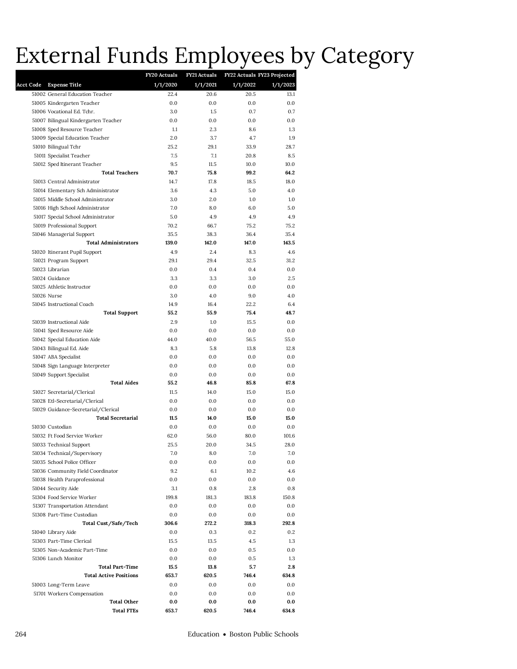# External Funds Employees by Category

|                  |                                                                 | FY20 Actuals | <b>FY21 Actuals</b> | FY22 Actuals FY23 Projected |             |
|------------------|-----------------------------------------------------------------|--------------|---------------------|-----------------------------|-------------|
| <b>Acct Code</b> | <b>Expense Title</b>                                            | 1/1/2020     | 1/1/2021            | 1/1/2022                    | 1/1/2023    |
|                  | 51002 General Education Teacher                                 | 22.4         | 20.6                | 20.5                        | 13.1        |
|                  | 51005 Kindergarten Teacher                                      | 0.0          | 0.0                 | 0.0                         | 0.0         |
|                  | 51006 Vocational Ed. Tchr.                                      | 3.0          | 1.5                 | 0.7                         | 0.7         |
|                  | 51007 Bilingual Kindergarten Teacher                            | 0.0          | 0.0                 | 0.0                         | 0.0         |
|                  | 51008 Sped Resource Teacher                                     | 1.1          | 2.3                 | 8.6                         | 1.3         |
|                  | 51009 Special Education Teacher                                 | 2.0          | 3.7                 | 4.7                         | 1.9         |
|                  | 51010 Bilingual Tchr                                            | 25.2         | 29.1                | 33.9                        | 28.7        |
|                  | 51011 Specialist Teacher                                        | 7.5          | 7.1                 | 20.8                        | 8.5         |
|                  | 51012 Sped Itinerant Teacher                                    | 9.5          | 11.5                | 10.0                        | 10.0        |
|                  | <b>Total Teachers</b>                                           | 70.7         | 75.8                | 99.2                        | 64.2        |
|                  | 51013 Central Administrator                                     | 14.7         | 17.8                | 18.5                        | 18.0        |
|                  | 51014 Elementary Sch Administrator                              | 3.6          | 4.3                 | 5.0                         | 4.0         |
|                  | 51015 Middle School Administrator                               | 3.0          | 2.0                 | 1.0                         | 1.0         |
|                  | 51016 High School Administrator                                 | 7.0          | 8.0                 | 6.0                         | 5.0         |
|                  | 51017 Special School Administrator                              | 5.0          | 4.9                 | 4.9                         | 4.9         |
|                  | 51019 Professional Support                                      | 70.2         | 66.7                | 75.2                        | 75.2        |
|                  | 51046 Managerial Support                                        | 35.5         | 38.3                | 36.4                        | 35.4        |
|                  | <b>Total Administrators</b>                                     | 139.0        | 142.0               | 147.0                       | 143.5       |
|                  | 51020 Itinerant Pupil Support                                   | 4.9          | 2.4                 | 8.3                         | 4.6         |
|                  | 51021 Program Support                                           | 29.1         | 29.4                | 32.5                        | 31.2        |
|                  | 51023 Librarian                                                 | 0.0          | 0.4                 | 0.4                         | 0.0         |
|                  | 51024 Guidance                                                  | 3.3          | 3.3                 | 3.0                         | 2.5         |
|                  | 51025 Athletic Instructor                                       | 0.0          | 0.0                 | 0.0                         | 0.0         |
|                  | 51026 Nurse                                                     | 3.0          | 4.0                 | 9.0                         | 4.0         |
|                  | 51045 Instructional Coach                                       | 14.9         | 16.4                | 22.2                        | 6.4         |
|                  | Total Support                                                   | 55.2         | 55.9                | 75.4                        | 48.7        |
|                  | 51039 Instructional Aide                                        | 2.9          | 1.0                 | 15.5                        | 0.0         |
|                  | 51041 Sped Resource Aide                                        | 0.0          | 0.0                 | 0.0                         | 0.0         |
|                  | 51042 Special Education Aide                                    | 44.0         | 40.0                | 56.5                        | 55.0        |
|                  | 51043 Bilingual Ed. Aide                                        | 8.3          | 5.8                 | 13.8                        | 12.8        |
|                  | 51047 ABA Specialist                                            | 0.0          | 0.0                 | 0.0                         | 0.0         |
|                  | 51048 Sign Language Interpreter                                 | 0.0          | 0.0                 | 0.0                         | 0.0         |
|                  | 51049 Support Specialist                                        | 0.0          | 0.0                 | 0.0                         | 0.0         |
|                  | <b>Total Aides</b>                                              | 55.2         | 46.8                | 85.8                        | 67.8        |
|                  | 51027 Secretarial/Clerical                                      | 11.5         | 14.0                | 15.0                        | 15.0        |
|                  | 51028 Etl-Secretarial/Clerical                                  | 0.0          | 0.0                 | 0.0                         | 0.0         |
|                  | 51029 Guidance-Secretarial/Clerical<br><b>Total Secretarial</b> | 0.0<br>11.5  | 0.0<br>14.0         | 0.0<br>15.0                 | 0.0<br>15.0 |
|                  |                                                                 |              |                     |                             |             |
|                  | 51030 Custodian                                                 | 0.0          | 0.0                 | 0.0                         | 0.0         |
|                  | 51032 Ft Food Service Worker                                    | 62.0<br>25.5 | 56.0                | 80.0                        | 101.6       |
|                  | 51033 Technical Support                                         | 7.0          | 20.0<br>8.0         | 34.5<br>7.0                 | 28.0<br>7.0 |
|                  | 51034 Technical/Supervisory<br>51035 School Police Officer      | 0.0          | 0.0                 | 0.0                         | 0.0         |
|                  | 51036 Community Field Coordinator                               | 9.2          | 6.1                 | 10.2                        | 4.6         |
|                  | 51038 Health Paraprofessional                                   | $0.0\,$      | 0.0                 | 0.0                         | 0.0         |
|                  | 51044 Security Aide                                             | 3.1          | 0.8                 | 2.8                         | 0.8         |
|                  | 51304 Food Service Worker                                       | 199.8        | 181.3               | 183.8                       | 150.8       |
|                  | 51307 Transportation Attendant                                  | 0.0          | 0.0                 | 0.0                         | 0.0         |
|                  | 51308 Part-Time Custodian                                       | 0.0          | 0.0                 | 0.0                         | 0.0         |
|                  | Total Cust/Safe/Tech                                            | 306.6        | 272.2               | 318.3                       | 292.8       |
|                  | 51040 Library Aide                                              | 0.0          | 0.3                 | 0.2                         | 0.2         |
|                  | 51303 Part-Time Clerical                                        | 15.5         | 13.5                | 4.5                         | 1.3         |
|                  | 51305 Non-Academic Part-Time                                    | 0.0          | 0.0                 | 0.5                         | $0.0\,$     |
|                  | 51306 Lunch Monitor                                             | 0.0          | 0.0                 | 0.5                         | 1.3         |
|                  | <b>Total Part-Time</b>                                          | 15.5         | 13.8                | 5.7                         | 2.8         |
|                  | <b>Total Active Positions</b>                                   | 653.7        | 620.5               | 746.4                       | 634.8       |
|                  | 51003 Long-Term Leave                                           | 0.0          | 0.0                 | 0.0                         | 0.0         |
|                  | 51701 Workers Compensation                                      | 0.0          | 0.0                 | 0.0                         | 0.0         |
|                  | Total Other                                                     | 0.0          | 0.0                 | 0.0                         | 0.0         |
|                  | Total FTEs                                                      | 653.7        | 620.5               | 746.4                       | 634.8       |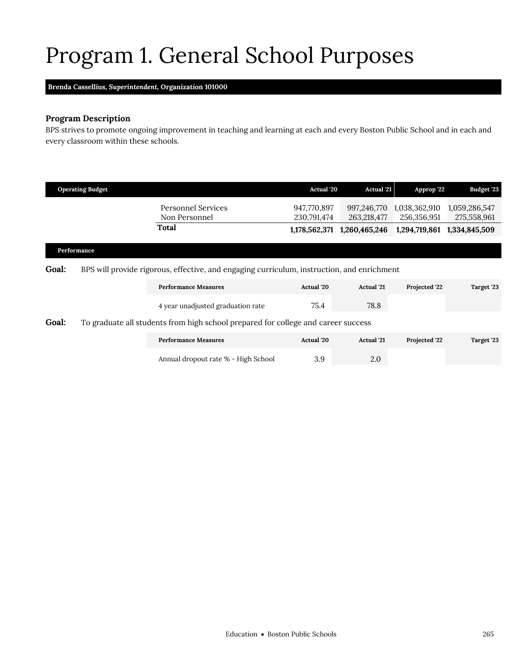# <span id="page-12-0"></span>Program 1. General School Purposes

**Brenda Cassellius,** *Superintendent,* **Organization 101000**

## **Program Description**

BPS strives to promote ongoing improvement in teaching and learning at each and every Boston Public School and in each and every classroom within these schools.

|                                                                                                            | <b>Operating Budget</b> |                                     | Actual '20                 | <b>Actual '21</b>          | Approp '22                   | Budget '23                   |
|------------------------------------------------------------------------------------------------------------|-------------------------|-------------------------------------|----------------------------|----------------------------|------------------------------|------------------------------|
|                                                                                                            |                         | Personnel Services<br>Non Personnel | 947,770,897<br>230,791,474 | 997,246,770<br>263,218,477 | 1,038,362,910<br>256,356,951 | 1,059,286,547<br>275,558,961 |
|                                                                                                            |                         | Total                               | 1,178,562,371              | 1,260,465,246              | 1,294,719,861                | 1,334,845,509                |
|                                                                                                            | Performance             |                                     |                            |                            |                              |                              |
| <b>Goal:</b><br>BPS will provide rigorous, effective, and engaging curriculum, instruction, and enrichment |                         |                                     |                            |                            |                              |                              |
|                                                                                                            |                         | <b>Performance Measures</b>         | Actual '20                 | Actual '21                 | Projected '22                | Target '23                   |
|                                                                                                            |                         | 4 year unadjusted graduation rate   | 75.4                       | 78.8                       |                              |                              |
| Goal:<br>To graduate all students from high school prepared for college and career success                 |                         |                                     |                            |                            |                              |                              |
|                                                                                                            |                         | <b>Performance Measures</b>         | Actual '20                 | <b>Actual</b> '21          | Projected '22                | Target '23                   |
|                                                                                                            |                         | Annual dropout rate % - High School | 3.9                        | 2.0                        |                              |                              |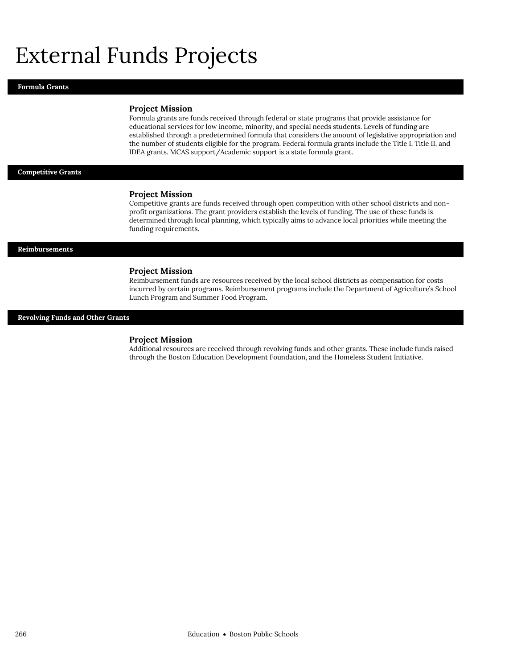## External Funds Projects

#### **Formula Grants**

#### **Project Mission**

Formula grants are funds received through federal or state programs that provide assistance for educational services for low income, minority, and special needs students. Levels of funding are established through a predetermined formula that considers the amount of legislative appropriation and the number of students eligible for the program. Federal formula grants include the Title I, Title II, and IDEA grants. MCAS support/Academic support is a state formula grant.

#### **Competitive Grants**

#### **Project Mission**

Competitive grants are funds received through open competition with other school districts and nonprofit organizations. The grant providers establish the levels of funding. The use of these funds is determined through local planning, which typically aims to advance local priorities while meeting the funding requirements.

#### **Reimbursements**

#### **Project Mission**

Reimbursement funds are resources received by the local school districts as compensation for costs incurred by certain programs. Reimbursement programs include the Department of Agriculture's School Lunch Program and Summer Food Program.

#### **Revolving Funds and Other Grants**

#### **Project Mission**

Additional resources are received through revolving funds and other grants. These include funds raised through the Boston Education Development Foundation, and the Homeless Student Initiative.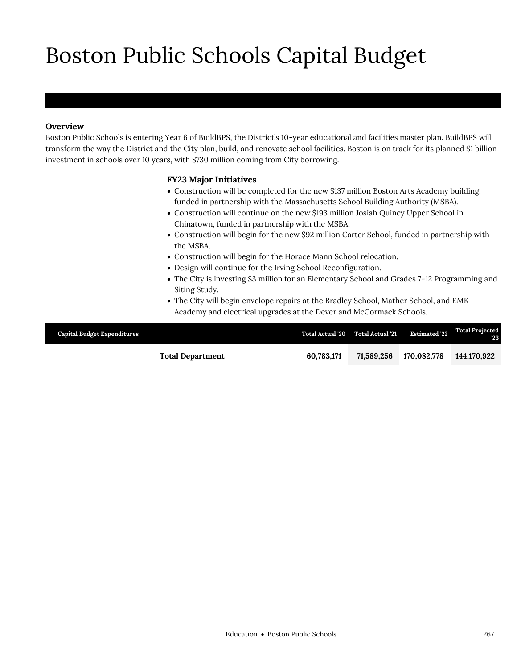# Boston Public Schools Capital Budget

## **Overview**

Boston Public Schools

Boston Public Schools is entering Year 6 of BuildBPS, the District's 10-year educational and facilities master plan. BuildBPS will transform the way the District and the City plan, build, and renovate school facilities. Boston is on track for its planned \$1 billion investment in schools over 10 years, with \$730 million coming from City borrowing.

## **FY23 Major Initiatives**

- Construction will be completed for the new \$137 million Boston Arts Academy building, funded in partnership with the Massachusetts School Building Authority (MSBA).
- Construction will continue on the new \$193 million Josiah Quincy Upper School in Chinatown, funded in partnership with the MSBA.
- Construction will begin for the new \$92 million Carter School, funded in partnership with the MSBA.
- Construction will begin for the Horace Mann School relocation.
- Design will continue for the Irving School Reconfiguration.
- The City is investing \$3 million for an Elementary School and Grades 7-12 Programming and Siting Study.
- The City will begin envelope repairs at the Bradley School, Mather School, and EMK Academy and electrical upgrades at the Dever and McCormack Schools.

| <b>Capital Budget Expenditures</b> | Total Actual '20 Total Actual '21 |            | <b>Estimated '22</b> | <b>Total Projected</b><br>23 |
|------------------------------------|-----------------------------------|------------|----------------------|------------------------------|
| <b>Total Department</b>            | 60.783.171                        | 71.589.256 | 170.082.778          | 144,170,922                  |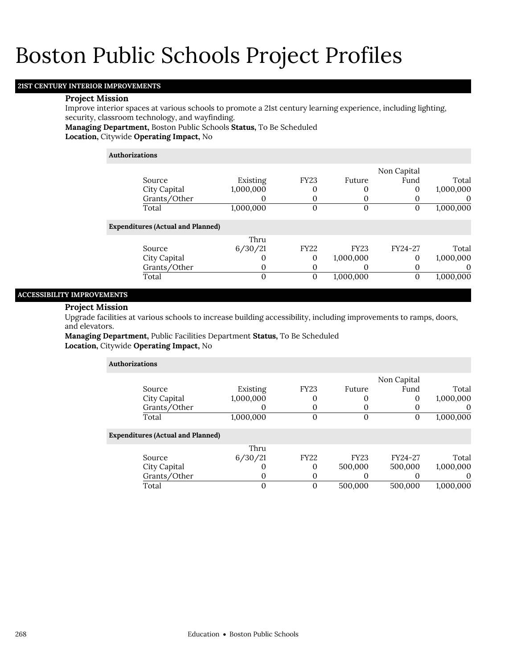## **21ST CENTURY INTERIOR IMPROVEMENTS**

#### **Project Mission**

Improve interior spaces at various schools to promote a 21st century learning experience, including lighting, security, classroom technology, and wayfinding.

**Managing Department,** Boston Public Schools **Status,** To Be Scheduled

**Location,** Citywide **Operating Impact,** No

### **Authorizations**

|                                          |           |              |              | Non Capital |           |
|------------------------------------------|-----------|--------------|--------------|-------------|-----------|
| Source                                   | Existing  | <b>FY23</b>  | Future       | Fund        | Total     |
| City Capital                             | 1,000,000 | 0            | O            | 0           | 1,000,000 |
| Grants/Other                             |           | 0            | 0            | O           | O         |
| Total                                    | 1,000,000 | 0            | $\mathbf{0}$ | 0           | 1,000,000 |
| <b>Expenditures (Actual and Planned)</b> |           |              |              |             |           |
|                                          | Thru      |              |              |             |           |
| Source                                   | 6/30/21   | <b>FY22</b>  | <b>FY23</b>  | FY24-27     | Total     |
| City Capital                             |           | 0            | 1,000,000    | 0           | 1,000,000 |
| Grants/Other                             | 0         | 0            | O            | O           | O         |
| Total                                    | $\Omega$  | $\mathbf{0}$ | 1,000,000    | 0           | 1,000,000 |
|                                          |           |              |              |             |           |

## **ACCESSIBILITY IMPROVEMENTS**

#### **Project Mission**

Upgrade facilities at various schools to increase building accessibility, including improvements to ramps, doors, and elevators.

**Managing Department,** Public Facilities Department **Status,** To Be Scheduled **Location,** Citywide **Operating Impact,** No

| <b>Authorizations</b> |                                          |           |                |             |             |           |
|-----------------------|------------------------------------------|-----------|----------------|-------------|-------------|-----------|
|                       |                                          |           |                |             | Non Capital |           |
|                       | Source                                   | Existing  | <b>FY23</b>    | Future      | Fund        | Total     |
|                       | City Capital                             | 1,000,000 | 0              |             | 0           | 1,000,000 |
|                       | Grants/Other                             |           | 0              |             |             | $\theta$  |
|                       | Total                                    | 1,000,000 | $\overline{0}$ | $\Omega$    | 0           | 1,000,000 |
|                       | <b>Expenditures (Actual and Planned)</b> |           |                |             |             |           |
|                       |                                          | Thru      |                |             |             |           |
|                       | Source                                   | 6/30/21   | <b>FY22</b>    | <b>FY23</b> | FY24-27     | Total     |
|                       | City Capital                             |           | 0              | 500,000     | 500,000     | 1,000,000 |
|                       | Grants/Other                             | O         | 0              |             |             | $\Omega$  |
|                       | Total                                    | 0         | $\Omega$       | 500.000     | 500.000     | 1,000,000 |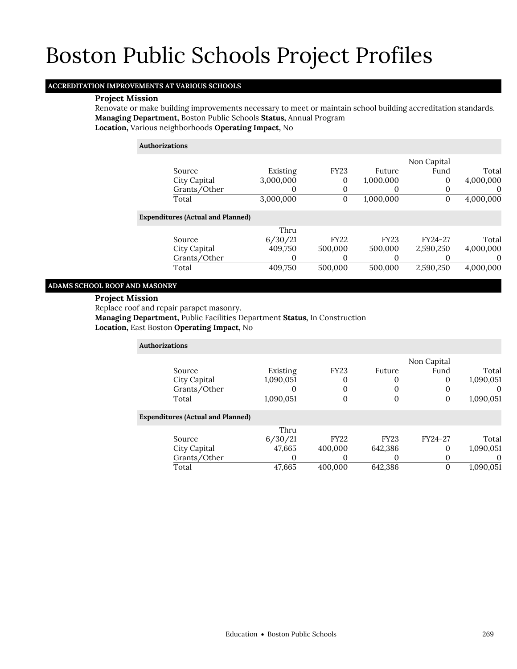## **ACCREDITATION IMPROVEMENTS AT VARIOUS SCHOOLS**

#### **Project Mission**

Renovate or make building improvements necessary to meet or maintain school building accreditation standards. **Managing Department,** Boston Public Schools **Status,** Annual Program **Location,** Various neighborhoods **Operating Impact,** No

**Authorizations**

|                                          |           |             |             | Non Capital |           |
|------------------------------------------|-----------|-------------|-------------|-------------|-----------|
| Source                                   | Existing  | <b>FY23</b> | Future      | Fund        | Total     |
| City Capital                             | 3,000,000 | 0           | 1,000,000   | 0           | 4,000,000 |
| Grants/Other                             |           | 0           | O           | 0           | $\Omega$  |
| Total                                    | 3,000,000 | $\mathbf 0$ | 1,000,000   | 0           | 4,000,000 |
| <b>Expenditures (Actual and Planned)</b> |           |             |             |             |           |
|                                          | Thru      |             |             |             |           |
| Source                                   | 6/30/21   | <b>FY22</b> | <b>FY23</b> | FY24-27     | Total     |
| City Capital                             | 409,750   | 500,000     | 500,000     | 2,590,250   | 4,000,000 |
| Grants/Other                             |           |             |             |             | 0         |
| Total                                    | 409.750   | 500,000     | 500,000     | 2,590,250   | 4,000,000 |
|                                          |           |             |             |             |           |

### **ADAMS SCHOOL ROOF AND MASONRY**

#### **Project Mission**

Replace roof and repair parapet masonry.

**Managing Department,** Public Facilities Department **Status,** In Construction **Location,** East Boston **Operating Impact,** No

| <b>Authorizations</b>                    |           |                |             |             |           |
|------------------------------------------|-----------|----------------|-------------|-------------|-----------|
|                                          |           |                |             | Non Capital |           |
| Source                                   | Existing  | <b>FY23</b>    | Future      | Fund        | Total     |
| City Capital                             | 1,090,051 | 0              |             | 0           | 1,090,051 |
| Grants/Other                             |           | 0              |             | 0           |           |
| Total                                    | 1,090,051 | $\overline{0}$ | $\Omega$    | 0           | 1,090,051 |
| <b>Expenditures (Actual and Planned)</b> |           |                |             |             |           |
|                                          | Thru      |                |             |             |           |
| Source                                   | 6/30/21   | <b>FY22</b>    | <b>FY23</b> | FY24-27     | Total     |
| City Capital                             | 47,665    | 400,000        | 642,386     | 0           | 1,090,051 |
| Grants/Other                             |           | 0              |             | 0           | O         |
| Total                                    | 47,665    | 400.000        | 642.386     |             | 1,090,051 |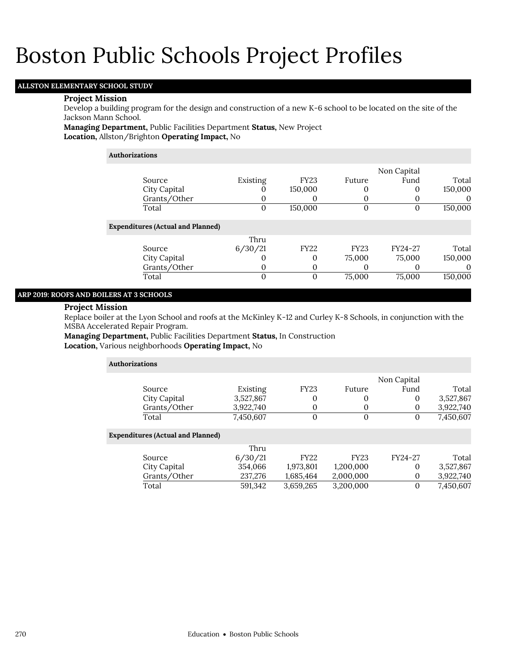## **ALLSTON ELEMENTARY SCHOOL STUDY**

### **Project Mission**

Develop a building program for the design and construction of a new K-6 school to be located on the site of the Jackson Mann School.

**Managing Department,** Public Facilities Department **Status,** New Project **Location,** Allston/Brighton **Operating Impact,** No

#### **Authorizations**

|                                          |          |              |                   | Non Capital |          |
|------------------------------------------|----------|--------------|-------------------|-------------|----------|
| Source                                   | Existing | <b>FY23</b>  | Future            | Fund        | Total    |
| City Capital                             | 0        | 150,000      | O                 | 0           | 150,000  |
| Grants/Other                             | $\Omega$ | O            |                   |             | $\Omega$ |
| Total                                    | 0        | 150,000      | 0                 | 0           | 150,000  |
| <b>Expenditures (Actual and Planned)</b> |          |              |                   |             |          |
|                                          | Thru     |              |                   |             |          |
| Source                                   | 6/30/21  | <b>FY22</b>  | <b>FY23</b>       | FY24-27     | Total    |
| City Capital                             |          | 0            | 75,000            | 75,000      | 150,000  |
| Grants/Other                             | $\Omega$ | 0            | $\mathbf{\Omega}$ |             |          |
| Total                                    | $\Omega$ | $\mathbf{0}$ | 75,000            | 75,000      | 150,000  |
|                                          |          |              |                   |             |          |

### **ARP 2019: ROOFS AND BOILERS AT 3 SCHOOLS**

#### **Project Mission**

Replace boiler at the Lyon School and roofs at the McKinley K-12 and Curley K-8 Schools, in conjunction with the MSBA Accelerated Repair Program.

**Managing Department,** Public Facilities Department **Status,** In Construction **Location,** Various neighborhoods **Operating Impact,** No

| <b>Authorizations</b>                    |           |             |             |             |           |
|------------------------------------------|-----------|-------------|-------------|-------------|-----------|
|                                          |           |             |             | Non Capital |           |
| Source                                   | Existing  | <b>FY23</b> | Future      | Fund        | Total     |
| City Capital                             | 3,527,867 | 0           | 0           | 0           | 3,527,867 |
| Grants/Other                             | 3,922,740 | 0           | 0           | 0           | 3,922,740 |
| Total                                    | 7,450,607 | $\mathbf 0$ | $\Omega$    | 0           | 7,450,607 |
| <b>Expenditures (Actual and Planned)</b> |           |             |             |             |           |
|                                          | Thru      |             |             |             |           |
| Source                                   | 6/30/21   | <b>FY22</b> | <b>FY23</b> | FY24-27     | Total     |
| City Capital                             | 354,066   | 1,973,801   | 1,200,000   | $\Omega$    | 3,527,867 |
| Grants/Other                             | 237,276   | 1,685,464   | 2,000,000   | 0           | 3,922,740 |
| Total                                    | 591.342   | 3,659,265   | 3,200,000   | $\Omega$    | 7,450,607 |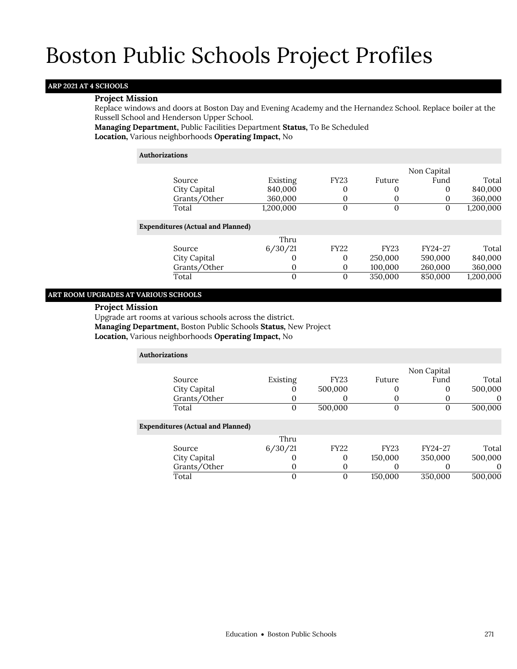## **ARP 2021 AT 4 SCHOOLS**

### **Project Mission**

Replace windows and doors at Boston Day and Evening Academy and the Hernandez School. Replace boiler at the Russell School and Henderson Upper School.

**Managing Department,** Public Facilities Department **Status,** To Be Scheduled **Location,** Various neighborhoods **Operating Impact,** No

#### **Authorizations**

|                                          |           |                |             | Non Capital |           |
|------------------------------------------|-----------|----------------|-------------|-------------|-----------|
| Source                                   | Existing  | <b>FY23</b>    | Future      | Fund        | Total     |
| City Capital                             | 840,000   | 0              | 0           | 0           | 840,000   |
| Grants/Other                             | 360,000   | 0              | $\Omega$    |             | 360,000   |
| Total                                    | 1,200,000 | $\overline{0}$ | $\Omega$    | 0           | 1,200,000 |
| <b>Expenditures (Actual and Planned)</b> |           |                |             |             |           |
|                                          | Thru      |                |             |             |           |
| Source                                   | 6/30/21   | <b>FY22</b>    | <b>FY23</b> | FY24-27     | Total     |
| City Capital                             | 0         | 0              | 250,000     | 590,000     | 840,000   |
| Grants/Other                             | 0         | 0              | 100,000     | 260,000     | 360,000   |
| Total                                    | $\Omega$  | $\mathbf{0}$   | 350,000     | 850,000     | 1,200,000 |
|                                          |           |                |             |             |           |

## **ART ROOM UPGRADES AT VARIOUS SCHOOLS**

## **Project Mission**

Upgrade art rooms at various schools across the district.

**Managing Department,** Boston Public Schools **Status,** New Project

**Location,** Various neighborhoods **Operating Impact,** No

| <b>Authorizations</b>                    |          |             |             |             |          |
|------------------------------------------|----------|-------------|-------------|-------------|----------|
|                                          |          |             |             | Non Capital |          |
| Source                                   | Existing | <b>FY23</b> | Future      | Fund        | Total    |
| City Capital                             |          | 500,000     |             |             | 500,000  |
| Grants/Other                             |          |             |             |             |          |
| Total                                    | $\Omega$ | 500,000     | 0           | 0           | 500,000  |
| <b>Expenditures (Actual and Planned)</b> |          |             |             |             |          |
|                                          | Thru     |             |             |             |          |
| Source                                   | 6/30/21  | <b>FY22</b> | <b>FY23</b> | FY24-27     | Total    |
| City Capital                             |          | 0           | 150,000     | 350,000     | 500,000  |
| Grants/Other                             | O        | 0           | $\Omega$    |             | $\theta$ |
| Total                                    | 0        | 0           | 150,000     | 350,000     | 500,000  |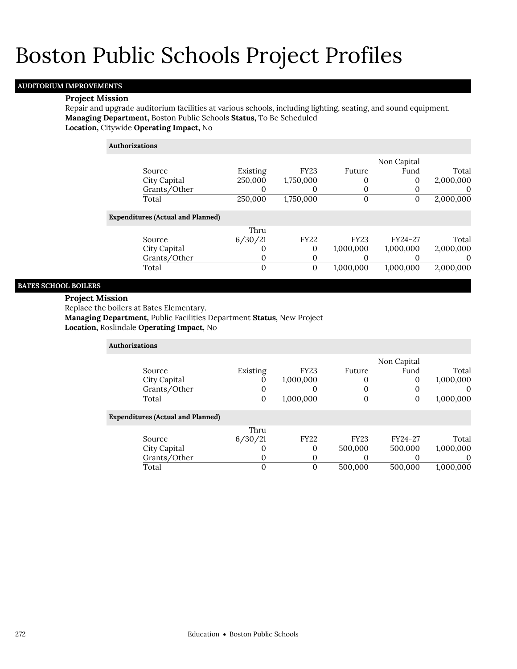## **AUDITORIUM IMPROVEMENTS**

#### **Project Mission**

Repair and upgrade auditorium facilities at various schools, including lighting, seating, and sound equipment. **Managing Department,** Boston Public Schools **Status,** To Be Scheduled **Location,** Citywide **Operating Impact,** No

| <b>Authorizations</b>                    |          |             |             |             |           |
|------------------------------------------|----------|-------------|-------------|-------------|-----------|
|                                          |          |             |             | Non Capital |           |
| Source                                   | Existing | <b>FY23</b> | Future      | Fund        | Total     |
| City Capital                             | 250,000  | 1,750,000   |             | 0           | 2,000,000 |
| Grants/Other                             | 0        | O           |             | 0           | O         |
| Total                                    | 250,000  | 1,750,000   | 0           | 0           | 2,000,000 |
| <b>Expenditures (Actual and Planned)</b> |          |             |             |             |           |
|                                          | Thru     |             |             |             |           |
| Source                                   | 6/30/21  | <b>FY22</b> | <b>FY23</b> | FY24-27     | Total     |
| City Capital                             | O        | 0           | 1,000,000   | 1,000,000   | 2,000,000 |
| Grants/Other                             | 0        | O           |             | 0           | 0         |
| Total                                    | 0        | $\Omega$    | 1,000,000   | 1,000,000   | 2,000,000 |

## **BATES SCHOOL BOILERS**

### **Project Mission**

Replace the boilers at Bates Elementary.

**Managing Department,** Public Facilities Department **Status,** New Project

**Location,** Roslindale **Operating Impact,** No

| <b>Authorizations</b>                    |          |             |              |             |           |
|------------------------------------------|----------|-------------|--------------|-------------|-----------|
|                                          |          |             |              | Non Capital |           |
| Source                                   | Existing | <b>FY23</b> | Future       | Fund        | Total     |
| City Capital                             | υ        | 1,000,000   | 0            | 0           | 1,000,000 |
| Grants/Other                             |          |             | O            | 0           | $\theta$  |
| Total                                    | 0        | 1,000,000   | $\mathbf{0}$ | O           | 1,000,000 |
|                                          |          |             |              |             |           |
| <b>Expenditures (Actual and Planned)</b> |          |             |              |             |           |
|                                          | Thru     |             |              |             |           |
| Source                                   | 6/30/21  | <b>FY22</b> | <b>FY23</b>  | FY24-27     | Total     |
| City Capital                             | 0        | $\Omega$    | 500,000      | 500,000     | 1,000,000 |
| Grants/Other                             | U        | $\Omega$    | 0            |             | $\Omega$  |
| Total                                    |          | 0           | 500,000      | 500,000     | 1,000,000 |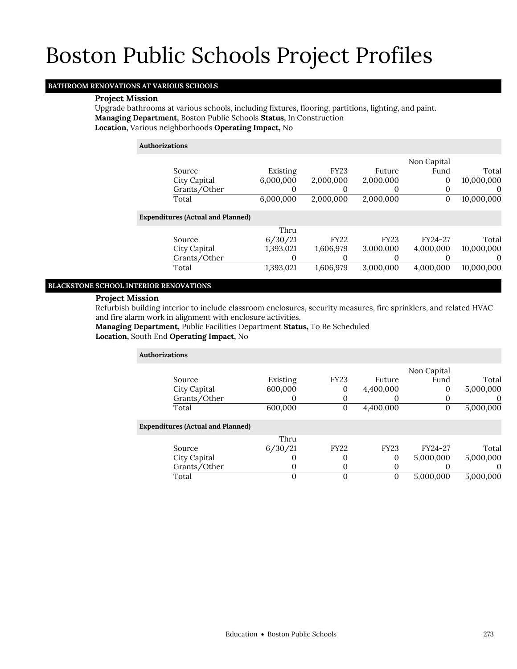## **BATHROOM RENOVATIONS AT VARIOUS SCHOOLS**

### **Project Mission**

Upgrade bathrooms at various schools, including fixtures, flooring, partitions, lighting, and paint. **Managing Department,** Boston Public Schools **Status,** In Construction **Location,** Various neighborhoods **Operating Impact,** No

### **Authorizations**

| Source<br>City Capital<br>Grants/Other<br>Total | Existing<br>6,000,000<br>6,000,000 | <b>FY23</b><br>2,000,000<br>2,000,000 | Future<br>2,000,000<br>O<br>2,000,000 | Non Capital<br>Fund<br>0<br>0<br>0 | Total<br>10,000,000<br>$\Omega$<br>10,000,000 |
|-------------------------------------------------|------------------------------------|---------------------------------------|---------------------------------------|------------------------------------|-----------------------------------------------|
| <b>Expenditures (Actual and Planned)</b>        |                                    |                                       |                                       |                                    |                                               |
|                                                 | Thru                               |                                       |                                       |                                    |                                               |
| Source                                          | 6/30/21                            | <b>FY22</b>                           | <b>FY23</b>                           | FY24-27                            | Total                                         |
| City Capital                                    | 1,393,021                          | 1,606,979                             | 3,000,000                             | 4,000,000                          | 10,000,000                                    |
| Grants/Other                                    |                                    | 0                                     |                                       |                                    | $\Omega$                                      |
| Total                                           | 1,393,021                          | 1,606,979                             | 3,000,000                             | 4,000,000                          | 10,000,000                                    |

#### **BLACKSTONE SCHOOL INTERIOR RENOVATIONS**

## **Project Mission**

Refurbish building interior to include classroom enclosures, security measures, fire sprinklers, and related HVAC and fire alarm work in alignment with enclosure activities.

**Managing Department,** Public Facilities Department **Status,** To Be Scheduled **Location,** South End **Operating Impact,** No

| <b>Authorizations</b>                    |          |              |             |             |           |
|------------------------------------------|----------|--------------|-------------|-------------|-----------|
|                                          |          |              |             | Non Capital |           |
| Source                                   | Existing | <b>FY23</b>  | Future      | Fund        | Total     |
| City Capital                             | 600,000  | 0            | 4,400,000   | O           | 5,000,000 |
| Grants/Other                             |          | O            | $\theta$    | O           | $\theta$  |
| Total                                    | 600,000  | $\mathbf{0}$ | 4,400,000   | 0           | 5,000,000 |
| <b>Expenditures (Actual and Planned)</b> |          |              |             |             |           |
|                                          | Thru     |              |             |             |           |
| Source                                   | 6/30/21  | <b>FY22</b>  | <b>FY23</b> | FY24-27     | Total     |
| City Capital                             |          | 0            | $\Omega$    | 5,000,000   | 5,000,000 |
| Grants/Other                             |          | O            | $\Omega$    |             | $\Omega$  |
| Total                                    | 0        | 0            | $\Omega$    | 5,000,000   | 5,000,000 |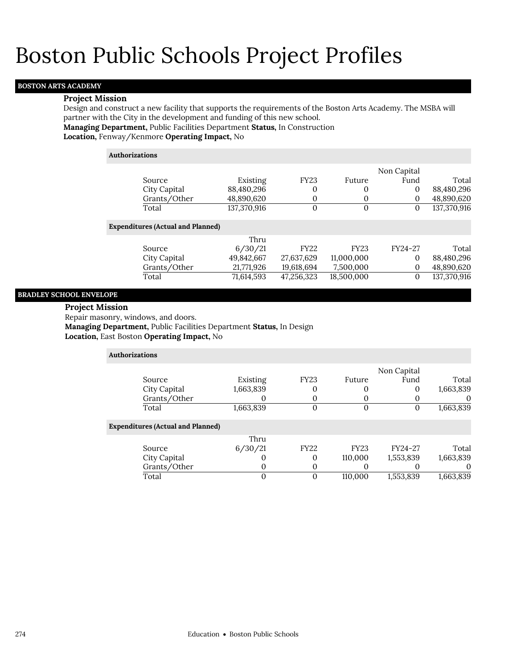## **BOSTON ARTS ACADEMY**

#### **Project Mission**

Design and construct a new facility that supports the requirements of the Boston Arts Academy. The MSBA will partner with the City in the development and funding of this new school.

**Managing Department,** Public Facilities Department **Status,** In Construction **Location,** Fenway/Kenmore **Operating Impact,** No

| <b>Authorizations</b> |                                          |             |              |             |             |             |
|-----------------------|------------------------------------------|-------------|--------------|-------------|-------------|-------------|
|                       |                                          |             |              |             | Non Capital |             |
|                       | Source                                   | Existing    | <b>FY23</b>  | Future      | Fund        | Total       |
|                       | City Capital                             | 88,480,296  | 0            | 0           | 0           | 88,480,296  |
|                       | Grants/Other                             | 48,890,620  | 0            | 0           | $\Omega$    | 48,890,620  |
|                       | Total                                    | 137,370,916 | $\mathbf{0}$ | 0           | $\bf{0}$    | 137,370,916 |
|                       | <b>Expenditures (Actual and Planned)</b> |             |              |             |             |             |
|                       |                                          | Thru        |              |             |             |             |
|                       | Source                                   | 6/30/21     | <b>FY22</b>  | <b>FY23</b> | FY24-27     | Total       |
|                       | City Capital                             | 49,842,667  | 27,637,629   | 11,000,000  | 0           | 88,480,296  |
|                       | Grants/Other                             | 21,771,926  | 19,618,694   | 7,500,000   | 0           | 48,890,620  |
|                       | Total                                    | 71.614.593  | 47,256,323   | 18,500,000  | $\Omega$    | 137,370,916 |

#### **BRADLEY SCHOOL ENVELOPE**

#### **Project Mission**

Repair masonry, windows, and doors.

**Managing Department,** Public Facilities Department **Status,** In Design

**Location,** East Boston **Operating Impact,** No

| Authorizations                           |           |             |             |             |           |
|------------------------------------------|-----------|-------------|-------------|-------------|-----------|
|                                          |           |             |             | Non Capital |           |
| Source                                   | Existing  | <b>FY23</b> | Future      | Fund        | Total     |
| City Capital                             | 1,663,839 | 0           |             | 0           | 1,663,839 |
| Grants/Other                             |           | $\Omega$    |             |             | $\theta$  |
| Total                                    | 1,663,839 | $\mathbf 0$ | $\Omega$    | 0           | 1,663,839 |
| <b>Expenditures (Actual and Planned)</b> |           |             |             |             |           |
|                                          | Thru      |             |             |             |           |
| Source                                   | 6/30/21   | <b>FY22</b> | <b>FY23</b> | FY24-27     | Total     |
| City Capital                             |           | 0           | 110,000     | 1,553,839   | 1,663,839 |
| Grants/Other                             | O         | 0           |             |             | 0         |
| Total                                    | 0         | $\Omega$    | 110,000     | 1,553,839   | 1,663,839 |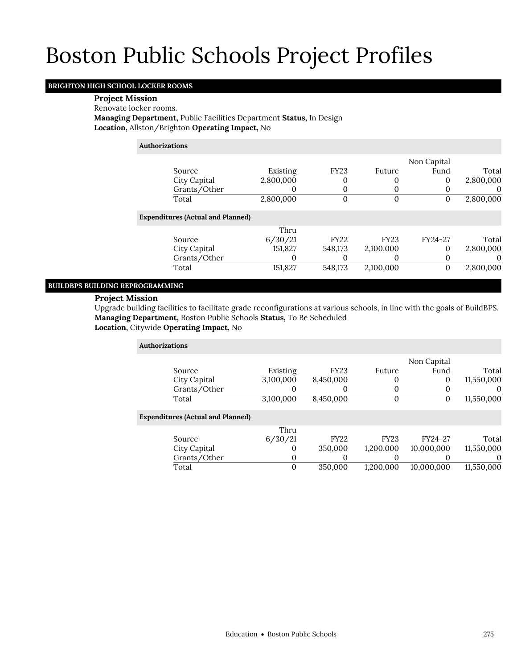## **BRIGHTON HIGH SCHOOL LOCKER ROOMS**

### **Project Mission**

#### Renovate locker rooms.

**Managing Department,** Public Facilities Department **Status,** In Design **Location,** Allston/Brighton **Operating Impact,** No

### **Authorizations**

|                                          |           |             |             | Non Capital |           |
|------------------------------------------|-----------|-------------|-------------|-------------|-----------|
| Source                                   | Existing  | <b>FY23</b> | Future      | Fund        | Total     |
| City Capital                             | 2,800,000 |             |             | 0           | 2,800,000 |
| Grants/Other                             |           |             |             |             | $\Omega$  |
| Total                                    | 2,800,000 | 0           |             |             | 2,800,000 |
| <b>Expenditures (Actual and Planned)</b> |           |             |             |             |           |
|                                          | Thru      |             |             |             |           |
| Source                                   | 6/30/21   | <b>FY22</b> | <b>FY23</b> | FY24-27     | Total     |
| City Capital                             | 151,827   | 548,173     | 2,100,000   | 0           | 2,800,000 |
| Grants/Other                             |           |             |             |             | $\theta$  |
| Total                                    | 151,827   | 548,173     | 2,100,000   | 0           | 2,800,000 |
|                                          |           |             |             |             |           |

## **BUILDBPS BUILDING REPROGRAMMING**

## **Project Mission**

Upgrade building facilities to facilitate grade reconfigurations at various schools, in line with the goals of BuildBPS. **Managing Department,** Boston Public Schools **Status,** To Be Scheduled **Location,** Citywide **Operating Impact,** No

| <b>Authorizations</b> |                                          |           |             |             |             |            |
|-----------------------|------------------------------------------|-----------|-------------|-------------|-------------|------------|
|                       |                                          |           |             |             | Non Capital |            |
| Source                |                                          | Existing  | <b>FY23</b> | Future      | Fund        | Total      |
|                       | City Capital                             | 3,100,000 | 8,450,000   | 0           | 0           | 11,550,000 |
|                       | Grants/Other                             | O         | O           | $\Omega$    | O           | $\theta$   |
| Total                 |                                          | 3,100,000 | 8,450,000   | $\mathbf 0$ | 0           | 11,550,000 |
|                       | <b>Expenditures (Actual and Planned)</b> |           |             |             |             |            |
|                       |                                          | Thru      |             |             |             |            |
| Source                |                                          | 6/30/21   | <b>FY22</b> | <b>FY23</b> | FY24-27     | Total      |
|                       | City Capital                             | O         | 350,000     | 1,200,000   | 10,000,000  | 11,550,000 |
|                       | Grants/Other                             | 0         | 0           |             | 0           | $\Omega$   |
| Total                 |                                          | 0         | 350,000     | 1.200.000   | 10,000,000  | 11,550,000 |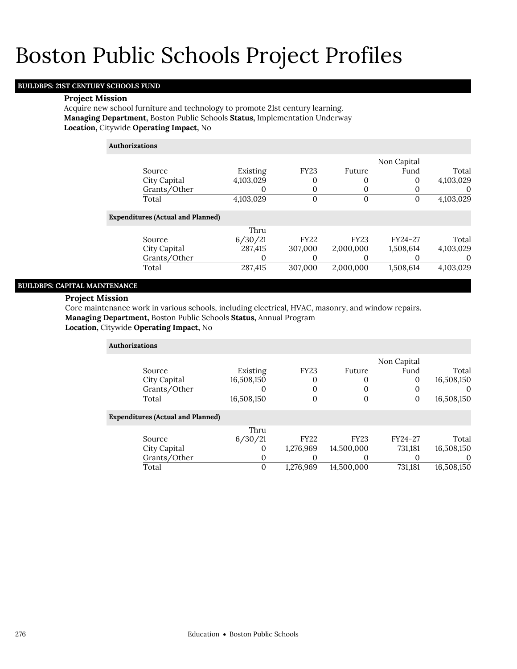## **BUILDBPS: 21ST CENTURY SCHOOLS FUND**

#### **Project Mission**

Acquire new school furniture and technology to promote 21st century learning. **Managing Department,** Boston Public Schools **Status,** Implementation Underway **Location,** Citywide **Operating Impact,** No

| <b>Authorizations</b>                    |           |             |             |             |           |
|------------------------------------------|-----------|-------------|-------------|-------------|-----------|
|                                          |           |             |             | Non Capital |           |
| Source                                   | Existing  | <b>FY23</b> | Future      | Fund        | Total     |
| City Capital                             | 4,103,029 | 0           | 0           | 0           | 4,103,029 |
| Grants/Other                             | O         | 0           | O           | 0           | $\theta$  |
| Total                                    | 4,103,029 | $\Omega$    | $\Omega$    | 0           | 4,103,029 |
| <b>Expenditures (Actual and Planned)</b> |           |             |             |             |           |
|                                          | Thru      |             |             |             |           |
| Source                                   | 6/30/21   | <b>FY22</b> | <b>FY23</b> | FY24-27     | Total     |
| City Capital                             | 287.415   | 307,000     | 2,000,000   | 1,508,614   | 4,103,029 |
| Grants/Other                             | 0         | $\theta$    | O           | O           | $\theta$  |
| Total                                    | 287,415   | 307,000     | 2,000,000   | 1,508,614   | 4,103,029 |
|                                          |           |             |             |             |           |

## **BUILDBPS: CAPITAL MAINTENANCE**

## **Project Mission**

Core maintenance work in various schools, including electrical, HVAC, masonry, and window repairs. **Managing Department,** Boston Public Schools **Status,** Annual Program

**Location,** Citywide **Operating Impact,** No

| <b>Authorizations</b>                    |            |             |             |             |              |
|------------------------------------------|------------|-------------|-------------|-------------|--------------|
|                                          |            |             |             | Non Capital |              |
| Source                                   | Existing   | <b>FY23</b> | Future      | Fund        | Total        |
| City Capital                             | 16,508,150 | 0           | O           | 0           | 16,508,150   |
| Grants/Other                             | O          | 0           |             |             | $\mathbf{U}$ |
| Total                                    | 16,508,150 | $\mathbf 0$ | $\Omega$    | 0           | 16,508,150   |
| <b>Expenditures (Actual and Planned)</b> |            |             |             |             |              |
|                                          | Thru       |             |             |             |              |
| Source                                   | 6/30/21    | <b>FY22</b> | <b>FY23</b> | FY24-27     | Total        |
| City Capital                             | O          | 1,276,969   | 14,500,000  | 731,181     | 16,508,150   |
| Grants/Other                             | 0          |             |             |             | $\Omega$     |
| Total                                    | 0          | 1,276,969   | 14.500.000  | 731,181     | 16,508,150   |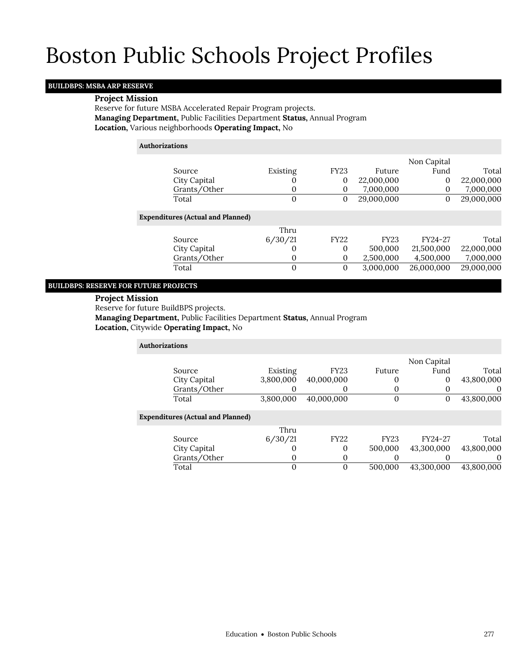## **BUILDBPS: MSBA ARP RESERVE**

## **Project Mission**

Reserve for future MSBA Accelerated Repair Program projects. **Managing Department,** Public Facilities Department **Status,** Annual Program **Location,** Various neighborhoods **Operating Impact,** No

### **Authorizations**

|                                          |              |              |             | Non Capital |            |
|------------------------------------------|--------------|--------------|-------------|-------------|------------|
| Source                                   | Existing     | <b>FY23</b>  | Future      | Fund        | Total      |
| City Capital                             | O            | 0            | 22,000,000  | 0           | 22,000,000 |
| Grants/Other                             | 0            | $\mathbf{0}$ | 7,000,000   | 0           | 7,000,000  |
| Total                                    | $\Omega$     | $\mathbf 0$  | 29,000,000  | 0           | 29,000,000 |
| <b>Expenditures (Actual and Planned)</b> |              |              |             |             |            |
|                                          | Thru         |              |             |             |            |
| Source                                   | 6/30/21      | <b>FY22</b>  | <b>FY23</b> | FY24-27     | Total      |
| City Capital                             | $\Omega$     | $\mathbf 0$  | 500,000     | 21,500,000  | 22,000,000 |
| Grants/Other                             | $\mathbf{0}$ | $\mathbf 0$  | 2,500,000   | 4,500,000   | 7,000,000  |
| Total                                    | $\Omega$     | $\mathbf 0$  | 3,000,000   | 26,000,000  | 29,000,000 |
|                                          |              |              |             |             |            |

## **BUILDBPS: RESERVE FOR FUTURE PROJECTS**

### **Project Mission**

Reserve for future BuildBPS projects.

**Managing Department,** Public Facilities Department **Status,** Annual Program **Location,** Citywide **Operating Impact,** No

| <b>Authorizations</b>                    |           |             |             |              |            |
|------------------------------------------|-----------|-------------|-------------|--------------|------------|
|                                          |           |             |             | Non Capital  |            |
| Source                                   | Existing  | <b>FY23</b> | Future      | Fund         | Total      |
| City Capital                             | 3,800,000 | 40,000,000  | 0           | $\mathbf{0}$ | 43,800,000 |
| Grants/Other                             | 0         | O           | $\Omega$    |              |            |
| Total                                    | 3,800,000 | 40,000,000  | 0           | $\mathbf{0}$ | 43,800,000 |
| <b>Expenditures (Actual and Planned)</b> |           |             |             |              |            |
|                                          | Thru      |             |             |              |            |
| Source                                   | 6/30/21   | <b>FY22</b> | <b>FY23</b> | FY24-27      | Total      |
| City Capital                             | 0         | 0           | 500,000     | 43,300,000   | 43,800,000 |
| Grants/Other                             | 0         | 0           | 0           |              |            |
| Total                                    | 0         | $\Omega$    | 500,000     | 43.300.000   | 43.800.000 |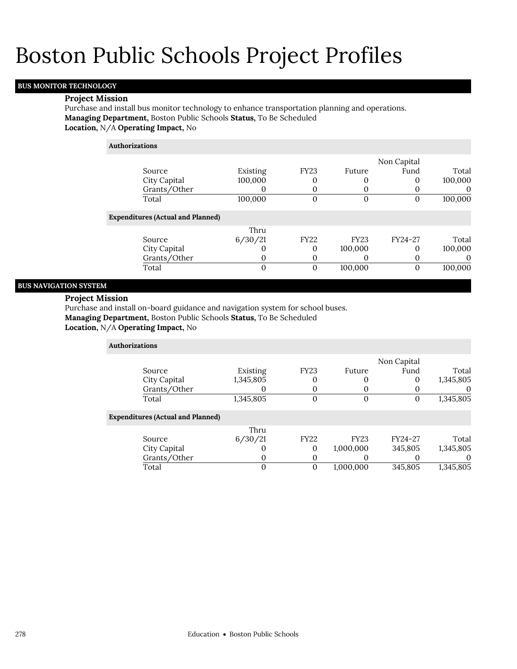## **BUS MONITOR TECHNOLOGY**

#### **Project Mission**

Purchase and install bus monitor technology to enhance transportation planning and operations. **Managing Department,** Boston Public Schools **Status,** To Be Scheduled **Location,** N/A **Operating Impact,** No

| <b>Authorizations</b>                    |             |             |             |             |          |
|------------------------------------------|-------------|-------------|-------------|-------------|----------|
|                                          |             |             |             | Non Capital |          |
| Source                                   | Existing    | <b>FY23</b> | Future      | Fund        | Total    |
| City Capital                             | 100,000     |             |             | 0           | 100,000  |
| Grants/Other                             | O           | 0           | O           |             | $\Omega$ |
| Total                                    | 100,000     | $\Omega$    | 0           | 0           | 100,000  |
| <b>Expenditures (Actual and Planned)</b> |             |             |             |             |          |
|                                          | Thru        |             |             |             |          |
| Source                                   | 6/30/21     | <b>FY22</b> | <b>FY23</b> | FY24-27     | Total    |
| City Capital                             | $\cup$      | 0           | 100,000     | 0           | 100,000  |
| Grants/Other                             | 0           | 0           | O           | 0           | 0        |
| Total                                    | $\mathbf 0$ | $\Omega$    | 100,000     | $\Omega$    | 100,000  |

## **BUS NAVIGATION SYSTEM**

## **Project Mission**

Purchase and install on-board guidance and navigation system for school buses.

**Managing Department,** Boston Public Schools **Status,** To Be Scheduled

**Location,** N/A **Operating Impact,** No

| <b>Authorizations</b>                    |           |              |             |             |           |
|------------------------------------------|-----------|--------------|-------------|-------------|-----------|
|                                          |           |              |             | Non Capital |           |
| Source                                   | Existing  | <b>FY23</b>  | Future      | Fund        | Total     |
| City Capital                             | 1,345,805 | U            |             | 0           | 1,345,805 |
| Grants/Other                             |           | 0            |             |             | $\theta$  |
| Total                                    | 1,345,805 | $\mathbf{0}$ | 0           | O           | 1,345,805 |
| <b>Expenditures (Actual and Planned)</b> |           |              |             |             |           |
|                                          | Thru      |              |             |             |           |
| Source                                   | 6/30/21   | <b>FY22</b>  | <b>FY23</b> | FY24-27     | Total     |
| City Capital                             |           | $\mathbf{0}$ | 1,000,000   | 345,805     | 1,345,805 |
| Grants/Other                             | 0         | 0            |             |             | $\Omega$  |
| Total                                    |           | $\mathbf 0$  | 1,000,000   | 345,805     | 1,345,805 |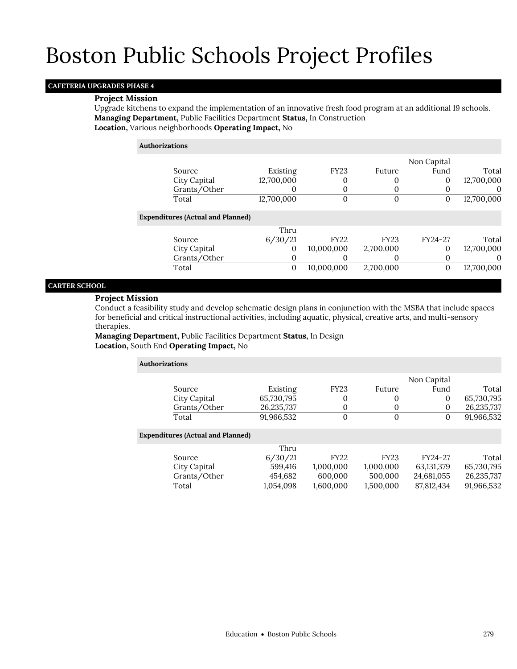## **CAFETERIA UPGRADES PHASE 4**

### **Project Mission**

Upgrade kitchens to expand the implementation of an innovative fresh food program at an additional 19 schools. **Managing Department,** Public Facilities Department **Status,** In Construction **Location,** Various neighborhoods **Operating Impact,** No

## **Authorizations**

|                                          |            |             |             | Non Capital |            |
|------------------------------------------|------------|-------------|-------------|-------------|------------|
| Source                                   | Existing   | <b>FY23</b> | Future      | Fund        | Total      |
| City Capital                             | 12,700,000 | 0           |             | 0           | 12,700,000 |
| Grants/Other                             |            |             |             |             | $\theta$   |
| Total                                    | 12,700,000 | 0           | 0           | 0           | 12,700,000 |
| <b>Expenditures (Actual and Planned)</b> |            |             |             |             |            |
|                                          | Thru       |             |             |             |            |
| Source                                   | 6/30/21    | <b>FY22</b> | <b>FY23</b> | FY24-27     | Total      |
| City Capital                             | 0          | 10,000,000  | 2,700,000   | 0           | 12,700,000 |
| Grants/Other                             | 0          | 0           |             |             |            |
| Total                                    | 0          | 10,000,000  | 2,700,000   | $\Omega$    | 12,700,000 |

## **CARTER SCHOOL**

## **Project Mission**

Conduct a feasibility study and develop schematic design plans in conjunction with the MSBA that include spaces for beneficial and critical instructional activities, including aquatic, physical, creative arts, and multi-sensory therapies.

**Managing Department,** Public Facilities Department **Status,** In Design **Location,** South End **Operating Impact,** No

| <b>Authorizations</b> |                                          |            |              |              |             |              |
|-----------------------|------------------------------------------|------------|--------------|--------------|-------------|--------------|
|                       |                                          |            |              |              | Non Capital |              |
|                       | Source                                   | Existing   | <b>FY23</b>  | Future       | Fund        | Total        |
|                       | City Capital                             | 65,730,795 | 0            | 0            | 0           | 65,730,795   |
|                       | Grants/Other                             | 26,235,737 | 0            | $\mathbf 0$  | $\Omega$    | 26, 235, 737 |
|                       | Total                                    | 91,966,532 | $\mathbf{0}$ | $\mathbf{0}$ | $\Omega$    | 91,966,532   |
|                       | <b>Expenditures (Actual and Planned)</b> |            |              |              |             |              |
|                       |                                          | Thru       |              |              |             |              |
|                       | Source                                   | 6/30/21    | <b>FY22</b>  | <b>FY23</b>  | FY24-27     | Total        |
|                       | City Capital                             | 599,416    | 1,000,000    | 1,000,000    | 63,131,379  | 65,730,795   |
|                       | Grants/Other                             | 454,682    | 600,000      | 500,000      | 24,681,055  | 26,235,737   |
|                       | Total                                    | 1.054.098  | 1.600.000    | 1,500,000    | 87,812,434  | 91,966,532   |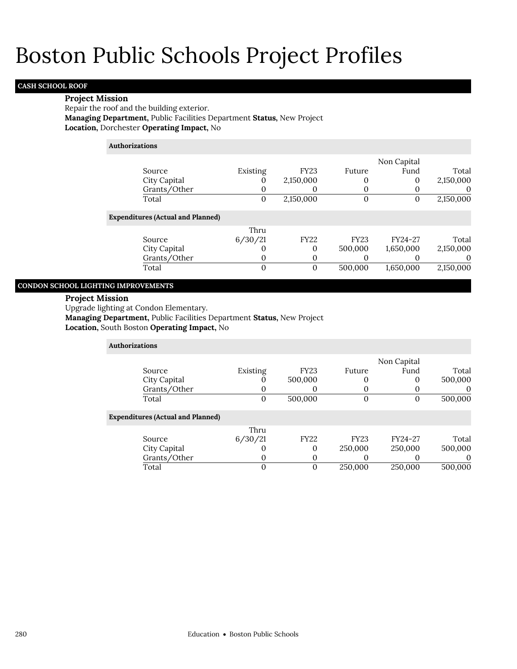## **CASH SCHOOL ROOF**

## **Project Mission**

Repair the roof and the building exterior. **Managing Department,** Public Facilities Department **Status,** New Project **Location,** Dorchester **Operating Impact,** No

## **Authorizations**

|                                          |          |              |             | Non Capital |           |
|------------------------------------------|----------|--------------|-------------|-------------|-----------|
| Source                                   | Existing | <b>FY23</b>  | Future      | Fund        | Total     |
| City Capital                             |          | 2,150,000    |             | 0           | 2,150,000 |
| Grants/Other                             |          |              |             |             | $\Omega$  |
| Total                                    | 0        | 2,150,000    |             | 0           | 2,150,000 |
| <b>Expenditures (Actual and Planned)</b> |          |              |             |             |           |
|                                          | Thru     |              |             |             |           |
| Source                                   | 6/30/21  | <b>FY22</b>  | <b>FY23</b> | FY24-27     | Total     |
| City Capital                             |          | $\Omega$     | 500,000     | 1,650,000   | 2,150,000 |
| Grants/Other                             | 0        | 0            |             |             | $\theta$  |
| Total                                    | 0        | $\mathbf{0}$ | 500,000     | 1,650,000   | 2,150,000 |
|                                          |          |              |             |             |           |

## **CONDON SCHOOL LIGHTING IMPROVEMENTS**

## **Project Mission**

Upgrade lighting at Condon Elementary.

**Managing Department,** Public Facilities Department **Status,** New Project

**Location,** South Boston **Operating Impact,** No

| <b>Authorizations</b>                    |          |             |             |             |          |
|------------------------------------------|----------|-------------|-------------|-------------|----------|
|                                          |          |             |             | Non Capital |          |
| Source                                   | Existing | <b>FY23</b> | Future      | Fund        | Total    |
| City Capital                             | O        | 500,000     | 0           | 0           | 500,000  |
| Grants/Other                             | 0        |             | O           |             | $\theta$ |
| Total                                    | 0        | 500,000     | $\Omega$    | 0           | 500,000  |
| <b>Expenditures (Actual and Planned)</b> |          |             |             |             |          |
|                                          | Thru     |             |             |             |          |
| Source                                   | 6/30/21  | <b>FY22</b> | <b>FY23</b> | FY24-27     | Total    |
| City Capital                             | 0        | 0           | 250,000     | 250,000     | 500,000  |
| Grants/Other                             | 0        | 0           | υ           |             | $\Omega$ |
| Total                                    | 0        | 0           | 250,000     | 250,000     | 500,000  |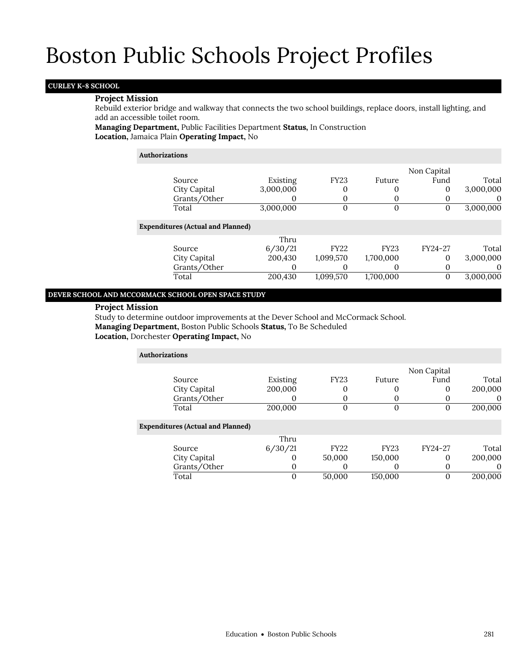## **CURLEY K-8 SCHOOL**

### **Project Mission**

Rebuild exterior bridge and walkway that connects the two school buildings, replace doors, install lighting, and add an accessible toilet room.

**Managing Department,** Public Facilities Department **Status,** In Construction **Location,** Jamaica Plain **Operating Impact,** No

#### **Authorizations**

|                                          |           |             |             | Non Capital |           |
|------------------------------------------|-----------|-------------|-------------|-------------|-----------|
| Source                                   | Existing  | <b>FY23</b> | Future      | Fund        | Total     |
| City Capital                             | 3,000,000 | 0           | 0           | 0           | 3,000,000 |
| Grants/Other                             | 0         | 0           | 0           |             |           |
| Total                                    | 3,000,000 | 0           | $\Omega$    | 0           | 3,000,000 |
| <b>Expenditures (Actual and Planned)</b> |           |             |             |             |           |
|                                          | Thru      |             |             |             |           |
| Source                                   | 6/30/21   | <b>FY22</b> | <b>FY23</b> | FY24-27     | Total     |
| City Capital                             | 200,430   | 1,099,570   | 1,700,000   | $\Omega$    | 3,000,000 |
| Grants/Other                             | O         | O           | O           |             |           |
| Total                                    | 200,430   | 1,099,570   | 1,700,000   | 0           | 3,000,000 |
|                                          |           |             |             |             |           |

### **DEVER SCHOOL AND MCCORMACK SCHOOL OPEN SPACE STUDY**

#### **Project Mission**

Study to determine outdoor improvements at the Dever School and McCormack School.

**Managing Department,** Boston Public Schools **Status,** To Be Scheduled

**Location,** Dorchester **Operating Impact,** No

| <b>Authorizations</b>                    |          |             |             |             |          |
|------------------------------------------|----------|-------------|-------------|-------------|----------|
|                                          |          |             |             | Non Capital |          |
| Source                                   | Existing | <b>FY23</b> | Future      | Fund        | Total    |
| City Capital                             | 200,000  | 0           | $\Omega$    | 0           | 200,000  |
| Grants/Other                             |          | 0           | $\Omega$    | O           | $\Omega$ |
| Total                                    | 200,000  | 0           | 0           | 0           | 200,000  |
| <b>Expenditures (Actual and Planned)</b> |          |             |             |             |          |
|                                          | Thru     |             |             |             |          |
| Source                                   | 6/30/21  | <b>FY22</b> | <b>FY23</b> | FY24-27     | Total    |
| City Capital                             |          | 50,000      | 150,000     | $\Omega$    | 200,000  |
| Grants/Other                             | $\Omega$ | O           | $\theta$    | $\Omega$    | $\Omega$ |
| Total                                    | 0        | 50,000      | 150,000     | 0           | 200,000  |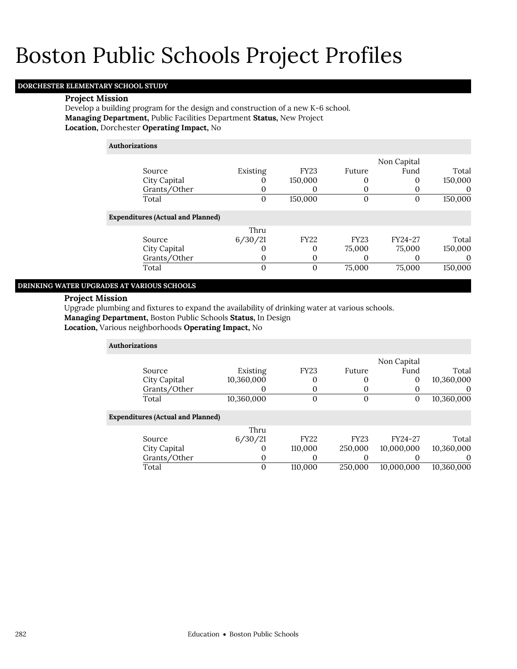## **DORCHESTER ELEMENTARY SCHOOL STUDY**

#### **Project Mission**

Develop a building program for the design and construction of a new K-6 school. **Managing Department,** Public Facilities Department **Status,** New Project **Location,** Dorchester **Operating Impact,** No

## **Authorizations**

|                                          |          |              |                   | Non Capital |          |
|------------------------------------------|----------|--------------|-------------------|-------------|----------|
| Source                                   | Existing | <b>FY23</b>  | Future            | Fund        | Total    |
| City Capital                             | 0        | 150,000      | 0                 |             | 150,000  |
| Grants/Other                             | O        | U            |                   |             | $\Omega$ |
| Total                                    | 0        | 150,000      | O                 | O           | 150,000  |
| <b>Expenditures (Actual and Planned)</b> |          |              |                   |             |          |
|                                          | Thru     |              |                   |             |          |
| Source                                   | 6/30/21  | <b>FY22</b>  | <b>FY23</b>       | FY24-27     | Total    |
| City Capital                             |          | 0            | 75,000            | 75,000      | 150,000  |
| Grants/Other                             | $\Omega$ | O            | $\mathbf{\Omega}$ |             |          |
| Total                                    | 0        | $\mathbf{0}$ | 75,000            | 75,000      | 150,000  |

## **DRINKING WATER UPGRADES AT VARIOUS SCHOOLS**

### **Project Mission**

Upgrade plumbing and fixtures to expand the availability of drinking water at various schools.

**Managing Department,** Boston Public Schools **Status,** In Design

**Location,** Various neighborhoods **Operating Impact,** No

| <b>Authorizations</b> |                                          |            |             |             |             |            |
|-----------------------|------------------------------------------|------------|-------------|-------------|-------------|------------|
|                       |                                          |            |             |             | Non Capital |            |
|                       | Source                                   | Existing   | <b>FY23</b> | Future      | Fund        | Total      |
|                       | City Capital                             | 10,360,000 | 0           | 0           | 0           | 10,360,000 |
|                       | Grants/Other                             |            | 0           | O           |             | O          |
|                       | Total                                    | 10,360,000 | 0           | 0           | 0           | 10,360,000 |
|                       | <b>Expenditures (Actual and Planned)</b> |            |             |             |             |            |
|                       |                                          | Thru       |             |             |             |            |
|                       | Source                                   | 6/30/21    | <b>FY22</b> | <b>FY23</b> | FY24-27     | Total      |
|                       | City Capital                             | $\Omega$   | 110,000     | 250,000     | 10,000,000  | 10,360,000 |
|                       | Grants/Other                             | 0          | 0           | 0           |             | O          |
|                       | Total                                    | 0          | 110,000     | 250,000     | 10.000.000  | 10.360.000 |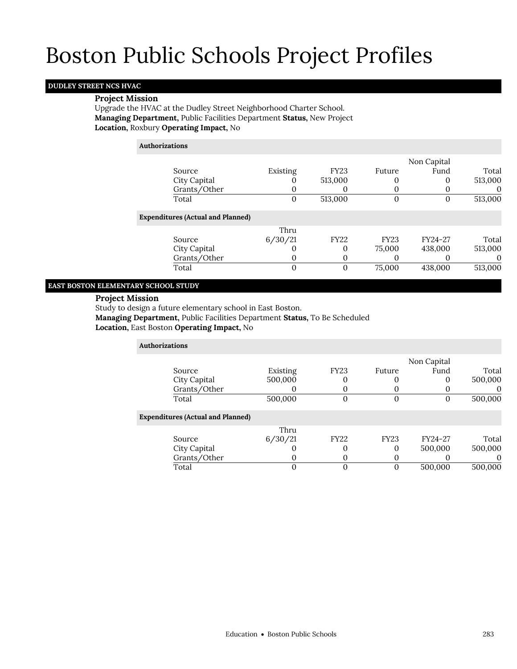## **DUDLEY STREET NCS HVAC**

### **Project Mission**

Upgrade the HVAC at the Dudley Street Neighborhood Charter School. **Managing Department,** Public Facilities Department **Status,** New Project **Location,** Roxbury **Operating Impact,** No

#### **Authorizations**

|                                          |          |              |             | Non Capital |          |
|------------------------------------------|----------|--------------|-------------|-------------|----------|
| Source                                   | Existing | <b>FY23</b>  | Future      | Fund        | Total    |
| City Capital                             |          | 513,000      |             | O           | 513,000  |
| Grants/Other                             | O        | O            |             | O           | $\theta$ |
| Total                                    | 0        | 513,000      |             | $\Omega$    | 513,000  |
| <b>Expenditures (Actual and Planned)</b> |          |              |             |             |          |
|                                          | Thru     |              |             |             |          |
| Source                                   | 6/30/21  | <b>FY22</b>  | <b>FY23</b> | FY24-27     | Total    |
| City Capital                             |          | 0            | 75,000      | 438,000     | 513,000  |
| Grants/Other                             |          | O            |             |             | $\Omega$ |
| Total                                    | 0        | $\mathbf{0}$ | 75,000      | 438,000     | 513,000  |
|                                          |          |              |             |             |          |

### **EAST BOSTON ELEMENTARY SCHOOL STUDY**

### **Project Mission**

Study to design a future elementary school in East Boston.

**Managing Department,** Public Facilities Department **Status,** To Be Scheduled

## **Location,** East Boston **Operating Impact,** No

| <b>Authorizations</b>                    |          |                |             |             |          |
|------------------------------------------|----------|----------------|-------------|-------------|----------|
|                                          |          |                |             | Non Capital |          |
| Source                                   | Existing | <b>FY23</b>    | Future      | Fund        | Total    |
| City Capital                             | 500,000  |                |             | 0           | 500,000  |
| Grants/Other                             |          | 0              |             |             | $\theta$ |
| Total                                    | 500,000  | $\overline{0}$ | $\Omega$    | $\Omega$    | 500,000  |
| <b>Expenditures (Actual and Planned)</b> |          |                |             |             |          |
|                                          | Thru     |                |             |             |          |
| Source                                   | 6/30/21  | <b>FY22</b>    | <b>FY23</b> | FY24-27     | Total    |
| City Capital                             |          | 0              | $\Omega$    | 500,000     | 500,000  |
| Grants/Other                             | O        | 0              | $\Omega$    |             | $\Omega$ |
| Total                                    | 0        | 0              | $\theta$    | 500,000     | 500,000  |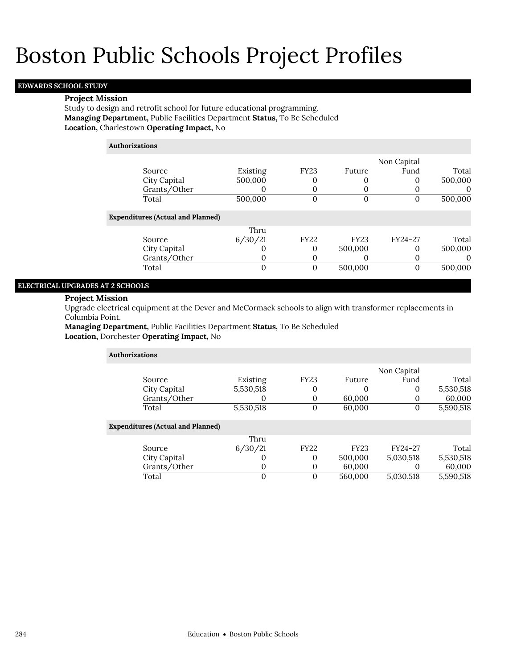## **EDWARDS SCHOOL STUDY**

### **Project Mission**

Study to design and retrofit school for future educational programming. **Managing Department,** Public Facilities Department **Status,** To Be Scheduled **Location,** Charlestown **Operating Impact,** No

| <b>Authorizations</b>                    |                |                |             |              |          |
|------------------------------------------|----------------|----------------|-------------|--------------|----------|
|                                          |                |                |             | Non Capital  |          |
| Source                                   | Existing       | <b>FY23</b>    | Future      | Fund         | Total    |
| City Capital                             | 500,000        | 0              |             | 0            | 500,000  |
| Grants/Other                             | O              | 0              | O           |              | 0        |
| Total                                    | 500,000        | $\Omega$       | $\Omega$    | $\Omega$     | 500,000  |
| <b>Expenditures (Actual and Planned)</b> |                |                |             |              |          |
|                                          | Thru           |                |             |              |          |
| Source                                   | 6/30/21        | <b>FY22</b>    | <b>FY23</b> | FY24-27      | Total    |
| City Capital                             |                | 0              | 500,000     | $\Omega$     | 500,000  |
| Grants/Other                             | 0              | 0              |             | $\Omega$     | $\theta$ |
| Total                                    | $\overline{0}$ | $\overline{0}$ | 500,000     | $\mathbf{0}$ | 500,000  |
|                                          |                |                |             |              |          |

## **ELECTRICAL UPGRADES AT 2 SCHOOLS**

## **Project Mission**

Upgrade electrical equipment at the Dever and McCormack schools to align with transformer replacements in Columbia Point.

**Managing Department,** Public Facilities Department **Status,** To Be Scheduled **Location,** Dorchester **Operating Impact,** No

| <b>Authorizations</b>                    |           |             |             |             |           |
|------------------------------------------|-----------|-------------|-------------|-------------|-----------|
|                                          |           |             |             | Non Capital |           |
| Source                                   | Existing  | <b>FY23</b> | Future      | Fund        | Total     |
| City Capital                             | 5,530,518 | 0           |             | 0           | 5,530,518 |
| Grants/Other                             |           | 0           | 60,000      |             | 60,000    |
| Total                                    | 5,530,518 | $\mathbf 0$ | 60,000      | 0           | 5,590,518 |
| <b>Expenditures (Actual and Planned)</b> |           |             |             |             |           |
|                                          | Thru      |             |             |             |           |
| Source                                   | 6/30/21   | <b>FY22</b> | <b>FY23</b> | FY24-27     | Total     |
| City Capital                             | 0         | 0           | 500,000     | 5,030,518   | 5,530,518 |
| Grants/Other                             | O         | $\mathbf 0$ | 60,000      |             | 60,000    |
| Total                                    | 0         | $\Omega$    | 560,000     | 5,030,518   | 5,590,518 |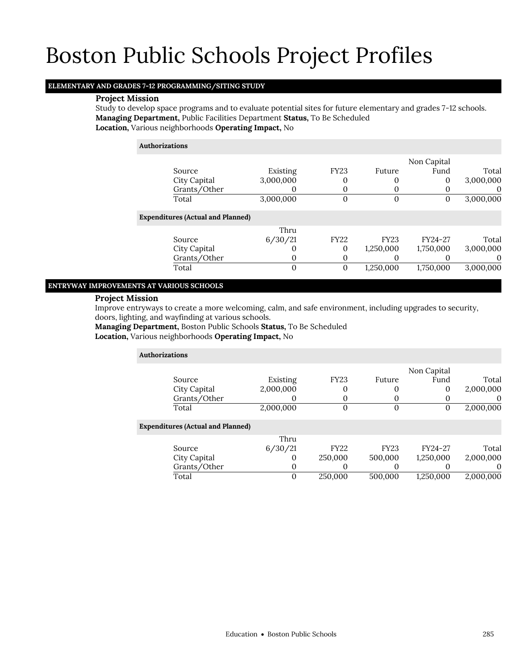## **ELEMENTARY AND GRADES 7-12 PROGRAMMING/SITING STUDY**

## **Project Mission**

Study to develop space programs and to evaluate potential sites for future elementary and grades 7-12 schools. **Managing Department,** Public Facilities Department **Status,** To Be Scheduled **Location,** Various neighborhoods **Operating Impact,** No

| <b>Authorizations</b>                    |              |             |             |             |           |
|------------------------------------------|--------------|-------------|-------------|-------------|-----------|
|                                          |              |             |             | Non Capital |           |
| Source                                   | Existing     | <b>FY23</b> | Future      | Fund        | Total     |
| City Capital                             | 3,000,000    | 0           | 0           | 0           | 3,000,000 |
| Grants/Other                             |              | 0           |             | O           | O         |
| Total                                    | 3,000,000    | 0           | $\Omega$    | 0           | 3,000,000 |
| <b>Expenditures (Actual and Planned)</b> |              |             |             |             |           |
|                                          | Thru         |             |             |             |           |
| Source                                   | 6/30/21      | <b>FY22</b> | <b>FY23</b> | FY24-27     | Total     |
| City Capital                             |              | 0           | 1,250,000   | 1,750,000   | 3,000,000 |
| Grants/Other                             | 0            | 0           |             |             |           |
| Total                                    | $\mathbf{0}$ | 0           | 1,250,000   | 1,750,000   | 3,000,000 |

### **ENTRYWAY IMPROVEMENTS AT VARIOUS SCHOOLS**

## **Project Mission**

Improve entryways to create a more welcoming, calm, and safe environment, including upgrades to security, doors, lighting, and wayfinding at various schools.

**Managing Department,** Boston Public Schools **Status,** To Be Scheduled

**Location,** Various neighborhoods **Operating Impact,** No

| <b>Authorizations</b> |                                          |           |             |             |             |           |
|-----------------------|------------------------------------------|-----------|-------------|-------------|-------------|-----------|
|                       |                                          |           |             |             | Non Capital |           |
|                       | Source                                   | Existing  | <b>FY23</b> | Future      | Fund        | Total     |
|                       | City Capital                             | 2,000,000 | 0           | 0           | 0           | 2,000,000 |
|                       | Grants/Other                             |           | 0           | 0           |             | $\theta$  |
|                       | Total                                    | 2,000,000 | 0           | 0           | 0           | 2,000,000 |
|                       | <b>Expenditures (Actual and Planned)</b> |           |             |             |             |           |
|                       |                                          | Thru      |             |             |             |           |
|                       | Source                                   | 6/30/21   | <b>FY22</b> | <b>FY23</b> | FY24-27     | Total     |
|                       | City Capital                             | O         | 250,000     | 500,000     | 1,250,000   | 2,000,000 |
|                       | Grants/Other                             | 0         | O           | 0           |             | $\Omega$  |
|                       | Total                                    | $\Omega$  | 250,000     | 500,000     | 1.250.000   | 2,000,000 |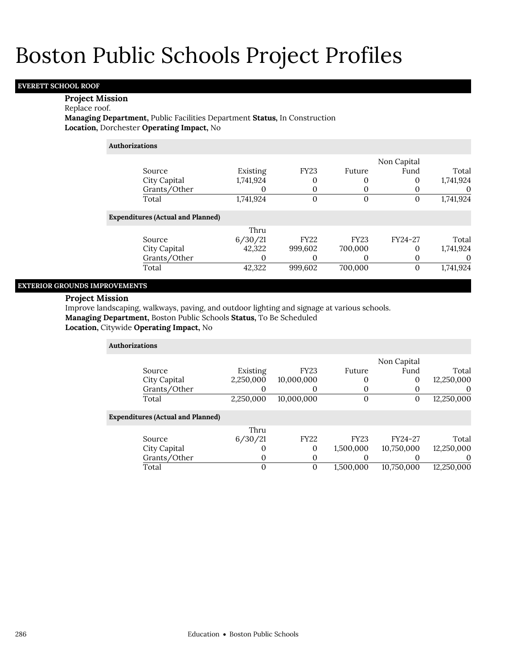## **EVERETT SCHOOL ROOF**

### **Project Mission**

## Replace roof.

**Managing Department,** Public Facilities Department **Status,** In Construction **Location,** Dorchester **Operating Impact,** No

| <b>Authorizations</b> |
|-----------------------|
|                       |

|                                          |           |                |              | Non Capital |           |
|------------------------------------------|-----------|----------------|--------------|-------------|-----------|
| Source                                   | Existing  | <b>FY23</b>    | Future       | Fund        | Total     |
| City Capital                             | 1,741,924 | 0              | $\Omega$     | 0           | 1,741,924 |
| Grants/Other                             | O         | 0              | 0            |             |           |
| Total                                    | 1,741,924 | $\overline{0}$ | 0            | O           | 1,741,924 |
| <b>Expenditures (Actual and Planned)</b> |           |                |              |             |           |
|                                          | Thru      |                |              |             |           |
| Source                                   | 6/30/21   | <b>FY22</b>    | <b>FY23</b>  | FY24-27     | Total     |
| City Capital                             | 42,322    | 999,602        | 700,000      | 0           | 1,741,924 |
| Grants/Other                             |           | 0              | $\mathbf{0}$ |             |           |
| Total                                    | 42.322    | 999,602        | 700,000      | 0           | 1.741.924 |
|                                          |           |                |              |             |           |

## **EXTERIOR GROUNDS IMPROVEMENTS**

## **Project Mission**

Improve landscaping, walkways, paving, and outdoor lighting and signage at various schools.

**Managing Department,** Boston Public Schools **Status,** To Be Scheduled

**Location,** Citywide **Operating Impact,** No

| <b>Authorizations</b>                    |           |             |             |             |            |  |  |  |  |
|------------------------------------------|-----------|-------------|-------------|-------------|------------|--|--|--|--|
|                                          |           |             |             | Non Capital |            |  |  |  |  |
| Source                                   | Existing  | <b>FY23</b> | Future      | Fund        | Total      |  |  |  |  |
| City Capital                             | 2,250,000 | 10,000,000  |             | 0           | 12,250,000 |  |  |  |  |
| Grants/Other                             |           | O           |             |             | $\theta$   |  |  |  |  |
| Total                                    | 2,250,000 | 10.000.000  | 0           | 0           | 12,250,000 |  |  |  |  |
| <b>Expenditures (Actual and Planned)</b> |           |             |             |             |            |  |  |  |  |
|                                          | Thru      |             |             |             |            |  |  |  |  |
| Source                                   | 6/30/21   | <b>FY22</b> | <b>FY23</b> | FY24-27     | Total      |  |  |  |  |
| City Capital                             |           | 0           | 1,500,000   | 10,750,000  | 12,250,000 |  |  |  |  |
| Grants/Other                             | O         | 0           |             |             | 0          |  |  |  |  |
| Total                                    |           | $\mathbf 0$ | 1.500.000   | 10,750,000  | 12,250,000 |  |  |  |  |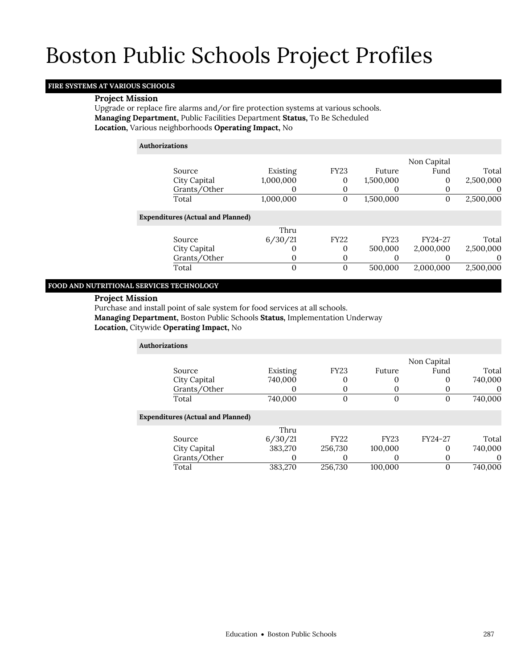## **FIRE SYSTEMS AT VARIOUS SCHOOLS**

### **Project Mission**

Upgrade or replace fire alarms and/or fire protection systems at various schools. **Managing Department,** Public Facilities Department **Status,** To Be Scheduled **Location,** Various neighborhoods **Operating Impact,** No

### **Authorizations**

|                                          |           |              |             | Non Capital |           |
|------------------------------------------|-----------|--------------|-------------|-------------|-----------|
| Source                                   | Existing  | <b>FY23</b>  | Future      | Fund        | Total     |
| City Capital                             | 1,000,000 | $\mathbf{0}$ | 1,500,000   | 0           | 2,500,000 |
| Grants/Other                             |           | 0            |             | O           | $\theta$  |
| Total                                    | 1,000,000 | $\mathbf{0}$ | 1,500,000   | 0           | 2,500,000 |
| <b>Expenditures (Actual and Planned)</b> |           |              |             |             |           |
|                                          | Thru      |              |             |             |           |
| Source                                   | 6/30/21   | <b>FY22</b>  | <b>FY23</b> | FY24-27     | Total     |
| City Capital                             |           | $\Omega$     | 500,000     | 2,000,000   | 2,500,000 |
| Grants/Other                             |           | 0            |             |             | $\Omega$  |
| Total                                    | $\Omega$  | $\Omega$     | 500,000     | 2,000,000   | 2,500,000 |
|                                          |           |              |             |             |           |

### **FOOD AND NUTRITIONAL SERVICES TECHNOLOGY**

## **Project Mission**

Purchase and install point of sale system for food services at all schools. **Managing Department,** Boston Public Schools **Status,** Implementation Underway **Location,** Citywide **Operating Impact,** No

| <b>Authorizations</b>                    |          |                |             |             |         |
|------------------------------------------|----------|----------------|-------------|-------------|---------|
|                                          |          |                |             | Non Capital |         |
| Source                                   | Existing | <b>FY23</b>    | Future      | Fund        | Total   |
| City Capital                             | 740,000  | 0              | 0           | 0           | 740,000 |
| Grants/Other                             | $\Omega$ | $\Omega$       | 0           | O           |         |
| Total                                    | 740,000  | $\overline{0}$ | $\Omega$    | 0           | 740,000 |
| <b>Expenditures (Actual and Planned)</b> |          |                |             |             |         |
|                                          | Thru     |                |             |             |         |
| Source                                   | 6/30/21  | <b>FY22</b>    | <b>FY23</b> | FY24-27     | Total   |
| City Capital                             | 383,270  | 256,730        | 100,000     | O           | 740,000 |
| Grants/Other                             | 0        | 0              | $\Omega$    | O           |         |
| Total                                    | 383,270  | 256.730        | 100.000     | 0           | 740,000 |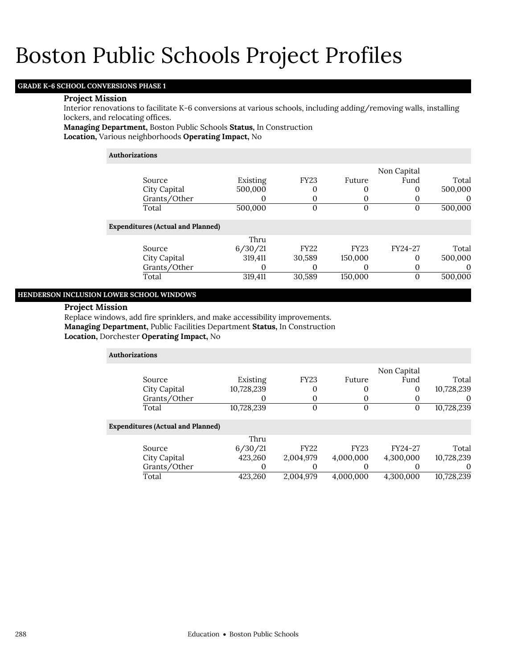## **GRADE K-6 SCHOOL CONVERSIONS PHASE 1**

#### **Project Mission**

Interior renovations to facilitate K-6 conversions at various schools, including adding/removing walls, installing lockers, and relocating offices.

**Managing Department,** Boston Public Schools **Status,** In Construction **Location,** Various neighborhoods **Operating Impact,** No

#### **Authorizations**

|                                          |          |             |             | Non Capital       |          |
|------------------------------------------|----------|-------------|-------------|-------------------|----------|
| Source                                   | Existing | <b>FY23</b> | Future      | Fund              | Total    |
| City Capital                             | 500,000  | 0           |             | 0                 | 500,000  |
| Grants/Other                             |          | 0           |             | O                 | $\theta$ |
| Total                                    | 500,000  | 0           | 0           | $\mathbf{\Omega}$ | 500,000  |
| <b>Expenditures (Actual and Planned)</b> |          |             |             |                   |          |
|                                          | Thru     |             |             |                   |          |
| Source                                   | 6/30/21  | FY22        | <b>FY23</b> | FY24-27           | Total    |
| City Capital                             | 319,411  | 30,589      | 150,000     | 0                 | 500,000  |
| Grants/Other                             |          | O           | $\left($    |                   | O        |
| Total                                    | 319,411  | 30,589      | 150,000     | 0                 | 500,000  |

### **HENDERSON INCLUSION LOWER SCHOOL WINDOWS**

#### **Project Mission**

Replace windows, add fire sprinklers, and make accessibility improvements. **Managing Department,** Public Facilities Department **Status,** In Construction **Location,** Dorchester **Operating Impact,** No

| <b>Authorizations</b>                    |            |             |             |             |             |
|------------------------------------------|------------|-------------|-------------|-------------|-------------|
|                                          |            |             |             | Non Capital |             |
| Source                                   | Existing   | <b>FY23</b> | Future      | Fund        | Total       |
| City Capital                             | 10,728,239 | U           |             | 0           | 10,728,239  |
| Grants/Other                             |            |             |             | O           | $\mathbf 0$ |
| Total                                    | 10,728,239 | $\Omega$    | $\Omega$    | 0           | 10,728,239  |
| <b>Expenditures (Actual and Planned)</b> |            |             |             |             |             |
|                                          | Thru       |             |             |             |             |
| Source                                   | 6/30/21    | <b>FY22</b> | <b>FY23</b> | FY24-27     | Total       |
| City Capital                             | 423,260    | 2,004,979   | 4,000,000   | 4,300,000   | 10,728,239  |
| Grants/Other                             | O          |             |             | O           | 0           |
| Total                                    | 423,260    | 2,004,979   | 4.000.000   | 4,300,000   | 10,728,239  |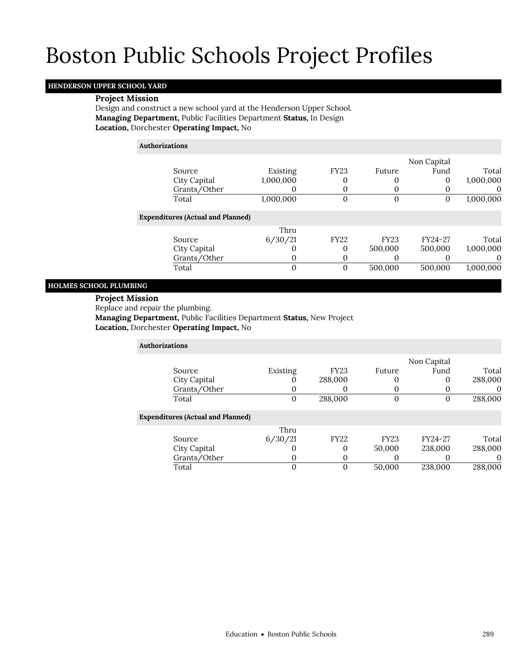## **HENDERSON UPPER SCHOOL YARD**

### **Project Mission**

Design and construct a new school yard at the Henderson Upper School. **Managing Department,** Public Facilities Department **Status,** In Design **Location,** Dorchester **Operating Impact,** No

**Authorizations**

|                                          |           |              |             | Non Capital |           |
|------------------------------------------|-----------|--------------|-------------|-------------|-----------|
| Source                                   | Existing  | <b>FY23</b>  | Future      | Fund        | Total     |
| City Capital                             | 1,000,000 | 0            |             |             | 1,000,000 |
| Grants/Other                             |           | 0            |             |             | O         |
| Total                                    | 1,000,000 | 0            | 0           |             | 1,000,000 |
| <b>Expenditures (Actual and Planned)</b> |           |              |             |             |           |
|                                          | Thru      |              |             |             |           |
| Source                                   | 6/30/21   | <b>FY22</b>  | <b>FY23</b> | FY24-27     | Total     |
| City Capital                             |           | 0            | 500,000     | 500,000     | 1,000,000 |
| Grants/Other                             | O         | O            |             |             | $\theta$  |
| Total                                    | 0         | $\mathbf{0}$ | 500,000     | 500,000     | 1,000,000 |
|                                          |           |              |             |             |           |

## **HOLMES SCHOOL PLUMBING**

### **Project Mission**

Replace and repair the plumbing.

**Managing Department,** Public Facilities Department **Status,** New Project **Location,** Dorchester **Operating Impact,** No

| <b>Authorizations</b>                    |          |             |             |             |         |
|------------------------------------------|----------|-------------|-------------|-------------|---------|
|                                          |          |             |             | Non Capital |         |
| Source                                   | Existing | <b>FY23</b> | Future      | Fund        | Total   |
| City Capital                             |          | 288,000     | 0           | 0           | 288,000 |
| Grants/Other                             | $\theta$ | O           | $\Omega$    |             | O)      |
| Total                                    | $\Omega$ | 288,000     | 0           | $\Omega$    | 288,000 |
| <b>Expenditures (Actual and Planned)</b> |          |             |             |             |         |
|                                          | Thru     |             |             |             |         |
| Source                                   | 6/30/21  | <b>FY22</b> | <b>FY23</b> | FY24-27     | Total   |
| City Capital                             |          | 0           | 50,000      | 238,000     | 288,000 |
| Grants/Other                             | $\Omega$ | 0           | $\Omega$    |             |         |
| Total                                    |          | 0           | 50,000      | 238,000     | 288,000 |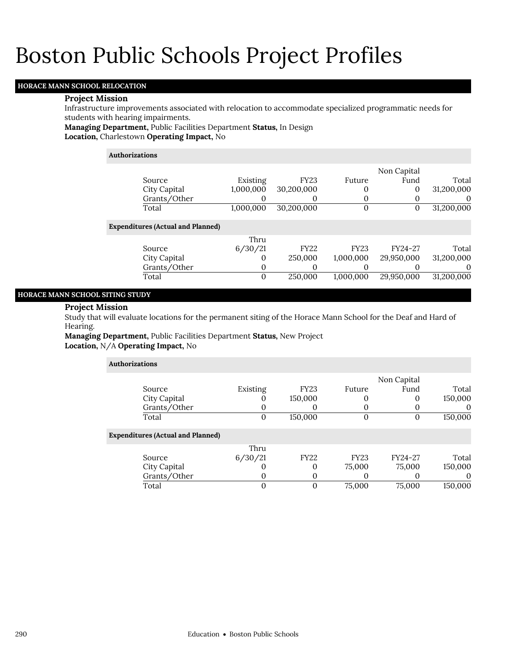## **HORACE MANN SCHOOL RELOCATION**

#### **Project Mission**

Infrastructure improvements associated with relocation to accommodate specialized programmatic needs for students with hearing impairments.

**Managing Department,** Public Facilities Department **Status,** In Design

**Location,** Charlestown **Operating Impact,** No

#### **Authorizations**

|                                          |           |             |             | Non Capital |            |
|------------------------------------------|-----------|-------------|-------------|-------------|------------|
| Source                                   | Existing  | <b>FY23</b> | Future      | Fund        | Total      |
| City Capital                             | 1,000,000 | 30,200,000  | 0           | 0           | 31,200,000 |
| Grants/Other                             |           | O           | 0           |             | $\theta$   |
| Total                                    | 1,000,000 | 30,200,000  | $\mathbf 0$ | O           | 31,200,000 |
| <b>Expenditures (Actual and Planned)</b> |           |             |             |             |            |
|                                          | Thru      |             |             |             |            |
| Source                                   | 6/30/21   | <b>FY22</b> | <b>FY23</b> | FY24-27     | Total      |
| City Capital                             | $\Omega$  | 250,000     | 1,000,000   | 29,950,000  | 31,200,000 |
| Grants/Other                             | $\Omega$  | O           | O           |             | $\theta$   |
| Total                                    | 0         | 250,000     | 1,000,000   | 29,950,000  | 31,200,000 |
|                                          |           |             |             |             |            |

## **HORACE MANN SCHOOL SITING STUDY**

#### **Project Mission**

Study that will evaluate locations for the permanent siting of the Horace Mann School for the Deaf and Hard of Hearing.

**Managing Department,** Public Facilities Department **Status,** New Project **Location,** N/A **Operating Impact,** No

| <b>Authorizations</b>                    |          |             |             |             |          |  |  |  |  |
|------------------------------------------|----------|-------------|-------------|-------------|----------|--|--|--|--|
|                                          |          |             |             | Non Capital |          |  |  |  |  |
| Source                                   | Existing | <b>FY23</b> | Future      | Fund        | Total    |  |  |  |  |
| City Capital                             |          | 150,000     |             | 0           | 150,000  |  |  |  |  |
| Grants/Other                             |          | 0           |             |             | $\theta$ |  |  |  |  |
| Total                                    | 0        | 150,000     | $\Omega$    | 0           | 150,000  |  |  |  |  |
| <b>Expenditures (Actual and Planned)</b> |          |             |             |             |          |  |  |  |  |
|                                          | Thru     |             |             |             |          |  |  |  |  |
| Source                                   | 6/30/21  | <b>FY22</b> | <b>FY23</b> | FY24-27     | Total    |  |  |  |  |
| City Capital                             | U        | 0           | 75,000      | 75,000      | 150,000  |  |  |  |  |
| Grants/Other                             | 0        | 0           |             |             | $\Omega$ |  |  |  |  |
| Total                                    | 0        | 0           | 75,000      | 75,000      | 150,000  |  |  |  |  |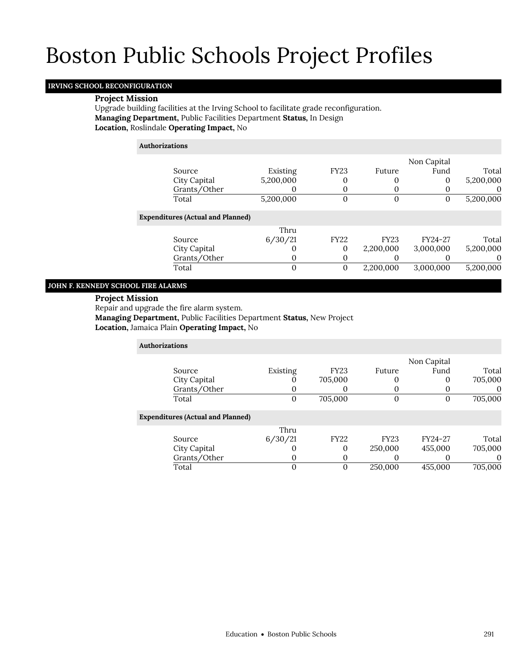## **IRVING SCHOOL RECONFIGURATION**

## **Project Mission**

Upgrade building facilities at the Irving School to facilitate grade reconfiguration. **Managing Department,** Public Facilities Department **Status,** In Design **Location,** Roslindale **Operating Impact,** No

**Authorizations**

|                                          |           |              |             | Non Capital |           |
|------------------------------------------|-----------|--------------|-------------|-------------|-----------|
| Source                                   | Existing  | <b>FY23</b>  | Future      | Fund        | Total     |
| City Capital                             | 5,200,000 |              |             | 0           | 5,200,000 |
| Grants/Other                             |           |              |             |             | $\theta$  |
| Total                                    | 5,200,000 | 0            |             |             | 5,200,000 |
| <b>Expenditures (Actual and Planned)</b> |           |              |             |             |           |
|                                          | Thru      |              |             |             |           |
| Source                                   | 6/30/21   | <b>FY22</b>  | <b>FY23</b> | FY24-27     | Total     |
| City Capital                             |           | $\mathbf{0}$ | 2,200,000   | 3,000,000   | 5,200,000 |
| Grants/Other                             |           |              |             |             | $\theta$  |
| Total                                    |           | $\mathbf 0$  | 2,200,000   | 3,000,000   | 5,200,000 |
|                                          |           |              |             |             |           |

### **JOHN F. KENNEDY SCHOOL FIRE ALARMS**

### **Project Mission**

Repair and upgrade the fire alarm system.

**Managing Department,** Public Facilities Department **Status,** New Project **Location,** Jamaica Plain **Operating Impact,** No

| Authorizations                           |              |             |             |             |          |
|------------------------------------------|--------------|-------------|-------------|-------------|----------|
|                                          |              |             |             | Non Capital |          |
| Source                                   | Existing     | <b>FY23</b> | Future      | Fund        | Total    |
| City Capital                             |              | 705,000     |             | 0           | 705,000  |
| Grants/Other                             | O            | 0           |             | O           | $\theta$ |
| Total                                    | $\mathbf{0}$ | 705,000     | O           | 0           | 705,000  |
| <b>Expenditures (Actual and Planned)</b> |              |             |             |             |          |
|                                          | Thru         |             |             |             |          |
| Source                                   | 6/30/21      | <b>FY22</b> | <b>FY23</b> | FY24-27     | Total    |
| City Capital                             | 0            | 0           | 250,000     | 455,000     | 705,000  |
| Grants/Other                             | 0            | 0           |             |             | $\Omega$ |
| Total                                    | 0            | 0           | 250,000     | 455,000     | 705,000  |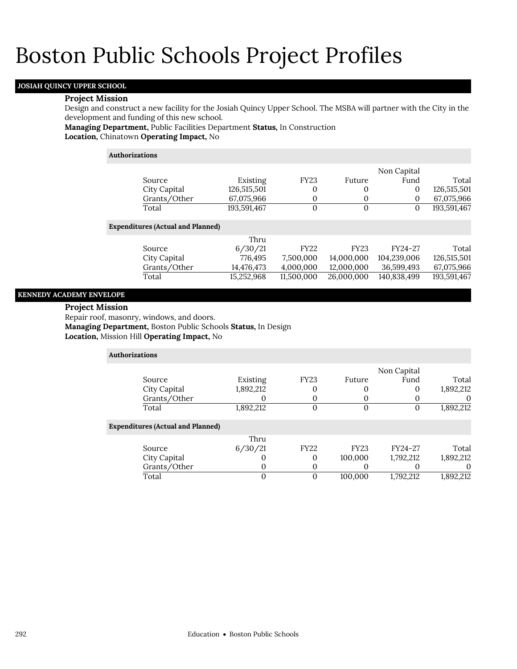## **JOSIAH QUINCY UPPER SCHOOL**

#### **Project Mission**

Design and construct a new facility for the Josiah Quincy Upper School. The MSBA will partner with the City in the development and funding of this new school.

## **Managing Department,** Public Facilities Department **Status,** In Construction

**Location,** Chinatown **Operating Impact,** No

### **Authorizations**

Exp

|                                |             |             |             | Non Capital |             |
|--------------------------------|-------------|-------------|-------------|-------------|-------------|
| Source                         | Existing    | <b>FY23</b> | Future      | Fund        | Total       |
| City Capital                   | 126,515,501 | 0           | 0           | 0           | 126,515,501 |
| Grants/Other                   | 67,075,966  | 0           | 0           | 0           | 67,075,966  |
| Total                          | 193,591,467 | $\Omega$    | $\Omega$    | 0           | 193,591,467 |
|                                |             |             |             |             |             |
| enditures (Actual and Planned) |             |             |             |             |             |
|                                | Thru        |             |             |             |             |
| Source                         | 6/30/21     | FY22        | <b>FY23</b> | FY24-27     | Total       |
| City Capital                   | 776,495     | 7,500,000   | 14,000,000  | 104,239,006 | 126,515,501 |
| Grants/Other                   | 14,476,473  | 4,000,000   | 12,000,000  | 36,599,493  | 67,075,966  |
| Total                          | 15,252,968  | 11,500,000  | 26,000,000  | 140,838,499 | 193,591,467 |
|                                |             |             |             |             |             |

### **KENNEDY ACADEMY ENVELOPE**

#### **Project Mission**

Repair roof, masonry, windows, and doors. **Managing Department,** Boston Public Schools **Status,** In Design **Location,** Mission Hill **Operating Impact,** No

| Authorizations                           |              |           |             |             |             |           |
|------------------------------------------|--------------|-----------|-------------|-------------|-------------|-----------|
|                                          |              |           |             |             | Non Capital |           |
| Source                                   |              | Existing  | <b>FY23</b> | Future      | Fund        | Total     |
| City Capital                             |              | 1,892,212 | 0           |             | 0           | 1,892,212 |
|                                          | Grants/Other |           | 0           |             |             | $\theta$  |
| Total                                    |              | 1,892,212 | 0           | $\Omega$    | 0           | 1,892,212 |
| <b>Expenditures (Actual and Planned)</b> |              |           |             |             |             |           |
|                                          |              | Thru      |             |             |             |           |
| Source                                   |              | 6/30/21   | <b>FY22</b> | <b>FY23</b> | FY24-27     | Total     |
| City Capital                             |              | 0         | 0           | 100,000     | 1,792,212   | 1,892,212 |
|                                          | Grants/Other | U         | 0           |             | O           | 0         |
| Total                                    |              |           | 0           | 100,000     | 1,792,212   | 1,892,212 |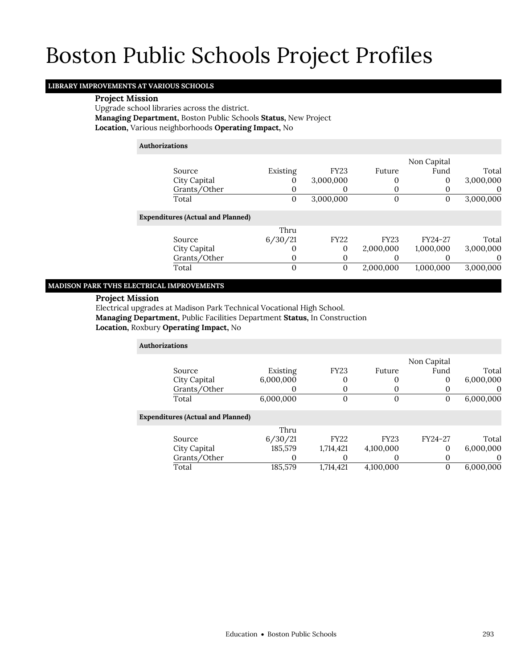## **LIBRARY IMPROVEMENTS AT VARIOUS SCHOOLS**

### **Project Mission**

Upgrade school libraries across the district. **Managing Department,** Boston Public Schools **Status,** New Project **Location,** Various neighborhoods **Operating Impact,** No

## **Authorizations**

|                                          |          |             |             | Non Capital |           |
|------------------------------------------|----------|-------------|-------------|-------------|-----------|
| Source                                   | Existing | <b>FY23</b> | Future      | Fund        | Total     |
| City Capital                             | O        | 3,000,000   | O           | $\mathbf 0$ | 3,000,000 |
| Grants/Other                             | O        | O           |             |             |           |
| Total                                    | $\bf{0}$ | 3,000,000   | O           | 0           | 3,000,000 |
| <b>Expenditures (Actual and Planned)</b> |          |             |             |             |           |
|                                          | Thru     |             |             |             |           |
| Source                                   | 6/30/21  | <b>FY22</b> | <b>FY23</b> | FY24-27     | Total     |
| City Capital                             | 0        | $\Omega$    | 2,000,000   | 1,000,000   | 3,000,000 |
| Grants/Other                             | O        | 0           |             |             |           |
| Total                                    | 0        | 0           | 2,000,000   | 1,000,000   | 3,000,000 |

## **MADISON PARK TVHS ELECTRICAL IMPROVEMENTS**

## **Project Mission**

Electrical upgrades at Madison Park Technical Vocational High School. **Managing Department,** Public Facilities Department **Status,** In Construction **Location,** Roxbury **Operating Impact,** No

| <b>Authorizations</b>                    |           |             |             |             |           |
|------------------------------------------|-----------|-------------|-------------|-------------|-----------|
|                                          |           |             |             | Non Capital |           |
| Source                                   | Existing  | <b>FY23</b> | Future      | Fund        | Total     |
| City Capital                             | 6,000,000 | 0           | 0           | 0           | 6,000,000 |
| Grants/Other                             | $\Omega$  | 0           | 0           | 0           | O         |
| Total                                    | 6,000,000 | $\mathbf 0$ | 0           | 0           | 6,000,000 |
| <b>Expenditures (Actual and Planned)</b> |           |             |             |             |           |
|                                          | Thru      |             |             |             |           |
| Source                                   | 6/30/21   | <b>FY22</b> | <b>FY23</b> | FY24-27     | Total     |
| City Capital                             | 185,579   | 1,714,421   | 4,100,000   | 0           | 6,000,000 |
| Grants/Other                             | $\Omega$  |             | O           | 0           | $\Omega$  |
| Total                                    | 185,579   | 1,714,421   | 4,100,000   | 0           | 6,000,000 |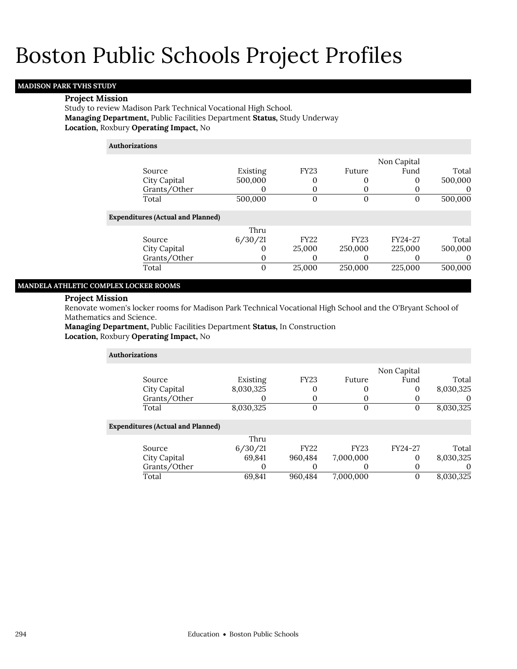## **MADISON PARK TVHS STUDY**

#### **Project Mission**

Study to review Madison Park Technical Vocational High School. **Managing Department,** Public Facilities Department **Status,** Study Underway **Location,** Roxbury **Operating Impact,** No

### **Authorizations**

|                                          |          |                |                   | Non Capital |          |
|------------------------------------------|----------|----------------|-------------------|-------------|----------|
| Source                                   | Existing | <b>FY23</b>    | Future            | Fund        | Total    |
| City Capital                             | 500,000  | 0              |                   | 0           | 500,000  |
| Grants/Other                             | O        | 0              | $\Omega$          |             |          |
| Total                                    | 500,000  | $\overline{0}$ | 0                 | 0           | 500,000  |
| <b>Expenditures (Actual and Planned)</b> |          |                |                   |             |          |
|                                          | Thru     |                |                   |             |          |
| Source                                   | 6/30/21  | <b>FY22</b>    | <b>FY23</b>       | FY24-27     | Total    |
| City Capital                             | 0        | 25,000         | 250,000           | 225,000     | 500,000  |
| Grants/Other                             | 0        | O              | $\mathbf{\Omega}$ |             | $\theta$ |
| Total                                    | 0        | 25,000         | 250,000           | 225,000     | 500,000  |
|                                          |          |                |                   |             |          |

#### **MANDELA ATHLETIC COMPLEX LOCKER ROOMS**

## **Project Mission**

Renovate women's locker rooms for Madison Park Technical Vocational High School and the O'Bryant School of Mathematics and Science.

**Managing Department,** Public Facilities Department **Status,** In Construction **Location,** Roxbury **Operating Impact,** No

| Authorizations                           |           |                |             |             |           |
|------------------------------------------|-----------|----------------|-------------|-------------|-----------|
|                                          |           |                |             | Non Capital |           |
| Source                                   | Existing  | <b>FY23</b>    | Future      | Fund        | Total     |
| City Capital                             | 8,030,325 | 0              |             |             | 8,030,325 |
| Grants/Other                             |           | O              |             |             |           |
| Total                                    | 8,030,325 | $\overline{0}$ | $\mathbf 0$ | 0           | 8,030,325 |
| <b>Expenditures (Actual and Planned)</b> |           |                |             |             |           |
|                                          | Thru      |                |             |             |           |
| Source                                   | 6/30/21   | <b>FY22</b>    | <b>FY23</b> | FY24-27     | Total     |
| City Capital                             | 69,841    | 960,484        | 7,000,000   | 0           | 8,030,325 |
| Grants/Other                             | O         | 0              |             |             | $\Omega$  |
| Total                                    | 69,841    | 960.484        | 7,000,000   |             | 8,030,325 |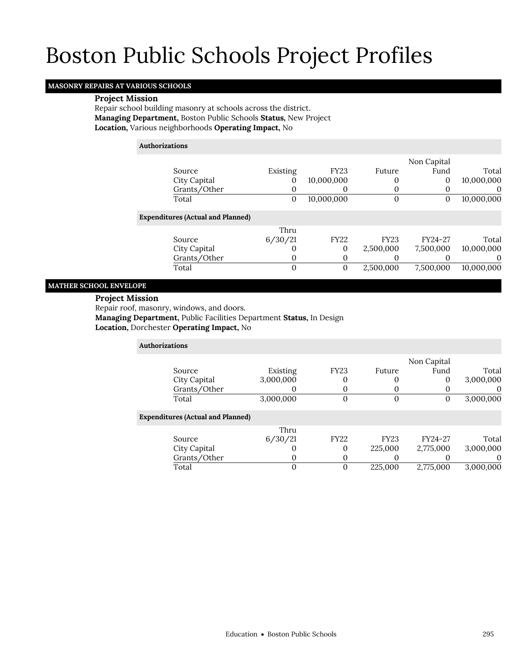## **MASONRY REPAIRS AT VARIOUS SCHOOLS**

#### **Project Mission**

Repair school building masonry at schools across the district. **Managing Department,** Boston Public Schools **Status,** New Project **Location,** Various neighborhoods **Operating Impact,** No

## **Authorizations**

|                                          |          |              |             | Non Capital  |            |
|------------------------------------------|----------|--------------|-------------|--------------|------------|
| Source                                   | Existing | <b>FY23</b>  | Future      | Fund         | Total      |
| City Capital                             | 0        | 10,000,000   |             | $\mathbf{0}$ | 10,000,000 |
| Grants/Other                             | 0        | O            |             |              | $\Omega$   |
| Total                                    | 0        | 10,000,000   | O           | 0            | 10,000,000 |
| <b>Expenditures (Actual and Planned)</b> |          |              |             |              |            |
|                                          | Thru     |              |             |              |            |
| Source                                   | 6/30/21  | <b>FY22</b>  | <b>FY23</b> | FY24-27      | Total      |
| City Capital                             | O        | 0            | 2,500,000   | 7,500,000    | 10,000,000 |
| Grants/Other                             | 0        | 0            |             |              | $\Omega$   |
| Total                                    | 0        | $\mathbf{0}$ | 2,500,000   | 7,500,000    | 10,000,000 |
|                                          |          |              |             |              |            |

## **MATHER SCHOOL ENVELOPE**

### **Project Mission**

Repair roof, masonry, windows, and doors.

**Managing Department,** Public Facilities Department **Status,** In Design

**Location,** Dorchester **Operating Impact,** No

| <b>Authorizations</b>                    |           |             |             |             |           |
|------------------------------------------|-----------|-------------|-------------|-------------|-----------|
|                                          |           |             |             | Non Capital |           |
| Source                                   | Existing  | <b>FY23</b> | Future      | Fund        | Total     |
| City Capital                             | 3,000,000 | $\Omega$    | $\Omega$    | $\Omega$    | 3,000,000 |
| Grants/Other                             | 0         | $\Omega$    | $\Omega$    |             | O         |
| Total                                    | 3,000,000 | $\Omega$    | 0           | 0           | 3,000,000 |
| <b>Expenditures (Actual and Planned)</b> |           |             |             |             |           |
|                                          | Thru      |             |             |             |           |
| Source                                   | 6/30/21   | <b>FY22</b> | <b>FY23</b> | FY24-27     | Total     |
| City Capital                             | O         | $\Omega$    | 225,000     | 2,775,000   | 3,000,000 |
| Grants/Other                             | 0         | $\Omega$    | 0           |             | O         |
| Total                                    | 0         |             | 225,000     | 2.775,000   | 3,000,000 |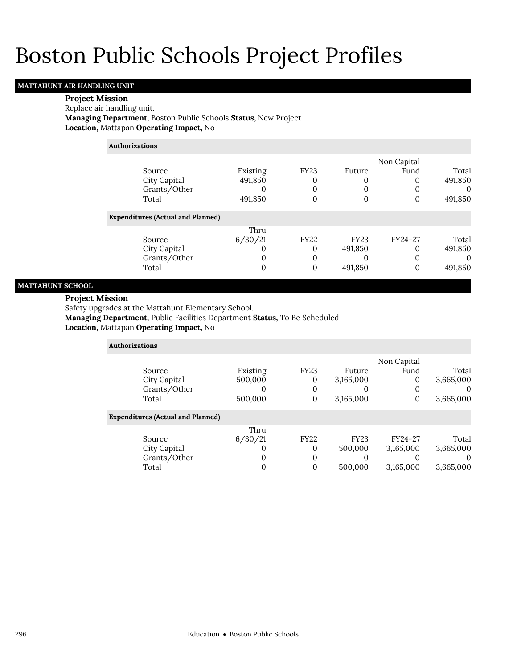## **MATTAHUNT AIR HANDLING UNIT**

## **Project Mission**

#### Replace air handling unit.

**Managing Department,** Boston Public Schools **Status,** New Project **Location,** Mattapan **Operating Impact,** No

### **Authorizations**

|                                          |          |             |             | Non Capital |         |
|------------------------------------------|----------|-------------|-------------|-------------|---------|
| Source                                   | Existing | <b>FY23</b> | Future      | Fund        | Total   |
| City Capital                             | 491,850  |             |             | O           | 491,850 |
| Grants/Other                             |          |             |             |             |         |
| Total                                    | 491,850  | 0           | 0           | $\Omega$    | 491,850 |
| <b>Expenditures (Actual and Planned)</b> | Thru     |             |             |             |         |
|                                          |          |             |             |             |         |
| Source                                   | 6/30/21  | <b>FY22</b> | <b>FY23</b> | FY24-27     | Total   |
| City Capital                             |          | 0           | 491,850     | $\Omega$    | 491,850 |
| Grants/Other                             |          | O           | O)          | O           |         |
| Total                                    | 0        | 0           | 491,850     | $\Omega$    | 491,850 |
|                                          |          |             |             |             |         |

## **MATTAHUNT SCHOOL**

## **Project Mission**

Safety upgrades at the Mattahunt Elementary School.

**Managing Department,** Public Facilities Department **Status,** To Be Scheduled

**Location,** Mattapan **Operating Impact,** No

| <b>Authorizations</b>                    |          |             |             |             |           |
|------------------------------------------|----------|-------------|-------------|-------------|-----------|
|                                          |          |             |             | Non Capital |           |
| Source                                   | Existing | <b>FY23</b> | Future      | Fund        | Total     |
| City Capital                             | 500,000  | 0           | 3,165,000   | 0           | 3,665,000 |
| Grants/Other                             | 0        | O           |             | $\Omega$    | $\theta$  |
| Total                                    | 500,000  | 0           | 3,165,000   | 0           | 3,665,000 |
| <b>Expenditures (Actual and Planned)</b> |          |             |             |             |           |
|                                          | Thru     |             |             |             |           |
| Source                                   | 6/30/21  | <b>FY22</b> | <b>FY23</b> | FY24-27     | Total     |
| City Capital                             | O        | 0           | 500,000     | 3,165,000   | 3,665,000 |
| Grants/Other                             | 0        | 0           | O           | O           | $\Omega$  |
| Total                                    | 0        | 0           | 500.000     | 3,165,000   | 3,665,000 |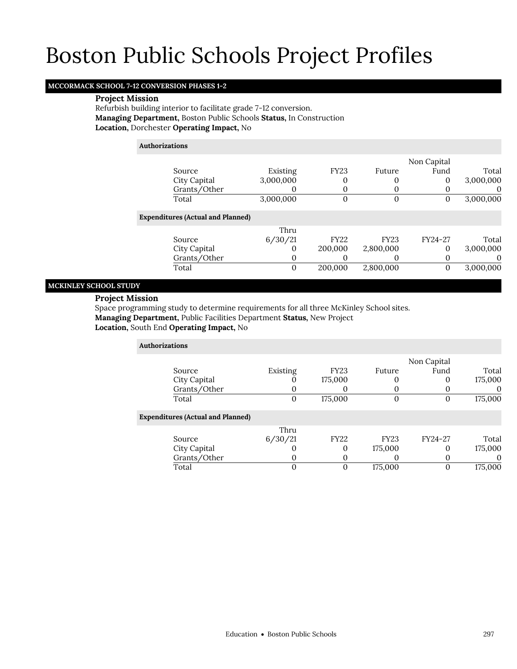## **MCCORMACK SCHOOL 7-12 CONVERSION PHASES 1-2**

### **Project Mission**

Refurbish building interior to facilitate grade 7-12 conversion. **Managing Department,** Boston Public Schools **Status,** In Construction **Location,** Dorchester **Operating Impact,** No

### **Authorizations**

|                                          |           |             |             | Non Capital |           |
|------------------------------------------|-----------|-------------|-------------|-------------|-----------|
| Source                                   | Existing  | <b>FY23</b> | Future      | Fund        | Total     |
| City Capital                             | 3,000,000 | 0           |             | $\Omega$    | 3,000,000 |
| Grants/Other                             |           | 0           |             |             |           |
| Total                                    | 3,000,000 | $\mathbf 0$ | 0           |             | 3,000,000 |
| <b>Expenditures (Actual and Planned)</b> |           |             |             |             |           |
|                                          | Thru      |             |             |             |           |
| Source                                   | 6/30/21   | <b>FY22</b> | <b>FY23</b> | FY24-27     | Total     |
| City Capital                             |           | 200,000     | 2,800,000   | 0           | 3,000,000 |
| Grants/Other                             | O         | $\theta$    |             |             |           |
| Total                                    | $\Omega$  | 200,000     | 2,800,000   | 0           | 3,000,000 |
|                                          |           |             |             |             |           |

## **MCKINLEY SCHOOL STUDY**

## **Project Mission**

Space programming study to determine requirements for all three McKinley School sites. **Managing Department,** Public Facilities Department **Status,** New Project **Location,** South End **Operating Impact,** No

| <b>Authorizations</b>                    |          |             |             |             |         |
|------------------------------------------|----------|-------------|-------------|-------------|---------|
|                                          |          |             |             | Non Capital |         |
| Source                                   | Existing | <b>FY23</b> | Future      | Fund        | Total   |
| City Capital                             |          | 175,000     |             | 0           | 175,000 |
| Grants/Other                             | O        | O           |             |             |         |
| Total                                    | 0        | 175,000     |             | 0           | 175,000 |
| <b>Expenditures (Actual and Planned)</b> |          |             |             |             |         |
|                                          | Thru     |             |             |             |         |
| Source                                   | 6/30/21  | <b>FY22</b> | <b>FY23</b> | FY24-27     | Total   |
| City Capital                             | O        | 0           | 175,000     | 0           | 175,000 |
| Grants/Other                             | O        | 0           |             | O           |         |
| Total                                    |          | 0           | 175,000     |             | 175,000 |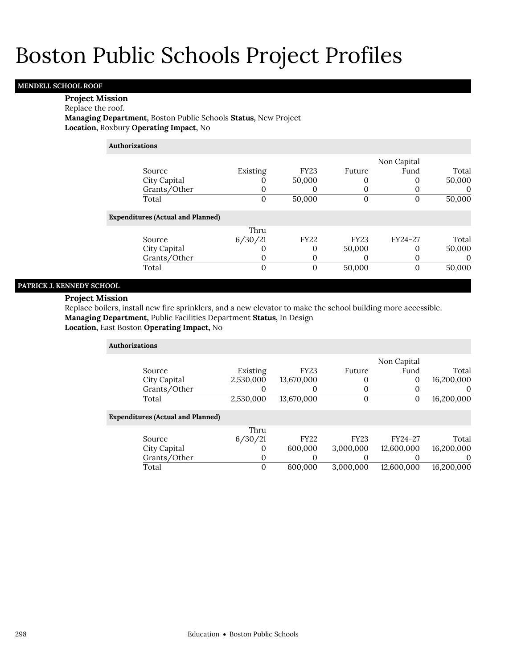## **MENDELL SCHOOL ROOF**

## **Project Mission**

### Replace the roof.

**Managing Department,** Boston Public Schools **Status,** New Project **Location,** Roxbury **Operating Impact,** No

## **Authorizations**

|                                          |          |                  |             | Non Capital |        |
|------------------------------------------|----------|------------------|-------------|-------------|--------|
| Source                                   | Existing | FY <sub>23</sub> | Future      | Fund        | Total  |
| City Capital                             |          | 50,000           | O           | 0           | 50,000 |
| Grants/Other                             | $\Omega$ | O                | O           |             |        |
| Total                                    | 0        | 50,000           | O           | $\Omega$    | 50,000 |
| <b>Expenditures (Actual and Planned)</b> |          |                  |             |             |        |
|                                          | Thru     |                  |             |             |        |
| Source                                   | 6/30/21  | <b>FY22</b>      | <b>FY23</b> | FY24-27     | Total  |
| City Capital                             | O        | $\Omega$         | 50,000      | $\Omega$    | 50,000 |
| Grants/Other                             | $\Omega$ | O                |             | O           |        |
| Total                                    | 0        | 0                | 50,000      | $\Omega$    | 50,000 |

## **PATRICK J. KENNEDY SCHOOL**

## **Project Mission**

Replace boilers, install new fire sprinklers, and a new elevator to make the school building more accessible. **Managing Department,** Public Facilities Department **Status,** In Design

**Location,** East Boston **Operating Impact,** No

| <b>Authorizations</b>                    |           |             |              |             |            |
|------------------------------------------|-----------|-------------|--------------|-------------|------------|
|                                          |           |             |              | Non Capital |            |
| Source                                   | Existing  | <b>FY23</b> | Future       | Fund        | Total      |
| City Capital                             | 2,530,000 | 13,670,000  | 0            | 0           | 16,200,000 |
| Grants/Other                             |           | 0           | $\Omega$     |             | $\theta$   |
| Total                                    | 2,530,000 | 13,670,000  | $\mathbf{0}$ | 0           | 16,200,000 |
| <b>Expenditures (Actual and Planned)</b> |           |             |              |             |            |
|                                          | Thru      |             |              |             |            |
| Source                                   | 6/30/21   | <b>FY22</b> | <b>FY23</b>  | FY24-27     | Total      |
| City Capital                             | $\Omega$  | 600,000     | 3,000,000    | 12,600,000  | 16,200,000 |
| Grants/Other                             | 0         | 0           |              |             | 0          |
| Total                                    | $\Omega$  | 600.000     | 3.000.000    | 12.600.000  | 16.200.000 |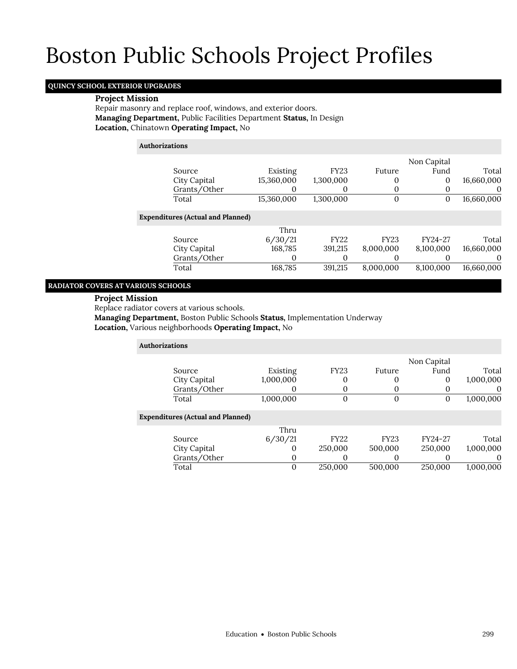## **QUINCY SCHOOL EXTERIOR UPGRADES**

#### **Project Mission**

Repair masonry and replace roof, windows, and exterior doors. **Managing Department,** Public Facilities Department **Status,** In Design **Location,** Chinatown **Operating Impact,** No

### **Authorizations**

|                                          |            |             |             | Non Capital |            |
|------------------------------------------|------------|-------------|-------------|-------------|------------|
| Source                                   | Existing   | <b>FY23</b> | Future      | Fund        | Total      |
| City Capital                             | 15,360,000 | 1,300,000   |             | 0           | 16,660,000 |
| Grants/Other                             |            | 0           |             | $\Omega$    | $\theta$   |
| Total                                    | 15,360,000 | 1,300,000   |             | 0           | 16,660,000 |
| <b>Expenditures (Actual and Planned)</b> |            |             |             |             |            |
|                                          | Thru       |             |             |             |            |
| Source                                   | 6/30/21    | <b>FY22</b> | <b>FY23</b> | FY24-27     | Total      |
| City Capital                             | 168,785    | 391,215     | 8,000,000   | 8,100,000   | 16,660,000 |
| Grants/Other                             | O          | $\Omega$    |             |             | $\Omega$   |
| Total                                    | 168,785    | 391,215     | 8,000,000   | 8,100,000   | 16,660,000 |
|                                          |            |             |             |             |            |

## **RADIATOR COVERS AT VARIOUS SCHOOLS**

## **Project Mission**

Replace radiator covers at various schools.

**Managing Department,** Boston Public Schools **Status,** Implementation Underway

**Location,** Various neighborhoods **Operating Impact,** No

| <b>Authorizations</b> |                                          |           |              |             |             |           |
|-----------------------|------------------------------------------|-----------|--------------|-------------|-------------|-----------|
|                       |                                          |           |              |             | Non Capital |           |
|                       | Source                                   | Existing  | <b>FY23</b>  | Future      | Fund        | Total     |
|                       | City Capital                             | 1,000,000 | 0            |             | 0           | 1,000,000 |
|                       | Grants/Other                             |           | 0            | $\Omega$    |             | 0         |
|                       | Total                                    | 1,000,000 | $\mathbf{0}$ | $\Omega$    | 0           | 1,000,000 |
|                       | <b>Expenditures (Actual and Planned)</b> |           |              |             |             |           |
|                       |                                          | Thru      |              |             |             |           |
|                       | Source                                   | 6/30/21   | <b>FY22</b>  | <b>FY23</b> | FY24-27     | Total     |
|                       | City Capital                             | $\Omega$  | 250,000      | 500,000     | 250,000     | 1,000,000 |
|                       | Grants/Other                             | 0         | $\Omega$     | $\Omega$    |             | $\Omega$  |
|                       | Total                                    | $\Omega$  | 250,000      | 500.000     | 250,000     | 1.000.000 |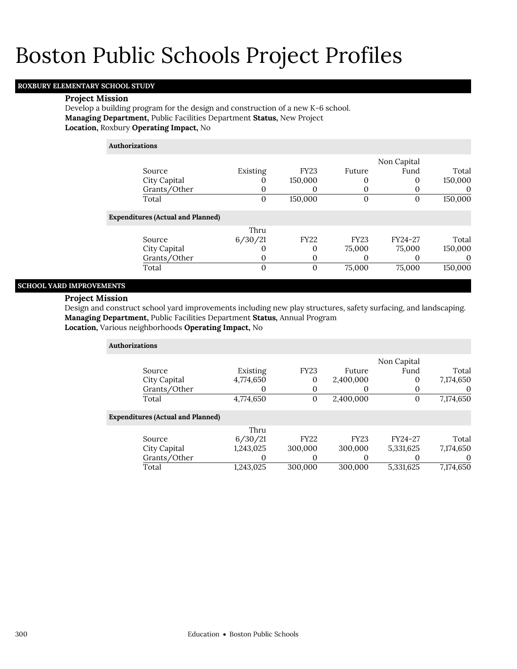## **ROXBURY ELEMENTARY SCHOOL STUDY**

#### **Project Mission**

Develop a building program for the design and construction of a new K-6 school. **Managing Department,** Public Facilities Department **Status,** New Project **Location,** Roxbury **Operating Impact,** No

## **Authorizations**

|                                          |          |             |             | Non Capital |          |
|------------------------------------------|----------|-------------|-------------|-------------|----------|
| Source                                   | Existing | <b>FY23</b> | Future      | Fund        | Total    |
| City Capital                             |          | 150,000     |             | 0           | 150,000  |
| Grants/Other                             |          |             |             |             | $\Omega$ |
| Total                                    | $\Omega$ | 150,000     |             | 0           | 150,000  |
| <b>Expenditures (Actual and Planned)</b> |          |             |             |             |          |
|                                          | Thru     |             |             |             |          |
| Source                                   | 6/30/21  | <b>FY22</b> | <b>FY23</b> | FY24-27     | Total    |
| City Capital                             |          | 0           | 75,000      | 75,000      | 150,000  |
| Grants/Other                             |          | 0           |             |             | $\Omega$ |
| Total                                    |          | 0           | 75,000      | 75,000      | 150,000  |

## **SCHOOL YARD IMPROVEMENTS**

## **Project Mission**

Design and construct school yard improvements including new play structures, safety surfacing, and landscaping. **Managing Department,** Public Facilities Department **Status,** Annual Program **Location,** Various neighborhoods **Operating Impact,** No

| <b>Authorizations</b>                    |           |              |             |             |           |
|------------------------------------------|-----------|--------------|-------------|-------------|-----------|
|                                          |           |              |             | Non Capital |           |
| Source                                   | Existing  | <b>FY23</b>  | Future      | Fund        | Total     |
| City Capital                             | 4,774,650 | 0            | 2,400,000   | 0           | 7,174,650 |
| Grants/Other                             | 0         | 0            |             |             | $\theta$  |
| Total                                    | 4,774,650 | $\mathbf{0}$ | 2,400,000   | 0           | 7,174,650 |
| <b>Expenditures (Actual and Planned)</b> |           |              |             |             |           |
|                                          | Thru      |              |             |             |           |
| Source                                   | 6/30/21   | <b>FY22</b>  | <b>FY23</b> | FY24-27     | Total     |
| City Capital                             | 1,243,025 | 300,000      | 300,000     | 5,331,625   | 7,174,650 |
| Grants/Other                             | O         | 0            | $\Omega$    |             | 0         |
| Total                                    | 1,243,025 | 300,000      | 300.000     | 5,331,625   | 7,174,650 |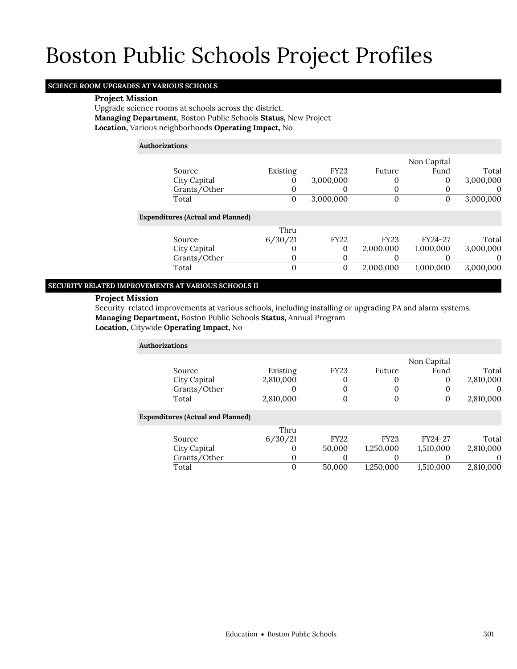## **SCIENCE ROOM UPGRADES AT VARIOUS SCHOOLS**

## **Project Mission**

Upgrade science rooms at schools across the district. **Managing Department,** Boston Public Schools **Status,** New Project **Location,** Various neighborhoods **Operating Impact,** No

## **Authorizations**

|                                          |          |             |             | Non Capital |           |
|------------------------------------------|----------|-------------|-------------|-------------|-----------|
| Source                                   | Existing | <b>FY23</b> | Future      | Fund        | Total     |
| City Capital                             | U        | 3,000,000   | 0           | 0           | 3,000,000 |
| Grants/Other                             | 0        | 0           | 0           |             |           |
| Total                                    | 0        | 3,000,000   | 0           | 0           | 3,000,000 |
| <b>Expenditures (Actual and Planned)</b> |          |             |             |             |           |
|                                          | Thru     |             |             |             |           |
| Source                                   | 6/30/21  | <b>FY22</b> | <b>FY23</b> | FY24-27     | Total     |
| City Capital                             | O        | 0           | 2,000,000   | 1,000,000   | 3,000,000 |
| Grants/Other                             | 0        | 0           |             |             | $\theta$  |
| Total                                    | 0        | 0           | 2,000,000   | 1,000,000   | 3,000,000 |

## **SECURITY RELATED IMPROVEMENTS AT VARIOUS SCHOOLS II**

## **Project Mission**

Security-related improvements at various schools, including installing or upgrading PA and alarm systems. **Managing Department,** Boston Public Schools **Status,** Annual Program

### **Location,** Citywide **Operating Impact,** No

| <b>Authorizations</b> |                                          |           |             |             |             |           |
|-----------------------|------------------------------------------|-----------|-------------|-------------|-------------|-----------|
|                       |                                          |           |             |             | Non Capital |           |
|                       | Source                                   | Existing  | <b>FY23</b> | Future      | Fund        | Total     |
|                       | City Capital                             | 2,810,000 |             | 0           | 0           | 2,810,000 |
|                       | Grants/Other                             |           |             |             | 0           | $\theta$  |
|                       | Total                                    | 2,810,000 | $\mathbf 0$ | $\Omega$    | 0           | 2,810,000 |
|                       | <b>Expenditures (Actual and Planned)</b> |           |             |             |             |           |
|                       |                                          | Thru      |             |             |             |           |
|                       | Source                                   | 6/30/21   | <b>FY22</b> | <b>FY23</b> | FY24-27     | Total     |
|                       | City Capital                             |           | 50,000      | 1,250,000   | 1,510,000   | 2,810,000 |
|                       | Grants/Other                             | $\Omega$  | 0           | 0           | 0           | $\Omega$  |
|                       | Total                                    | $\Omega$  | 50,000      | 1,250,000   | 1,510,000   | 2,810,000 |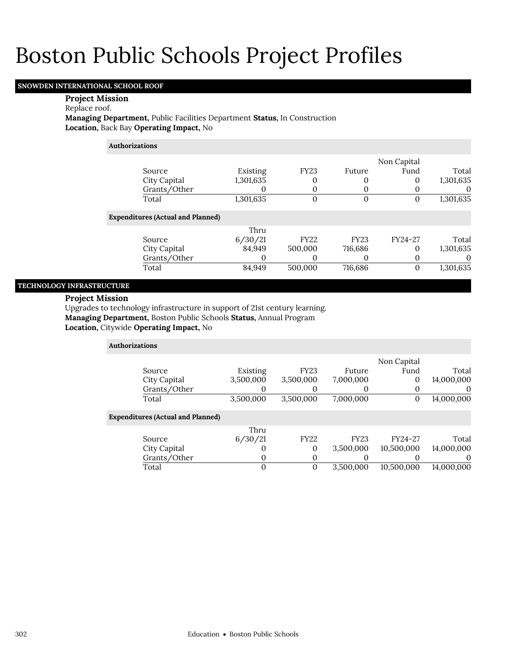## **SNOWDEN INTERNATIONAL SCHOOL ROOF**

#### **Project Mission**

## Replace roof.

**Managing Department,** Public Facilities Department **Status,** In Construction **Location,** Back Bay **Operating Impact,** No

## **Authorizations**

| Source<br>City Capital<br>Grants/Other   | Existing<br>1,301,635 | <b>FY23</b><br>0<br>0 | Future      | Non Capital<br>Fund | Total<br>1,301,635<br>O |
|------------------------------------------|-----------------------|-----------------------|-------------|---------------------|-------------------------|
| Total                                    | 1,301,635             | 0                     | 0           |                     | 1,301,635               |
| <b>Expenditures (Actual and Planned)</b> |                       |                       |             |                     |                         |
|                                          | Thru                  |                       |             |                     |                         |
| Source                                   | 6/30/21               | <b>FY22</b>           | <b>FY23</b> | FY24-27             | Total                   |
| City Capital                             | 84,949                | 500,000               | 716,686     | $\Omega$            | 1,301,635               |
| Grants/Other                             | 0                     | 0                     |             |                     | $\theta$                |
| Total                                    | 84.949                | 500,000               | 716,686     | 0                   | 1,301,635               |

## **TECHNOLOGY INFRASTRUCTURE**

#### **Project Mission**

Upgrades to technology infrastructure in support of 21st century learning. **Managing Department,** Boston Public Schools **Status,** Annual Program

**Location,** Citywide **Operating Impact,** No

| <b>Authorizations</b>                    |           |             |             |             |            |
|------------------------------------------|-----------|-------------|-------------|-------------|------------|
|                                          |           |             |             | Non Capital |            |
| Source                                   | Existing  | <b>FY23</b> | Future      | Fund        | Total      |
| City Capital                             | 3,500,000 | 3,500,000   | 7,000,000   | $\mathbf 0$ | 14,000,000 |
| Grants/Other                             |           | O           |             |             | $\theta$   |
| Total                                    | 3,500,000 | 3,500,000   | 7,000,000   | 0           | 14,000,000 |
| <b>Expenditures (Actual and Planned)</b> |           |             |             |             |            |
|                                          | Thru      |             |             |             |            |
| Source                                   | 6/30/21   | <b>FY22</b> | <b>FY23</b> | FY24-27     | Total      |
| City Capital                             | O         | 0           | 3,500,000   | 10,500,000  | 14,000,000 |
| Grants/Other                             | O         | 0           |             |             | 0          |
| Total                                    | 0         | 0           | 3.500.000   | 10.500.000  | 14,000,000 |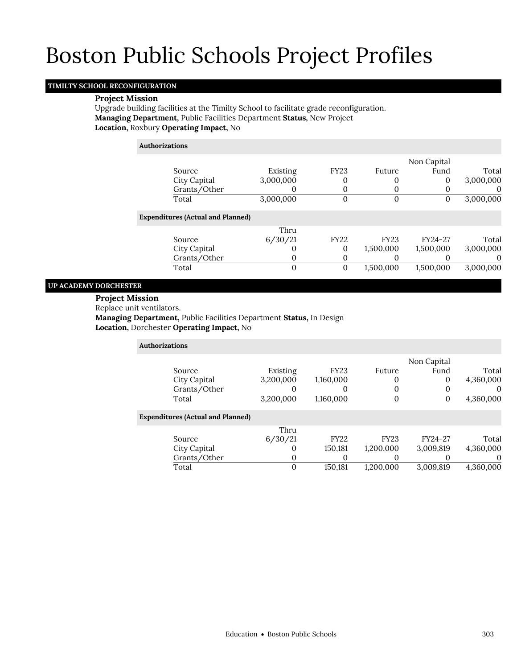## **TIMILTY SCHOOL RECONFIGURATION**

### **Project Mission**

Upgrade building facilities at the Timilty School to facilitate grade reconfiguration. **Managing Department,** Public Facilities Department **Status,** New Project **Location,** Roxbury **Operating Impact,** No

**Authorizations**

|                                          |           |              |             | Non Capital |           |
|------------------------------------------|-----------|--------------|-------------|-------------|-----------|
| Source                                   | Existing  | <b>FY23</b>  | Future      | Fund        | Total     |
| City Capital                             | 3,000,000 | 0            |             | 0           | 3,000,000 |
| Grants/Other                             |           | 0            |             |             | O         |
| Total                                    | 3,000,000 | 0            | 0           | O           | 3,000,000 |
| <b>Expenditures (Actual and Planned)</b> |           |              |             |             |           |
|                                          | Thru      |              |             |             |           |
| Source                                   | 6/30/21   | <b>FY22</b>  | <b>FY23</b> | FY24-27     | Total     |
| City Capital                             |           | 0            | 1,500,000   | 1,500,000   | 3,000,000 |
| Grants/Other                             |           | 0            |             |             | $\theta$  |
| Total                                    | 0         | $\mathbf{0}$ | 1,500,000   | 1,500,000   | 3,000,000 |
|                                          |           |              |             |             |           |

### **UP ACADEMY DORCHESTER**

#### **Project Mission**

Replace unit ventilators.

**Managing Department,** Public Facilities Department **Status,** In Design **Location,** Dorchester **Operating Impact,** No

| <b>Authorizations</b>                    |           |             |             |             |           |
|------------------------------------------|-----------|-------------|-------------|-------------|-----------|
|                                          |           |             |             | Non Capital |           |
| Source                                   | Existing  | <b>FY23</b> | Future      | Fund        | Total     |
| City Capital                             | 3,200,000 | 1,160,000   | 0           | 0           | 4,360,000 |
| Grants/Other                             | 0         |             | 0           | 0           |           |
| Total                                    | 3,200,000 | 1,160,000   | $\Omega$    | 0           | 4,360,000 |
| <b>Expenditures (Actual and Planned)</b> |           |             |             |             |           |
|                                          | Thru      |             |             |             |           |
| Source                                   | 6/30/21   | <b>FY22</b> | <b>FY23</b> | FY24-27     | Total     |
| City Capital                             | $\Omega$  | 150,181     | 1,200,000   | 3,009,819   | 4,360,000 |
| Grants/Other                             | 0         | 0           | O           | O           |           |
| Total                                    | 0         | 150.181     | 1.200.000   | 3.009.819   | 4.360.000 |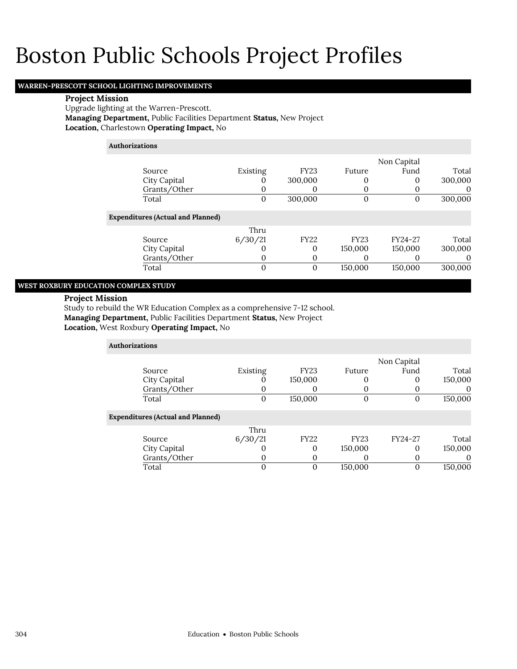## **WARREN-PRESCOTT SCHOOL LIGHTING IMPROVEMENTS**

### **Project Mission**

Upgrade lighting at the Warren-Prescott. **Managing Department,** Public Facilities Department **Status,** New Project **Location,** Charlestown **Operating Impact,** No

## **Authorizations**

| Source<br>City Capital<br>Grants/Other<br>Total | Existing<br>$\Omega$ | <b>FY23</b><br>300,000<br>O<br>300,000 | Future      | Non Capital<br>Fund | Total<br>300,000<br>$\theta$<br>300,000 |
|-------------------------------------------------|----------------------|----------------------------------------|-------------|---------------------|-----------------------------------------|
| <b>Expenditures (Actual and Planned)</b>        |                      |                                        |             |                     |                                         |
|                                                 | Thru                 |                                        |             |                     |                                         |
| Source                                          | 6/30/21              | <b>FY22</b>                            | <b>FY23</b> | FY24-27             | Total                                   |
| City Capital                                    |                      | $\Omega$                               | 150,000     | 150,000             | 300,000                                 |
| Grants/Other                                    |                      | $\Omega$                               |             |                     |                                         |
| Total                                           | $\Omega$             | $\Omega$                               | 150,000     | 150,000             | 300,000                                 |

#### **WEST ROXBURY EDUCATION COMPLEX STUDY**

### **Project Mission**

Study to rebuild the WR Education Complex as a comprehensive 7-12 school. **Managing Department,** Public Facilities Department **Status,** New Project **Location,** West Roxbury **Operating Impact,** No

| <b>Authorizations</b>                    |          |             |             |             |          |
|------------------------------------------|----------|-------------|-------------|-------------|----------|
|                                          |          |             |             | Non Capital |          |
| Source                                   | Existing | <b>FY23</b> | Future      | Fund        | Total    |
| City Capital                             | 0        | 150,000     | O           | 0           | 150,000  |
| Grants/Other                             | 0        |             | 0           |             | O        |
| Total                                    | 0        | 150,000     | 0           | $\Omega$    | 150,000  |
| <b>Expenditures (Actual and Planned)</b> |          |             |             |             |          |
|                                          | Thru     |             |             |             |          |
| Source                                   | 6/30/21  | <b>FY22</b> | <b>FY23</b> | FY24-27     | Total    |
| City Capital                             | $\Omega$ | $\Omega$    | 150,000     | 0           | 150,000  |
| Grants/Other                             | 0        | $\Omega$    | O           | $\Omega$    | $\Omega$ |
| Total                                    | 0        |             | 150,000     | 0           | 150,000  |